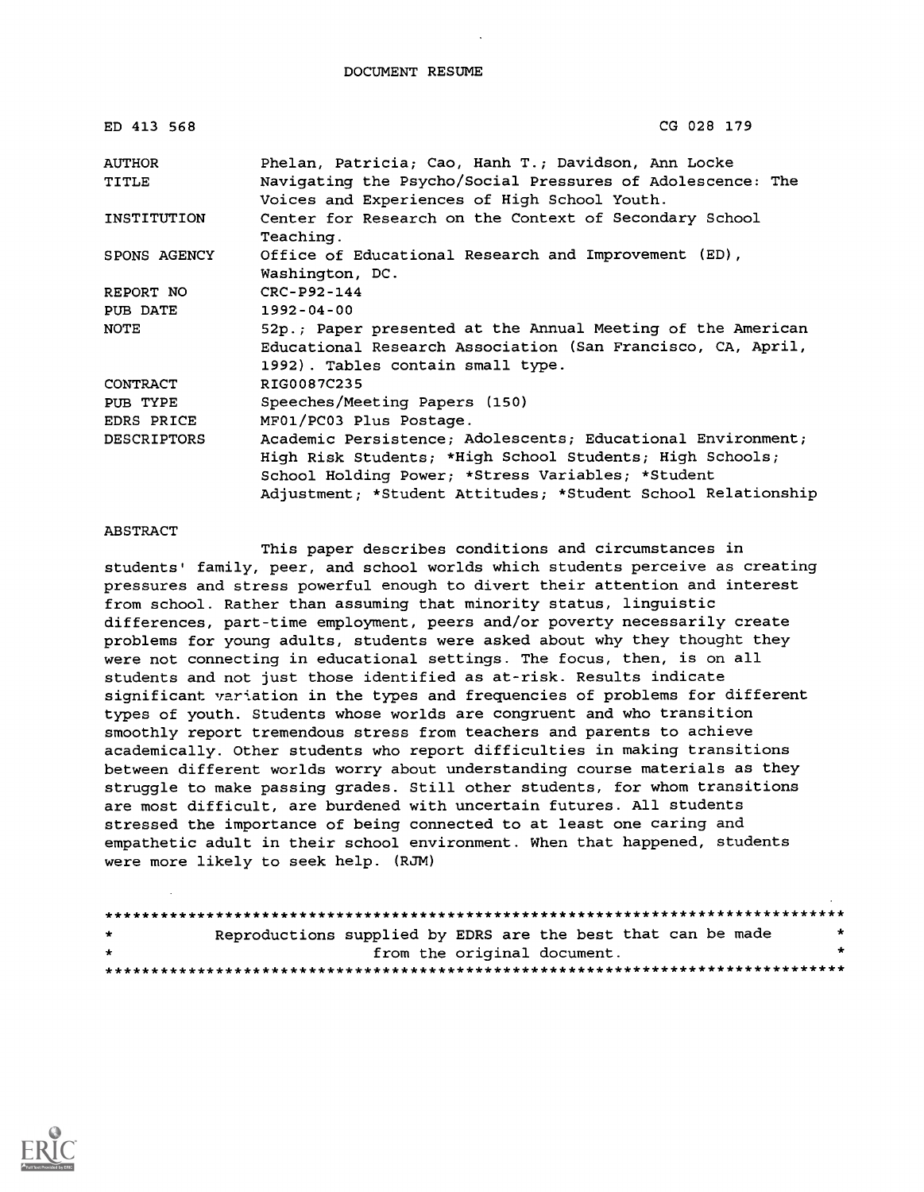| ED 413 568         | CG 028 179                                                                                                                                                      |
|--------------------|-----------------------------------------------------------------------------------------------------------------------------------------------------------------|
| <b>AUTHOR</b>      | Phelan, Patricia; Cao, Hanh T.; Davidson, Ann Locke                                                                                                             |
| <b>TITLE</b>       | Navigating the Psycho/Social Pressures of Adolescence: The<br>Voices and Experiences of High School Youth.                                                      |
| INSTITUTION        | Center for Research on the Context of Secondary School<br>Teaching.                                                                                             |
| SPONS AGENCY       | Office of Educational Research and Improvement (ED),<br>Washington, DC.                                                                                         |
| REPORT NO          | CRC-P92-144                                                                                                                                                     |
| PUB DATE           | $1992 - 04 - 00$                                                                                                                                                |
| NOTE               | 52p.; Paper presented at the Annual Meeting of the American<br>Educational Research Association (San Francisco, CA, April,<br>1992). Tables contain small type. |
| <b>CONTRACT</b>    | RIG0087C235                                                                                                                                                     |
| PUB TYPE           | Speeches/Meeting Papers (150)                                                                                                                                   |
| EDRS PRICE         | MF01/PC03 Plus Postage.                                                                                                                                         |
| <b>DESCRIPTORS</b> | Academic Persistence; Adolescents; Educational Environment;                                                                                                     |
|                    | High Risk Students; *High School Students; High Schools;                                                                                                        |
|                    | School Holding Power; *Stress Variables; *Student                                                                                                               |
|                    | Adjustment; *Student Attitudes; *Student School Relationship                                                                                                    |

### ABSTRACT

This paper describes conditions and circumstances in students' family, peer, and school worlds which students perceive as creating pressures and stress powerful enough to divert their attention and interest from school. Rather than assuming that minority status, linguistic differences, part-time employment, peers and/or poverty necessarily create problems for young adults, students were asked about why they thought they were not connecting in educational settings. The focus, then, is on all students and not just those identified as at-risk. Results indicate significant variation in the types and frequencies of problems for different types of youth. Students whose worlds are congruent and who transition smoothly report tremendous stress from teachers and parents to achieve academically. Other students who report difficulties in making transitions between different worlds worry about understanding course materials as they struggle to make passing grades. Still other students, for whom transitions are most difficult, are burdened with uncertain futures. All students stressed the importance of being connected to at least one caring and empathetic adult in their school environment. When that happened, students were more likely to seek help. (RJM)

| $\star$ | Reproductions supplied by EDRS are the best that can be made |                             | * |  |
|---------|--------------------------------------------------------------|-----------------------------|---|--|
| $\star$ |                                                              | from the original document. |   |  |
|         |                                                              |                             |   |  |

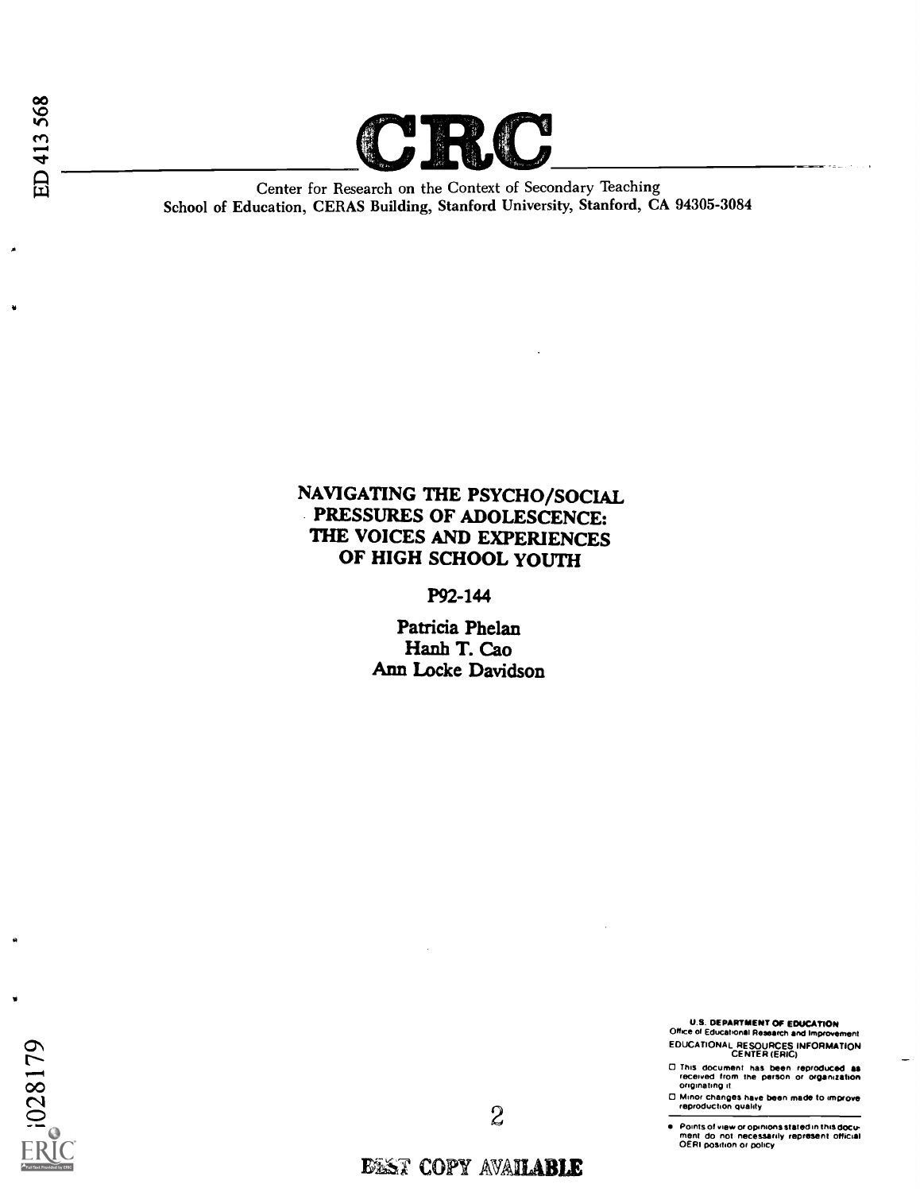Center for Research on the Context of Secondary Teaching School of Education, CERAS Building, Stanford University, Stanford, CA 94305-3084

# NAVIGATING THE PSYCHO/SOCIAL PRESSURES OF ADOLESCENCE: THE VOICES AND EXPERIENCES OF HIGH SCHOOL YOUTH

P92-144

Patricia Phelan Hanh T. Cao Ann Locke Davidson

> U.S. DEPARTMENT OF EDUCATION Office of Educational Research and Impro

C This document has been reproduced as<br>inteceived from the person or organization<br>originating it.

Orthing it Ochinchanges have been made to improve<br>
CONING THE CONNECTION OF CONDITIONS AND THE CONNECTION OF CONNECTION OF CONNECTION OF CONNECTION OF CONNECTION OF CONNECTION OF CONNECTION OF CONNECTION OF CONNECTION OF C

o : Points of view or opinions stated in this document do inot inecessarily represent official<br>OERI position or policy or policy of the OERI position or policy

ED 413 568

# **EEST COPY AVAILABLE**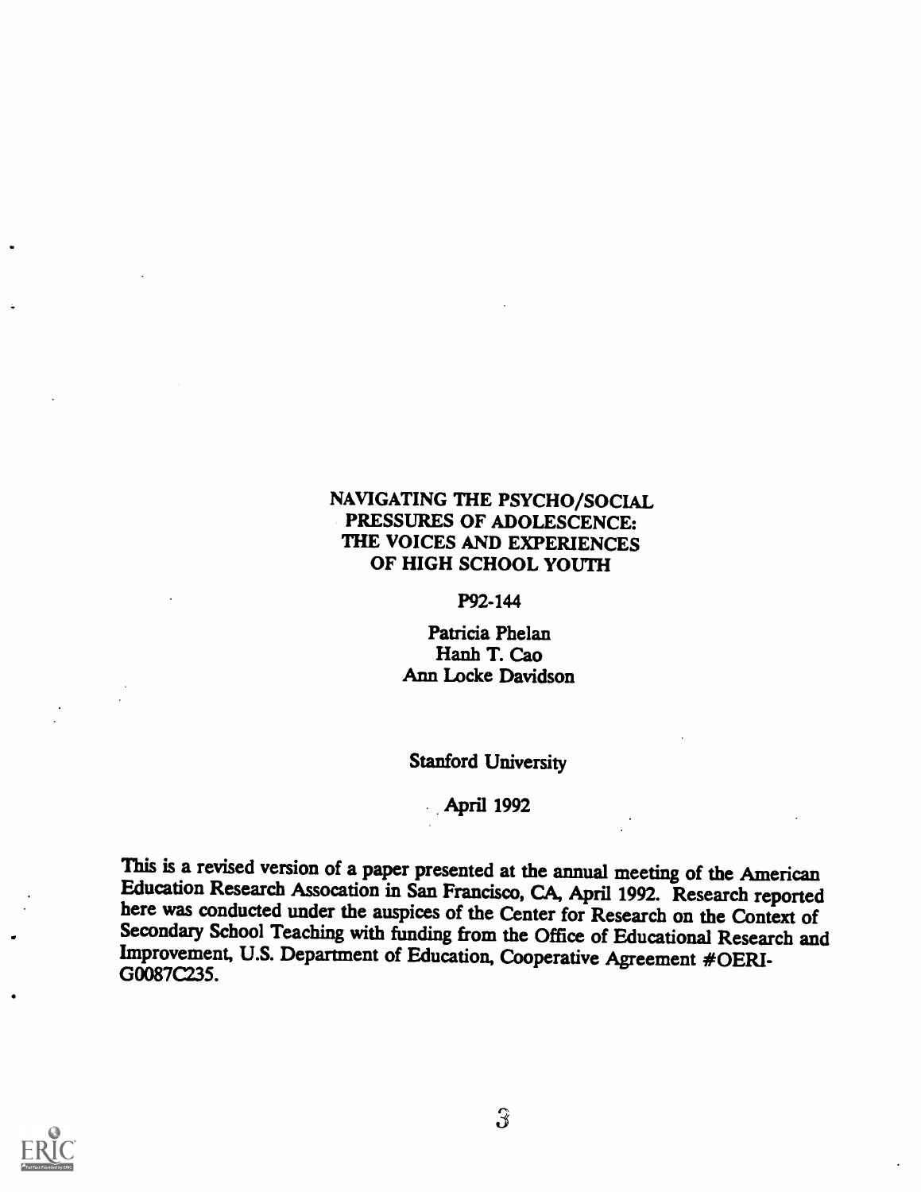# NAVIGATING THE PSYCHO/SOCIAL PRESSURES OF ADOLESCENCE: THE VOICES AND EXPERIENCES OF HIGH SCHOOL YOUTH

### P92-144

Patricia Phelan Hanh T. Cao Ann Locke Davidson

# Stanford University

### April 1992

This is a revised version of a paper presented at the annual meeting of the American Education Research Assocation in San Francisco, CA, April 1992. Research reported here was conducted under the auspices of the Center for Research on the Context of Secondary School Teaching with funding from the Office of Educational Research and Improvement, U.S. Department of Education, Cooperative Agreement #0ERI- G0087C235.

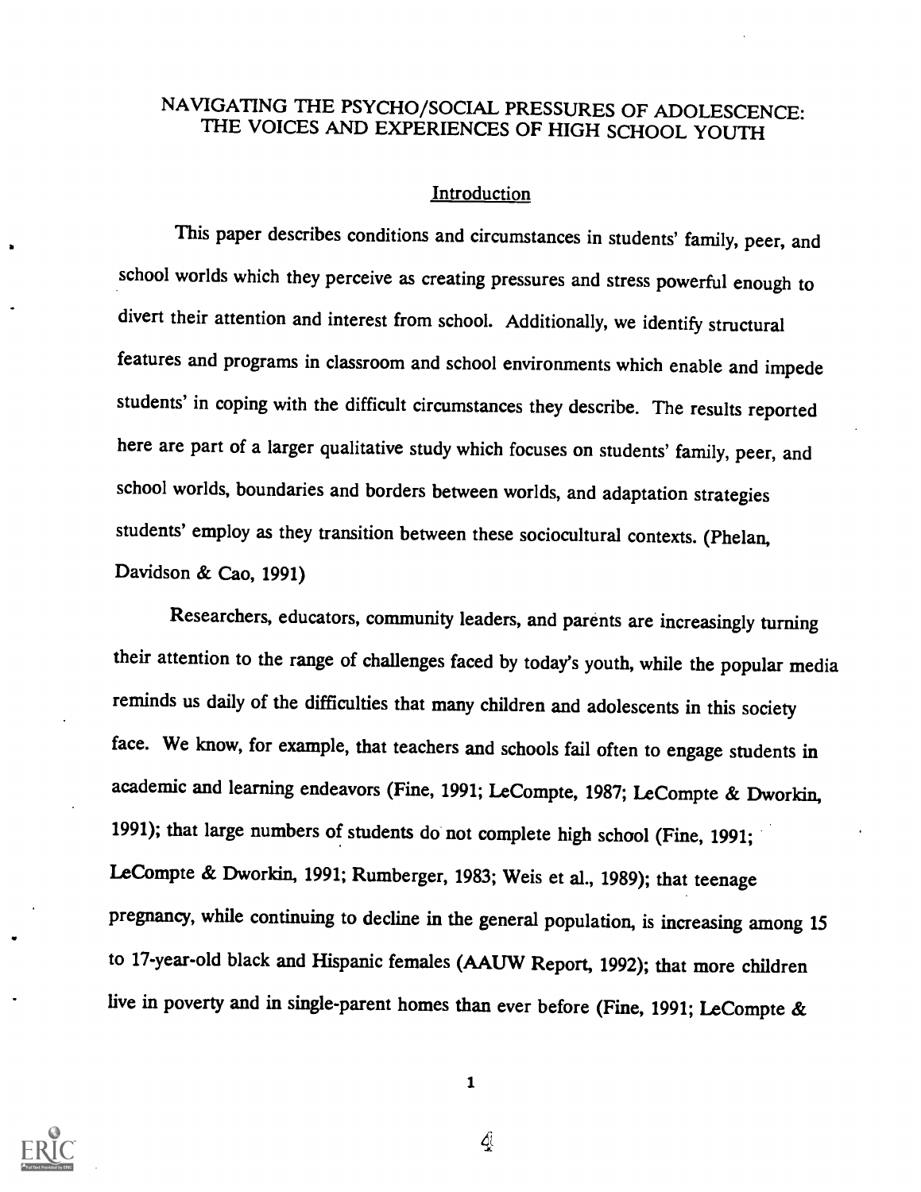# NAVIGATING THE PSYCHO/SOCIAL PRESSURES OF ADOLESCENCE: THE VOICES AND EXPERIENCES OF HIGH SCHOOL YOUTH

### Introduction

This paper describes conditions and circumstances in students' family, peer, and school worlds which they perceive as creating pressures and stress powerful enough to divert their attention and interest from school. Additionally, we identify structural features and programs in classroom and school environments which enable and impede students' in coping with the difficult circumstances they describe. The results reported here are part of a larger qualitative study which focuses on students' family, peer, and school worlds, boundaries and borders between worlds, and adaptation strategies students' employ as they transition between these sociocultural contexts. (Phelan, Davidson & Cao, 1991)

Researchers, educators, community leaders, and parents are increasingly turning their attention to the range of challenges faced by today's youth, while the popular media reminds us daily of the difficulties that many children and adolescents in this society face. We know, for example, that teachers and schools fail often to engage students in academic and learning endeavors (Fine, 1991; LeCompte, 1987; LeCompte & Dworkin, 1991); that large numbers of students do not complete high school (Fine, 1991; LeCompte & Dworkin, 1991; Rumberger, 1983; Weis et al., 1989); that teenage pregnancy, while continuing to decline in the general population, is increasing among 15 to 17-year-old black and Hispanic females (AAUW Report, 1992); that more children live in poverty and in single-parent homes than ever before (Fine, 1991; LeCompte &



1

4į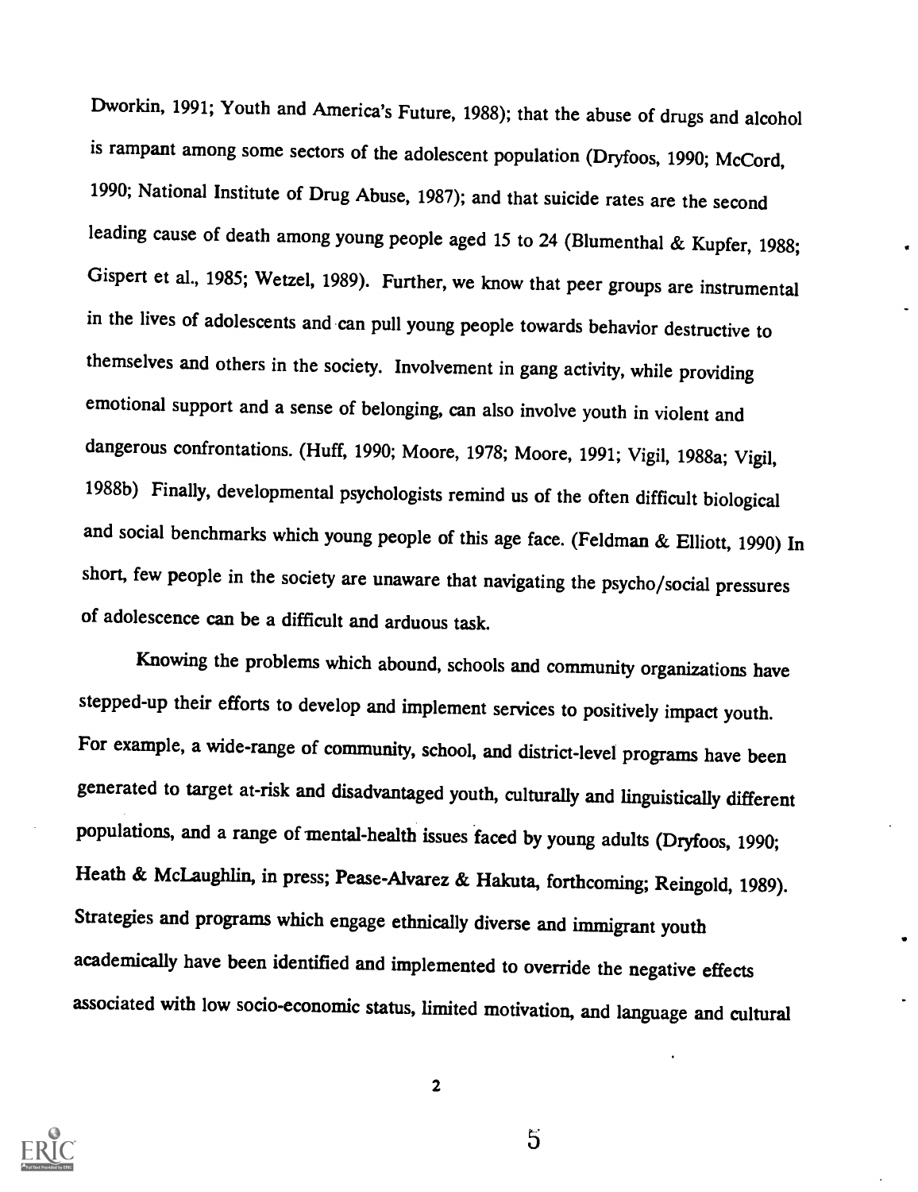Dworkin, 1991; Youth and America's Future, 1988); that the abuse of drugs and alcohol is rampant among some sectors of the adolescent population (Dryfoos, 1990; McCord, 1990; National Institute of Drug Abuse, 1987); and that suicide rates are the second leading cause of death among young people aged 15 to 24 (Blumenthal & Kupfer, 1988; Gispert et al., 1985; Wetzel, 1989). Further, we know that peer groups are instrumental in the lives of adolescents and can pull young people towards behavior destructive to themselves and others in the society. Involvement in gang activity, while providing emotional support and a sense of belonging, can also involve youth in violent and dangerous confrontations. (Huff, 1990; Moore, 1978; Moore, 1991; Vigil, 1988a; Vigil, 1988b) Finally, developmental psychologists remind us of the often difficult biological and social benchmarks which young people of this age face. (Feldman & Elliott, 1990) In short, few people in the society are unaware that navigating the psycho/social pressures of adolescence can be a difficult and arduous task.

Knowing the problems which abound, schools and community organizations have stepped-up their efforts to develop and implement services to positively impact youth. For example, a wide-range of community, school, and district-level programs have been generated to target at-risk and disadvantaged youth, culturally and linguistically different populations, and a range of mental-health issues faced by young adults (Dryfoos, 1990; Heath & McLaughlin, in press; Pease-Alvarez & Hakuta, forthcoming; Reingold, 1989). Strategies and programs which engage ethnically diverse and immigrant youth academically have been identified and implemented to override the negative effects associated with low socio-economic status, limited motivation, and language and cultural



2

 $\mathbf{5}$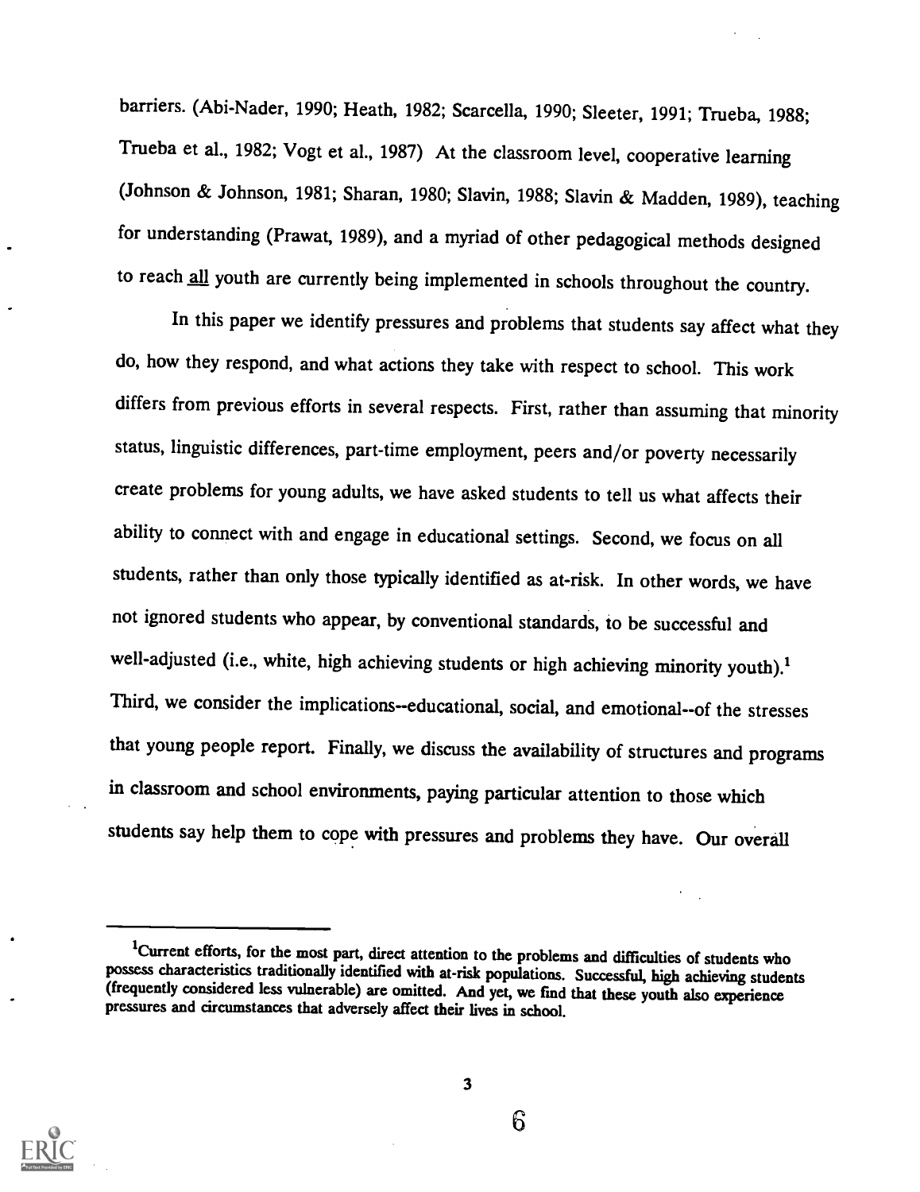barriers. (Abi-Nader, 1990; Heath, 1982; Scarcella, 1990; Sleeter, 1991; Trueba, 1988; Trueba et al., 1982; Vogt et al., 1987) At the classroom level, cooperative learning (Johnson & Johnson, 1981; Sharan, 1980; Slavin, 1988; Slavin & Madden, 1989), teaching for understanding (Prawat, 1989), and a myriad of other pedagogical methods designed to reach all youth are currently being implemented in schools throughout the country.

In this paper we identify pressures and problems that students say affect what they do, how they respond, and what actions they take with respect to school. This work differs from previous efforts in several respects. First, rather than assuming that minority status, linguistic differences, part-time employment, peers and/or poverty necessarily create problems for young adults, we have asked students to tell us what affects their ability to connect with and engage in educational settings. Second, we focus on all students, rather than only those typically identified as at-risk. In other words, we have not ignored students who appear, by conventional standards, to be successful and well-adjusted (i.e., white, high achieving students or high achieving minority youth).<sup>1</sup> Third, we consider the implications--educational, social, and emotional--of the stresses that young people report. Finally, we discuss the availability of structures and programs in classroom and school environments, paying particular attention to those which students say help them to cope with pressures and problems they have. Our overall



<sup>&</sup>lt;sup>1</sup>Current efforts, for the most part, direct attention to the problems and difficulties of students who possess characteristics traditionally identified with at-risk populations. Successful, high achieving students (frequently considered less vulnerable) are omitted. And yet, we find that these youth also experience pressures and circumstances that adversely affect their lives in school.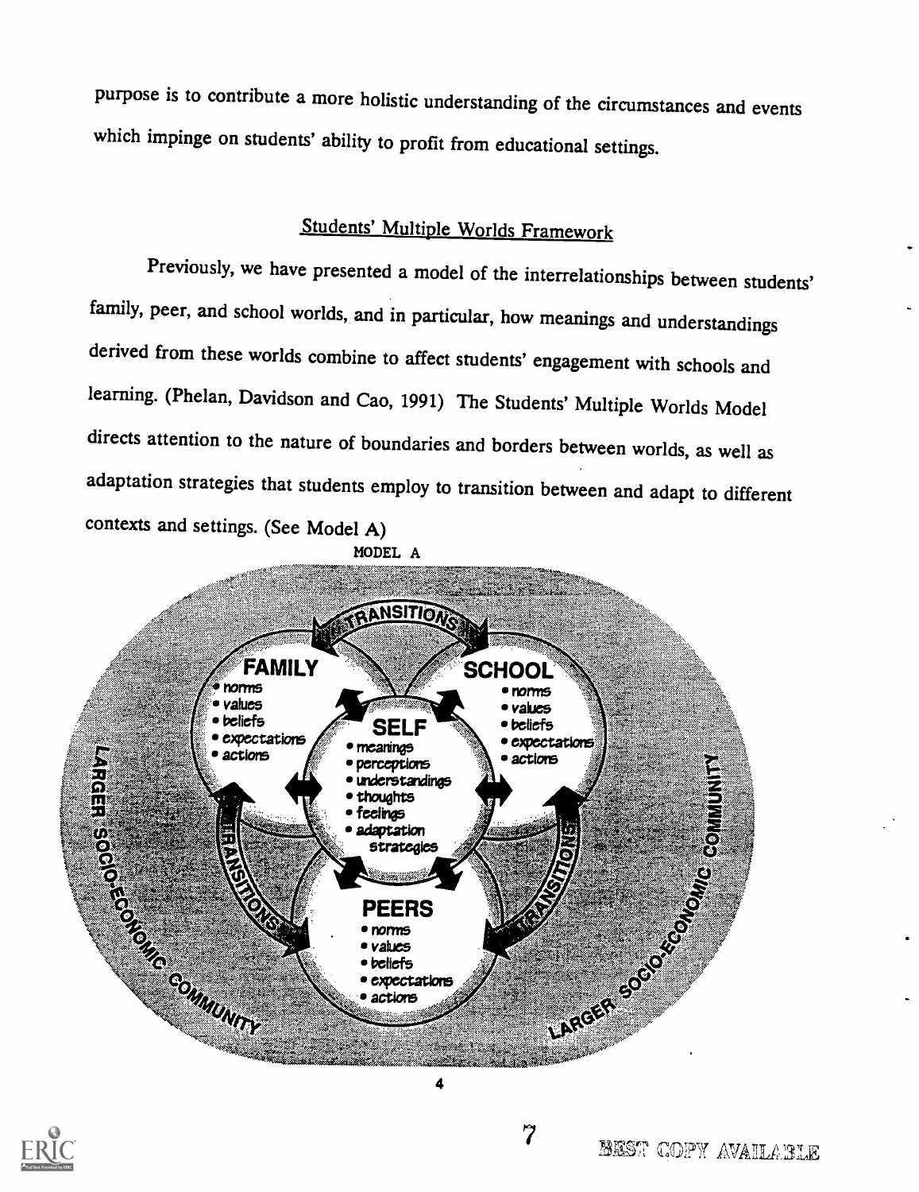purpose is to contribute a more holistic understanding of the circumstances and events which impinge on students' ability to profit from educational settings.

# Students' Multiple Worlds Framework

Previously, we have presented a model of the interrelationships between students' family, peer, and school worlds, and in particular, how meanings and understandings derived from these worlds combine to affect students' engagement with schools and learning. (Phelan, Davidson and Cao, 1991) The Students' Multiple Worlds Model directs attention to the nature of boundaries and borders between worlds, as well as adaptation strategies that students employ to transition between and adapt to different contexts and settings. (See Model A)

MODEL A



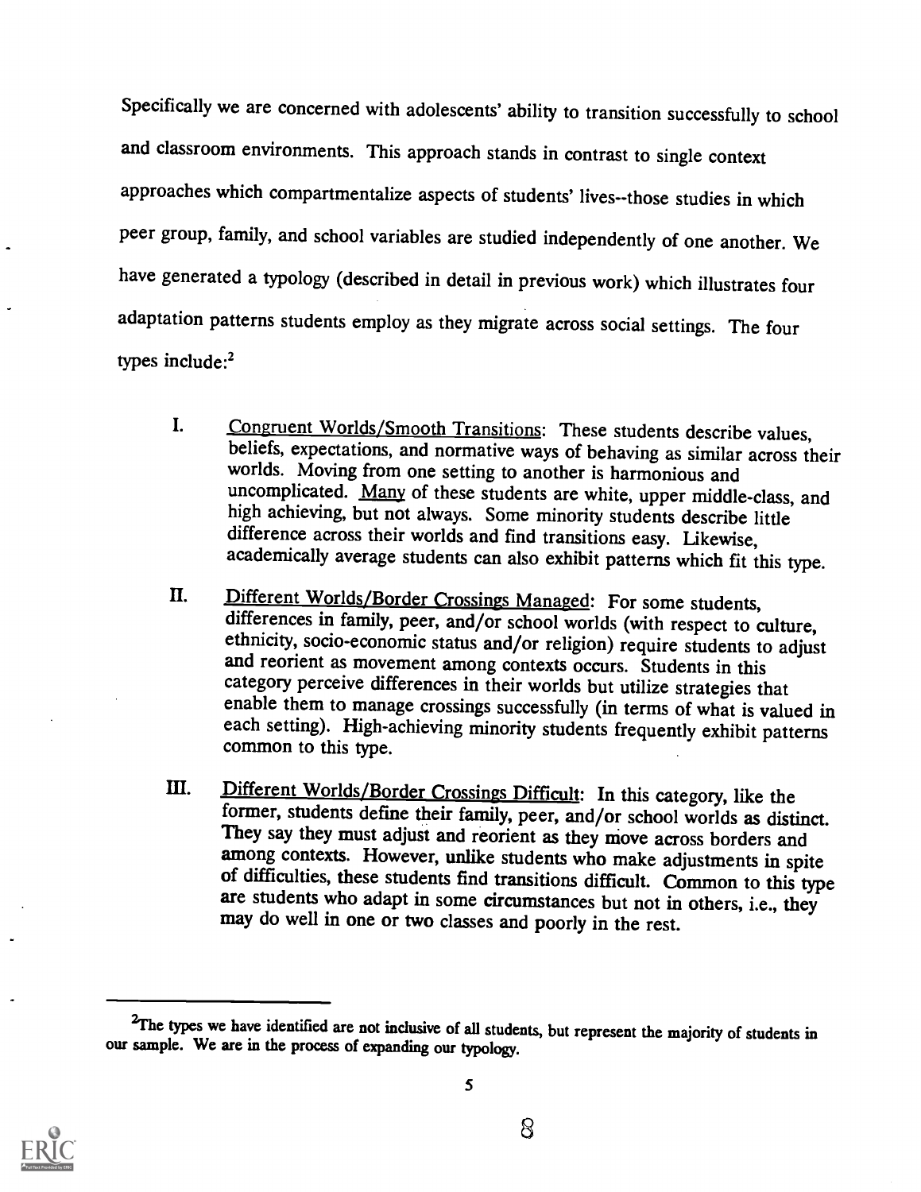Specifically we are concerned with adolescents' ability to transition successfully to school and classroom environments. This approach stands in contrast to single context approaches which compartmentalize aspects of students' lives--those studies in which peer group, family, and school variables are studied independently of one another. We have generated a typology (described in detail in previous work) which illustrates four adaptation patterns students employ as they migrate across social settings. The four types include:<sup>2</sup>

- I. Congruent Worlds/Smooth Transitions: These students describe values, beliefs, expectations, and normative ways of behaving as similar across their worlds. Moving from one setting to another is harmonious and uncomplicated. Many of these students are white, upper middle-class, and high achieving, but not always. Some minority students describe little difference across their worlds and find transitions easy. Likewise, academically average students can also exhibit patterns which fit this type.
- II. Different Worlds/Border Crossings Managed: For some students, differences in family, peer, and/or school worlds (with respect to culture, ethnicity, socio-economic status and/or religion) require students to adjust and reorient as movement among contexts occurs. Students in this category perceive differences in their worlds but utilize strategies that enable them to manage crossings successfully (in terms of what is valued in each setting). High-achieving minority students frequently exhibit patterns common to this type.
- Different Worlds/Border Crossings Difficult: In this category, like the former, students define their family, peer, and/or school worlds as distinct.  $\mathbf{m}$ . They say they must adjust and reorient as they move across borders and among contexts. However, unlike students who make adjustments in spite of difficulties, these students find transitions difficult. Common to this type are students who adapt in some circumstances but not in others, i.e., they may do well in one or two classes and poorly in the rest.



<sup>&</sup>lt;sup>2</sup>The types we have identified are not inclusive of all students, but represent the majority of students in our sample. We are in the process of expanding our typology.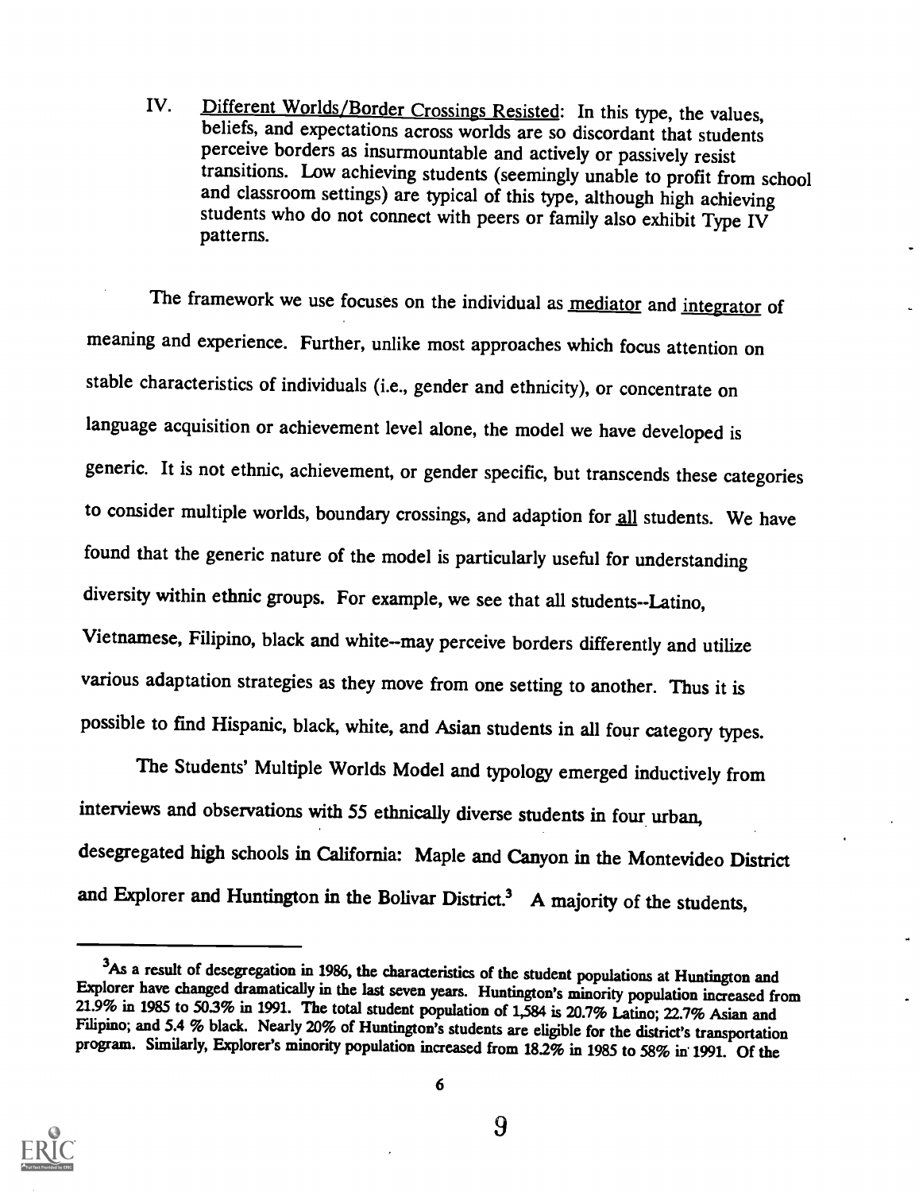IV. Different Worlds/Border Crossings Resisted: In this type, the values, beliefs, and expectations across worlds are so discordant that students perceive borders as insurmountable and actively or passively resist transitions. Low achieving students (seemingly unable to profit from school and classroom settings) are typical of this type, although high achieving students who do not connect with peers or family also exhibit Type IV patterns.

The framework we use focuses on the individual as mediator and integrator of meaning and experience. Further, unlike most approaches which focus attention on stable characteristics of individuals (i.e., gender and ethnicity), or concentrate on language acquisition or achievement level alone, the model we have developed is generic. It is not ethnic, achievement, or gender specific, but transcends these categories to consider multiple worlds, boundary crossings, and adaption for all students. We have found that the generic nature of the model is particularly useful for understanding diversity within ethnic groups. For example, we see that all students--Latino, Vietnamese, Filipino, black and white-may perceive borders differently and utilize various adaptation strategies as they move from one setting to another. Thus it is possible to find Hispanic, black, white, and Asian students in all four category types.

The Students' Multiple Worlds Model and typology emerged inductively from interviews and observations with 55 ethnically diverse students in four urban, desegregated high schools in California: Maple and Canyon in the Montevideo District and Explorer and Huntington in the Bolivar District.<sup>3</sup> A majority of the students,



6

<sup>&</sup>lt;sup>3</sup>As a result of desegregation in 1986, the characteristics of the student populations at Huntington and Explorer have changed dramatically in the last seven years. Huntington's minority population increased from 21.9% i Filipino; and 5.4 % black. Nearly 20% of Huntington's students are eligible for the district's transportation program. Similarly, Explorer's minority population increased from 182% in 1985 to 58% in 1991. Of the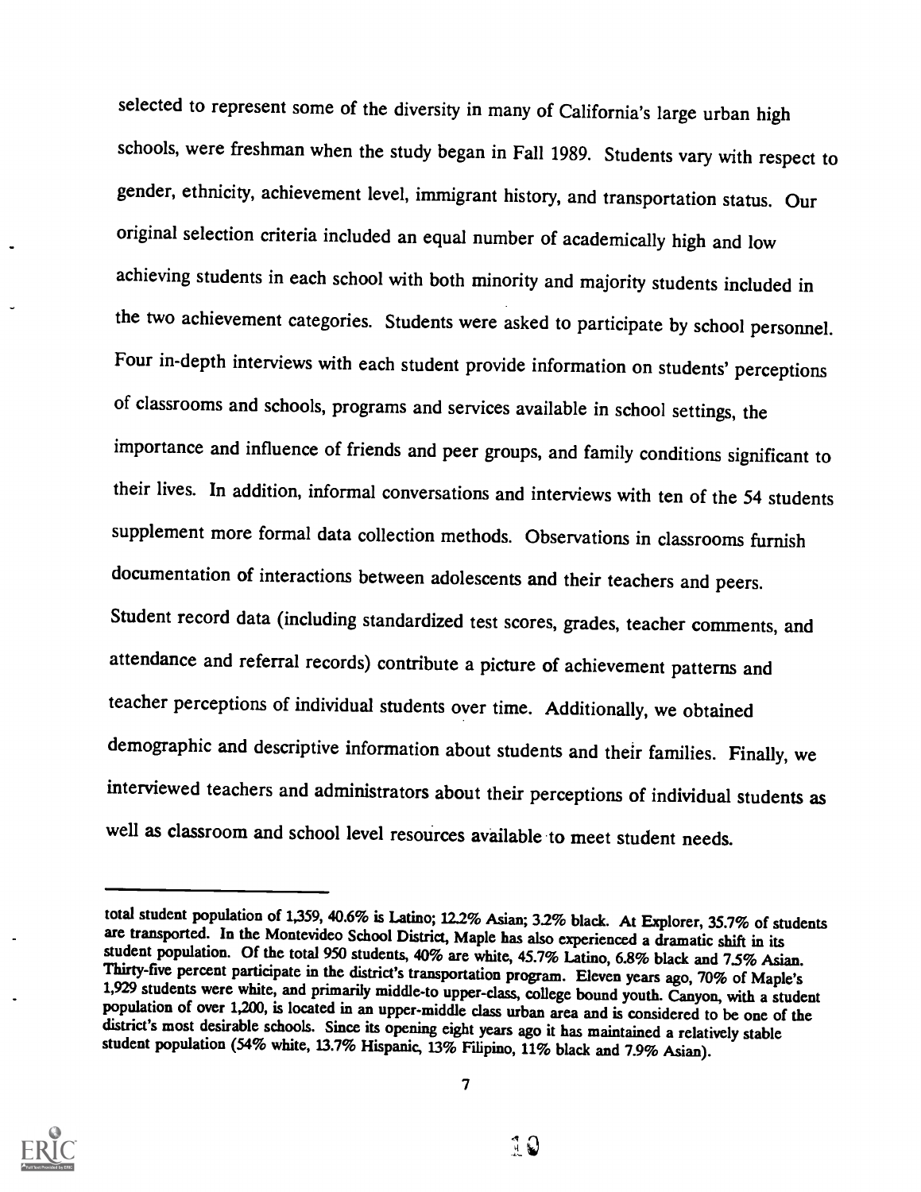selected to represent some of the diversity in many of California's large urban high schools, were freshman when the study began in Fall 1989. Students vary with respect to gender, ethnicity, achievement level, immigrant history, and transportation status. Our original selection criteria included an equal number of academically high and low achieving students in each school with both minority and majority students included in the two achievement categories. Students were asked to participate by school personnel. Four in-depth interviews with each student provide information on students' perceptions of classrooms and schools, programs and services available in school settings, the importance and influence of friends and peer groups, and family conditions significant to their lives. In addition, informal conversations and interviews with ten of the 54 students supplement more formal data collection methods. Observations in classrooms furnish documentation of interactions between adolescents and their teachers and peers. Student record data (including standardized test scores, grades, teacher comments, and attendance and referral records) contribute a picture of achievement patterns and teacher perceptions of individual students over time. Additionally, we obtained demographic and descriptive information about students and their families. Finally, we interviewed teachers and administrators about their perceptions of individual students as well as classroom and school level resources available to meet student needs.



total student population of 1,359, 40.6% is Latino; 12.2% Asian; 32% black. At Explorer, 35.7% of students student population. Of the total 950 students, 40% are white, 45.7% Latino, 6.8% black and 7.5% Asian.<br>Thirty-five percent participate in the district's transportation program. Eleven years ago, 70% of Maple's<br>1,929 studen district's most desirable schools. Since its opening eight years ago it has maintained a relatively stable student population (54% white, 13.7% Hispanic, 13% Filipino, 11% black and 7.9% Asian).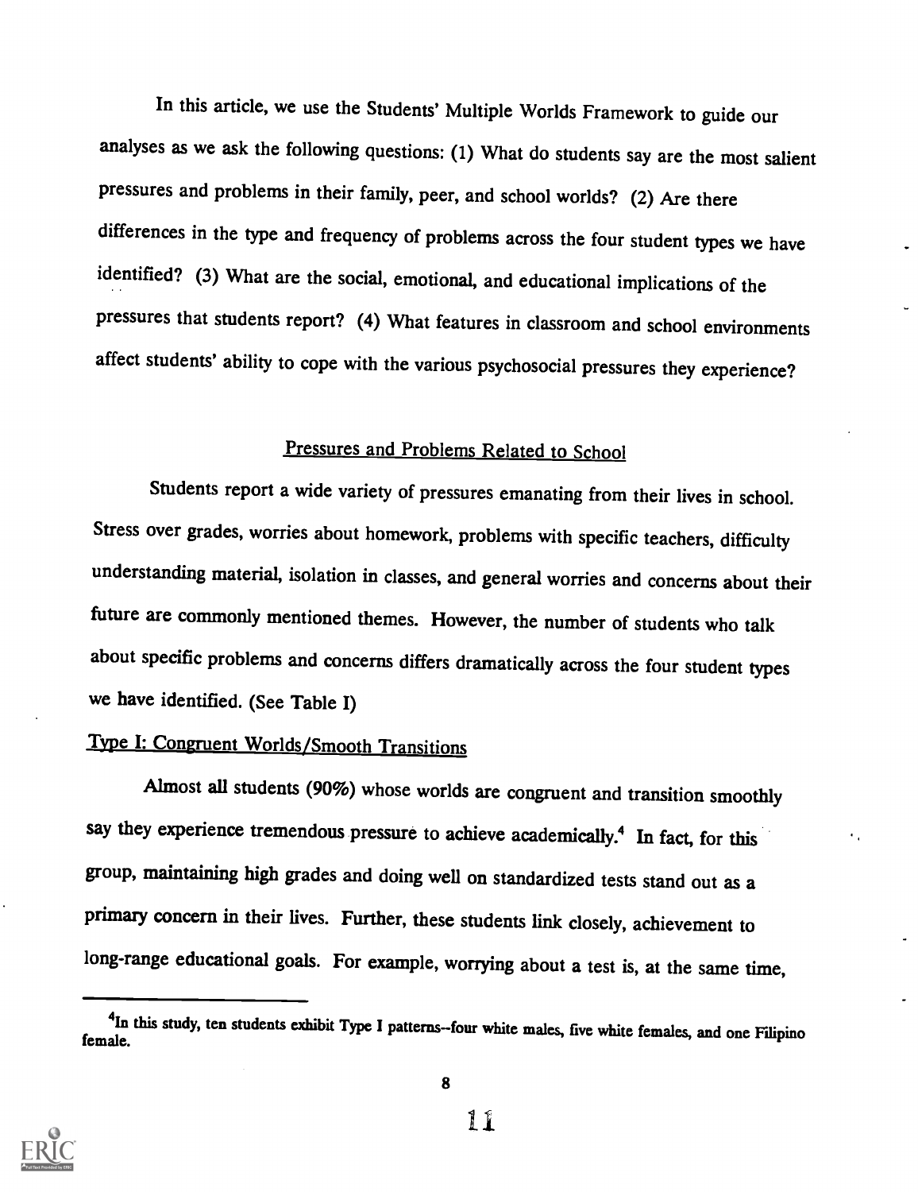In this article, we use the Students' Multiple Worlds Framework to guide our analyses as we ask the following questions: (1) What do students say are the most salient pressures and problems in their family, peer, and school worlds? (2) Are there differences in the type and frequency of problems across the four student types we have identified? (3) What are the social, emotional, and educational implications of the pressures that students report? (4) What features in classroom and school environments affect students' ability to cope with the various psychosocial pressures they experience?

# Pressures and Problems Related to School

Students report a wide variety of pressures emanating from their lives in school. Stress over grades, worries about homework, problems with specific teachers, difficulty understanding material, isolation in classes, and general worries and concerns about their future are commonly mentioned themes. However, the number of students who talk about specific problems and concerns differs dramatically across the four student types we have identified. (See Table I)

# Type I: Congruent Worlds/Smooth Transitions

Almost all students (90%) whose worlds are congruent and transition smoothly say they experience tremendous pressure to achieve academically.<sup>4</sup> In fact, for this group, maintaining high grades and doing well on standardized tests stand out as a primary concern in their lives. Further, these students link closely, achievement to long-range educational goals. For example, worrying about a test is, at the same time,



<sup>&</sup>lt;sup>4</sup>In this study, ten students exhibit Type I patterns-four white males, five white females, and one Filipino female.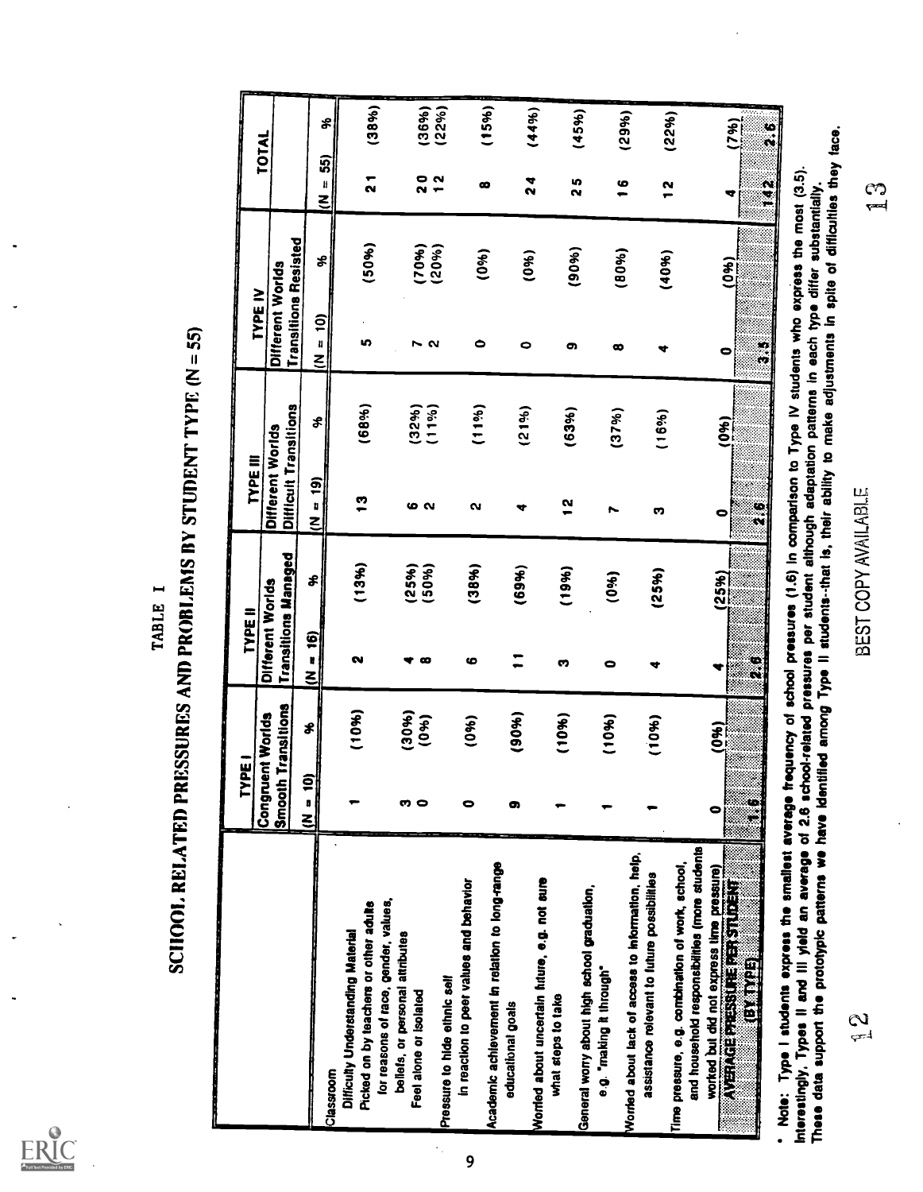$ER_{LC}^{\odot}$ 

# TABLE<br>PROBLE

|                                                                                                                                                                                                                                                                                                                                                                                                                                                                                          | È               | i<br>DE 1                                     | TYPE II                  |                            | TYPE III             |                              | TYPE IV          |                      |                                   |                           |
|------------------------------------------------------------------------------------------------------------------------------------------------------------------------------------------------------------------------------------------------------------------------------------------------------------------------------------------------------------------------------------------------------------------------------------------------------------------------------------------|-----------------|-----------------------------------------------|--------------------------|----------------------------|----------------------|------------------------------|------------------|----------------------|-----------------------------------|---------------------------|
|                                                                                                                                                                                                                                                                                                                                                                                                                                                                                          |                 | <b>Smooth Transitions</b><br>Congruent Worlds | Different Worlds         | <b>Transitions Managed</b> | Different Worlds     | <b>Difficult Transitions</b> | Different Worlds |                      |                                   | <b>TOTAL</b>              |
|                                                                                                                                                                                                                                                                                                                                                                                                                                                                                          | $\frac{10}{10}$ | \$                                            | $= 16$<br>3              | \$                         |                      |                              |                  | Transitions Resisted |                                   |                           |
| Classroom                                                                                                                                                                                                                                                                                                                                                                                                                                                                                |                 |                                               |                          |                            | $\frac{(N = 19)}{N}$ | \$                           | $(01 = N)$       | \$                   | 55)<br>ll<br>$\tilde{\mathbf{z}}$ | ୫∣                        |
| for reasons of race, gender, values,<br>Picked on by teachers or other aduks<br>Difficulty Understanding Material                                                                                                                                                                                                                                                                                                                                                                        |                 | (10%)                                         | N                        | (13%)                      | $\mathbf{r}$         | (68%)                        | n,               | (50%)                | $\mathbf{r}$                      | (38%)                     |
| bellets, or personal attributes<br>Feel alone or isolated                                                                                                                                                                                                                                                                                                                                                                                                                                | က ဇ             | (30%)<br>(0, 0)                               | $\bullet$                | (25%)<br>(50%)             | ဖလ                   | (32%)<br>(11%)               | 7<br>2           | (70%)<br>(20%)       | $\frac{0}{2}$<br>$\frac{2}{1}$    | (36%)                     |
| in reaction to peer values and behavior<br>Pressure to hide ethnic self                                                                                                                                                                                                                                                                                                                                                                                                                  | 0               | (0, 6)                                        | ဖ                        | (38%)                      | N                    | (1196)                       | ۰                |                      |                                   | (22%)                     |
| Academic achievement in relation to long-range<br>educational goals                                                                                                                                                                                                                                                                                                                                                                                                                      | œ               | (90%)                                         | $\overline{\phantom{a}}$ | (69%)                      |                      |                              |                  | (0, 0)               | œ                                 | (15%)                     |
| Worried about uncertain future, e.g. not sure<br>what steps to take                                                                                                                                                                                                                                                                                                                                                                                                                      |                 | (10%)                                         | ణ                        | (19%)                      | ₩                    | (21%)                        | $\bullet$        | (0, 0)               | $\frac{4}{2}$                     | (44%)                     |
| General worry about high school graduation,<br>e.g. "making it through"                                                                                                                                                                                                                                                                                                                                                                                                                  |                 | (10%)                                         | 0                        | (0.60)                     | $\frac{2}{1}$<br>r   | (63%)                        | ō                | (90%)                | m<br>$\overline{\mathbf{N}}$      | (45%)                     |
| Worried about lack of access to information, help,<br>assistance relevant to future possibilities                                                                                                                                                                                                                                                                                                                                                                                        |                 | (10%)                                         | ₩                        |                            |                      | (37%)                        | $\bullet$        | (80%)                | $\frac{6}{1}$                     | (29%)                     |
| Time pressure, e.g. combination of work, school,                                                                                                                                                                                                                                                                                                                                                                                                                                         |                 |                                               |                          | (25%)                      | m                    | (16%)                        | ₩                | (40%)                | $\frac{2}{1}$                     | (22%)                     |
| and household responsibilities (more students<br>worked but did not express time pressure)<br>AVERIAGE PRESSURE PER STADENT                                                                                                                                                                                                                                                                                                                                                              | $\bullet$       | (96)                                          | ₩                        | (259)                      | $\bullet$            | (0, 0)                       | $\bullet$        | $\hat{\bm{s}}$       | ₹                                 |                           |
| <b>RETRISCO</b>                                                                                                                                                                                                                                                                                                                                                                                                                                                                          | ្តុ             |                                               | Ş                        |                            | $\frac{1}{2}$        |                              | 45<br>73         |                      | $\mathbf{r}$                      | (2, 4)<br>$\ddot{\bm{c}}$ |
| ese data support the prototypic patterns we have identified among Type II students-that is, their ability to make adjustments in spite of difficulties they face.<br>Note : Type I students express the smallest average frequency of school pressures (1.5) in comparison to Type IV students who express the most (3.5).<br>terestingly, Types II and III yield an average of 2.6 school-related pressures per student although adaptation patterns in each type differ substantially. |                 |                                               |                          |                            |                      |                              |                  |                      |                                   |                           |
| $\frac{c}{r^4}$                                                                                                                                                                                                                                                                                                                                                                                                                                                                          |                 |                                               |                          | BEST COPY AVAILABLE        |                      |                              |                  |                      | గా<br>┯                           |                           |
|                                                                                                                                                                                                                                                                                                                                                                                                                                                                                          |                 |                                               |                          |                            |                      |                              |                  |                      |                                   |                           |

9

A PERSON REPRESSITE PRISTICING<br>
8: Type I students express the small<br>
8: Type I students express the small<br>
stingly, Types II and III yield an avera<br>
data suppor the prototypic patterns<br>
1 4 2  $\begin{array}{|c|c|c|}\hline & & 1 & 2 & \\\hline \hline \end{array}$  . <br>  $\begin{array}{|c|c|}\hline & 1 & 2 & \\\hline \end{array}$  . The most case of difficulties they factor apple of difficulties they factor<br>  $\begin{array}{|c|c|}\hline \end{array}$  .  $\begin{array}{|c|c|}\hline \end{array}$  .  $\begin{array}{|c|c|}\hline \end{array}$ . Wore : Type I students express the smallest average frequency of school pressures (1.5) in comparison to Type iV students who express the most (3.5).<br>Interestingly, Types II and III yield an average of 2.6 school⊹elate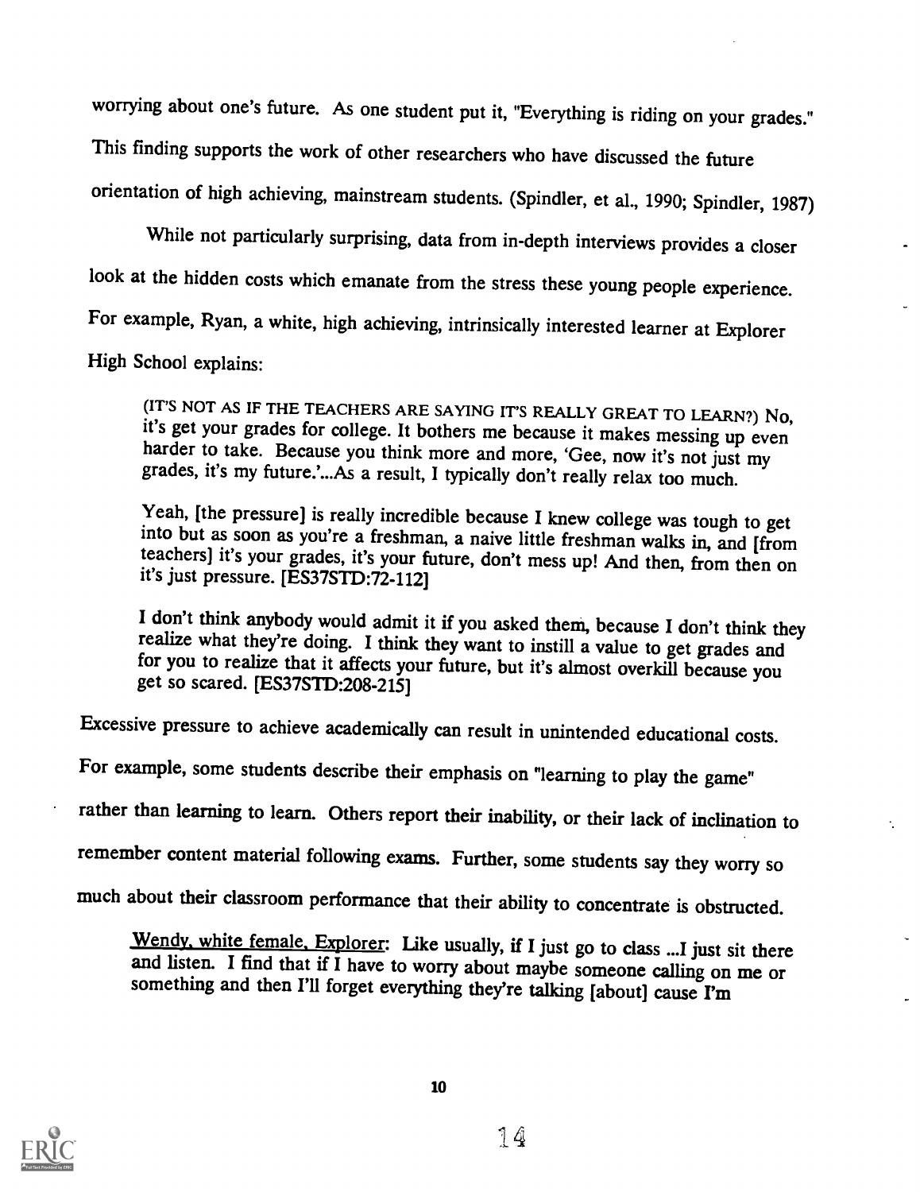worrying about one's future. As one student put it, "Everything is riding on your grades."

This finding supports the work of other researchers who have discussed the future

orientation of high achieving, mainstream students. (Spindler, et al., 1990; Spindler, 1987)

While not particularly surprising, data from in-depth interviews provides a closer

look at the hidden costs which emanate from the stress these young people experience.

For example, Ryan, a white, high achieving, intrinsically interested learner at Explorer

High School explains:

(IT'S NOT AS IF THE TEACHERS ARE SAYING IT'S REALLY GREAT TO LEARN?) No, it's get your grades for college. It bothers me because it makes messing up even harder to take. Because you think more and more, 'Gee, now it's not

Yeah, [the pressure] is really incredible because I knew college was tough to get into but as soon as you're a freshman, a naive little freshman walks in, and [from teachers] it's your grades, it's your future, don't mess

I don't think anybody would admit it if you asked them, because I don't think they realize what they're doing. I think they want to instill a value to get grades and for you to realize that it affects your future, but it's

Excessive pressure to achieve academically can result in unintended educational costs.

For example, some students describe their emphasis on "learning to play the game"

rather than learning to learn. Others report their inability, or their lack of inclination to

remember content material following exams. Further, some students say they worry so

much about their classroom performance that their ability to concentrate is obstructed.

Wendy, white female, Explorer: Like usually, if I just go to class ...I just sit there and listen. I find that if I have to worry about maybe someone calling on me or something and then I'll forget everything they're talki

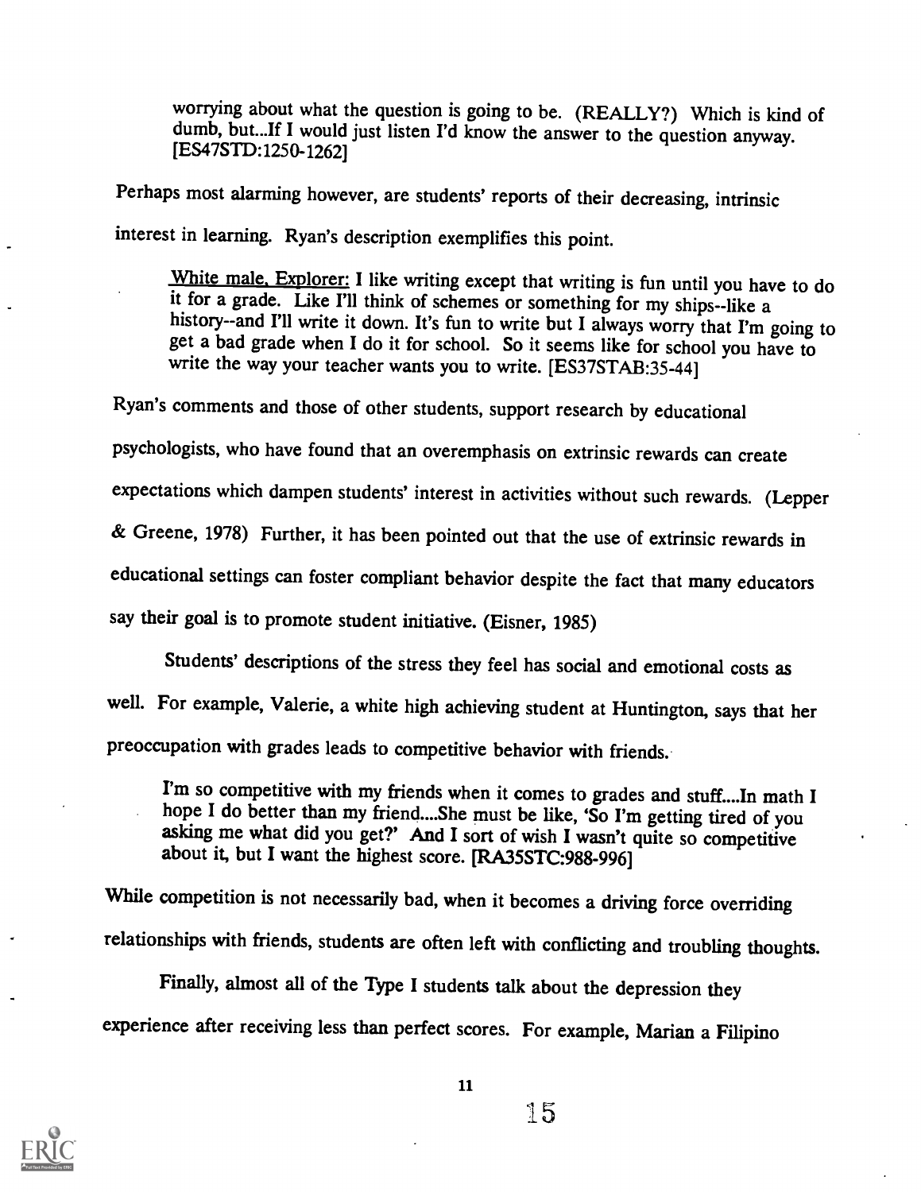worrying about what the question is going to be. (REALLY?) Which is kind of dumb, but...If I would just listen I'd know the answer to the question anyway. [ES47STD:1250-1262]

Perhaps most alarming however, are students' reports of their decreasing, intrinsic interest in learning. Ryan's description exemplifies this point.

White male, Explorer: I like writing except that writing is fun until you have to do it for a grade. Like I'll think of schemes or something for my ships--like a history--and I'll write it down. It's fun to write but I always worry that I'm going to get a bad grade when I do it for school. So it seems like for school you have to write the way your teacher wants you to write. [ES37STAB:35-44]

Ryan's comments and those of other students, support research by educational

psychologists, who have found that an overemphasis on extrinsic rewards can create

expectations which dampen students' interest in activities without such rewards. (Lepper

& Greene, 1978) Further, it has been pointed out that the use of extrinsic rewards in

educational settings can foster compliant behavior despite the fact that many educators

say their goal is to promote student initiative. (Eisner, 1985)

Students' descriptions of the stress they feel has social and emotional costs as well. For example, Valerie, a white high achieving student at Huntington, says that her preoccupation with grades leads to competitive behavior with friends.

I'm so competitive with my friends when it comes to grades and stuff....In math I hope I do better than my friend....She must be like, 'So I'm getting tired of you asking me what did you get?' And I sort of wish I wasn't quite so competitive about it, but I want the highest score. [RA35STC:988-996]

While competition is not necessarily bad, when it becomes a driving force overriding relationships with friends, students are often left with conflicting and troubling thoughts.

Finally, almost all of the Type I students talk about the depression they experience after receiving less than perfect scores. For example, Marian a Filipino



11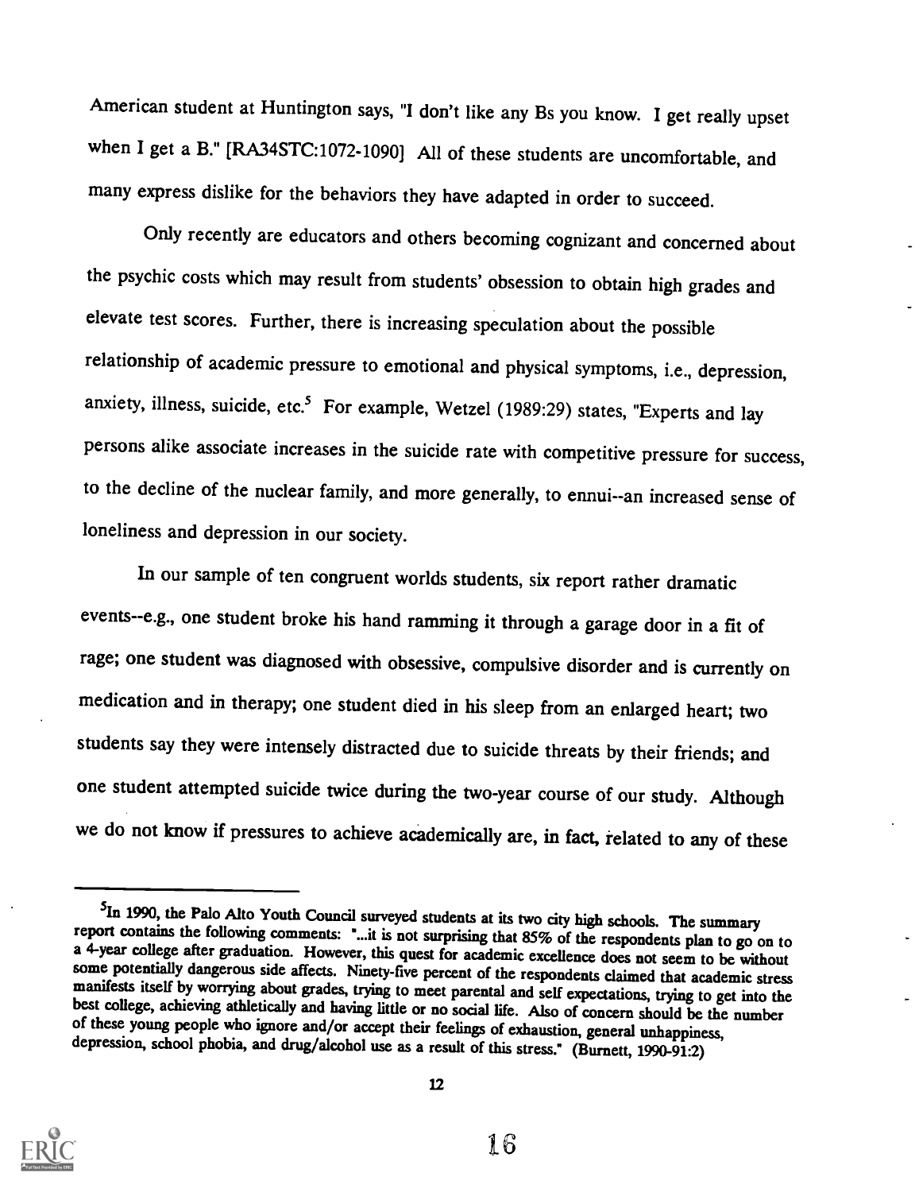American student at Huntington says, "I don't like any Bs you know. I get really upset when I get a B." [RA34STC:1072-1090] All of these students are uncomfortable, and many express dislike for the behaviors they have adapted in order to succeed.

Only recently are educators and others becoming cognizant and concerned about the psychic costs which may result from students' obsession to obtain high grades and elevate test scores. Further, there is increasing speculation about the possible relationship of academic pressure to emotional and physical symptoms, i.e., depression, anxiety, illness, suicide, etc.<sup>5</sup> For example, Wetzel (1989:29) states, "Experts and lay persons alike associate increases in the suicide rate with competitive pressure for success, to the decline of the nuclear family, and more generally, to ennui--an increased sense of loneliness and depression in our society.

In our sample of ten congruent worlds students, six report rather dramatic events--e.g., one student broke his hand ramming it through a garage door in a fit of rage; one student was diagnosed with obsessive, compulsive disorder and is currently on medication and in therapy; one student died in his sleep from an enlarged heart; two students say they were intensely distracted due to suicide threats by their friends; and one student attempted suicide twice during the two-year course of our study. Although we do not know if pressures to achieve academically are, in fact, related to any of these



<sup>&</sup>lt;sup>5</sup>In 1990, the Palo Alto Youth Council surveyed students at its two city high schools. The summary<br>report contains the following comments: "...it is not surprising that 85% of the respondents plan to go on to<br>a 4-year co of these young people who ignore and/or accept their feelings of exhaustion, general unhappiness, depression, school phobia, and drug/alcohol use as a result of this stress." (Burnett, 1990-91:2)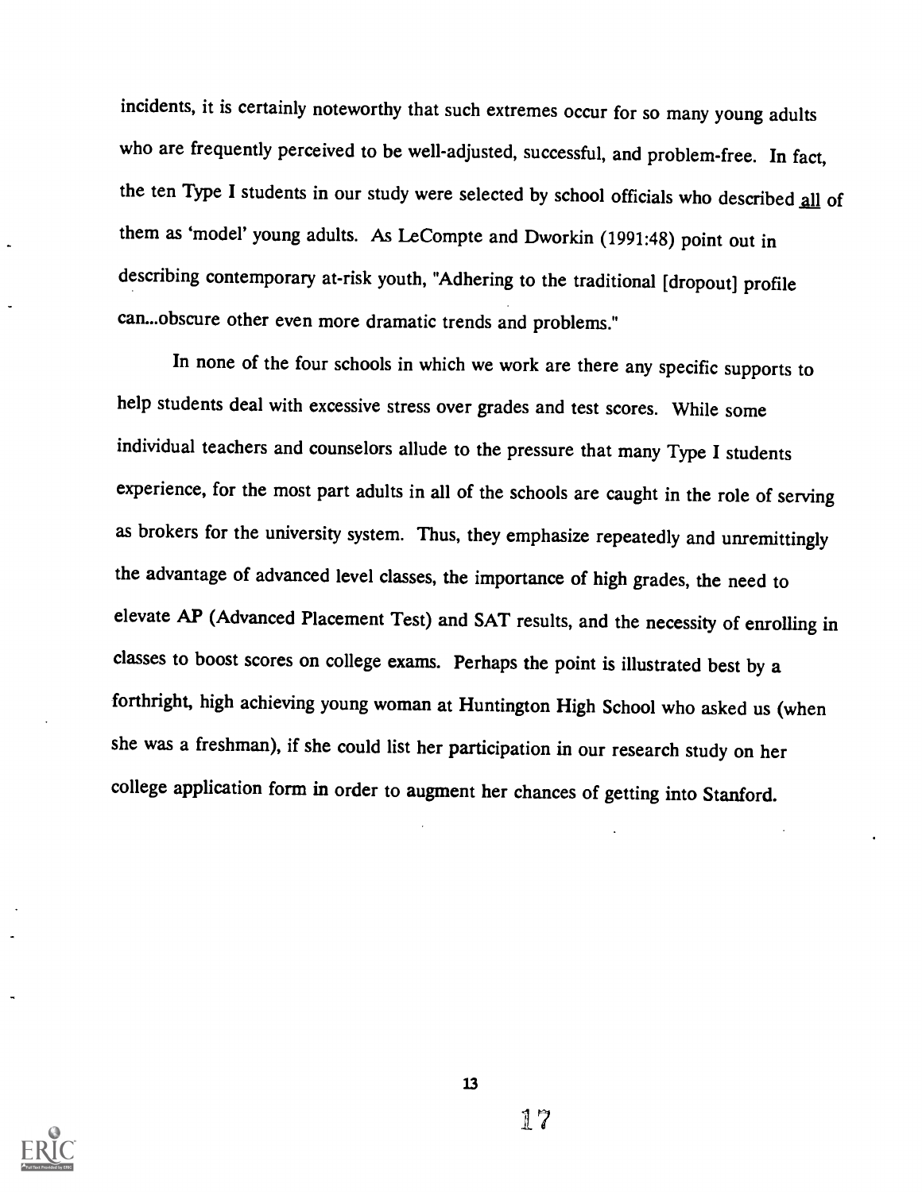incidents, it is certainly noteworthy that such extremes occur for so many young adults who are frequently perceived to be well-adjusted, successful, and problem-free. In fact, the ten Type I students in our study were selected by school officials who described all of them as 'model' young adults. As LeCompte and Dworkin (1991:48) point out in describing contemporary at-risk youth, "Adhering to the traditional [dropout] profile can...obscure other even more dramatic trends and problems."

In none of the four schools in which we work are there any specific supports to help students deal with excessive stress over grades and test scores. While some individual teachers and counselors allude to the pressure that many Type I students experience, for the most part adults in all of the schools are caught in the role of serving as brokers for the university system. Thus, they emphasize repeatedly and unremittingly the advantage of advanced level classes, the importance of high grades, the need to elevate AP (Advanced Placement Test) and SAT results, and the necessity of enrolling in classes to boost scores on college exams. Perhaps the point is illustrated best by a forthright, high achieving young woman at Huntington High School who asked us (when she was a freshman), if she could list her participation in our research study on her college application form in order to augment her chances of getting into Stanford.



13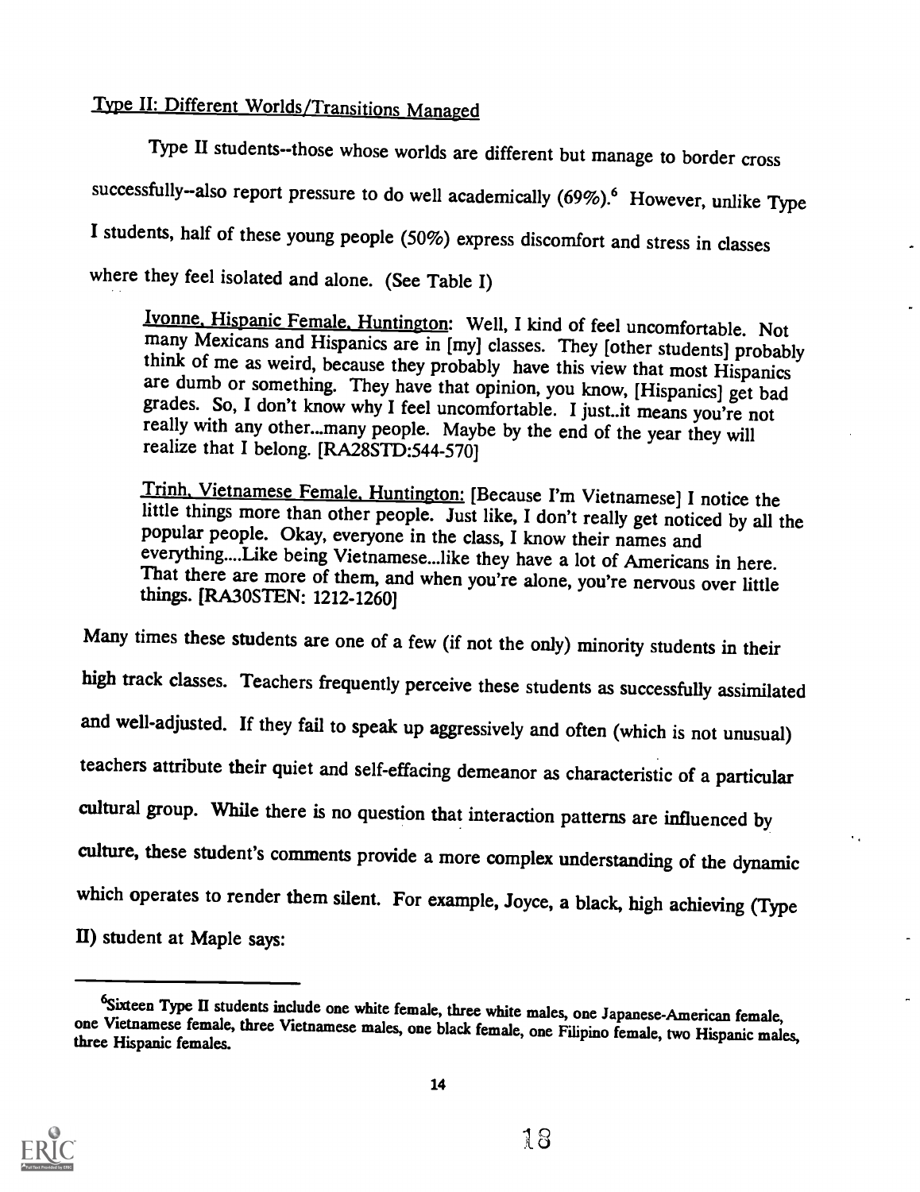# Type II: Different Worlds/Transitions Managed

Type II students--those whose worlds are different but manage to border cross successfully--also report pressure to do well academically (69%).<sup>6</sup> However, unlike Type I students, half of these young people (50%) express discomfort and stress in classes where they feel isolated and alone. (See Table I)

Ivonne, Hispanic Female, Huntington: Well, I kind of feel uncomfortable. Not many Mexicans and Hispanics are in [my] classes. They [other students] probably think of me as weird, because they probably have this view that m

Trinh, Vietnamese Female, Huntington: [Because I'm Vietnamese] I notice the little things more than other people. Just like, I don't really get noticed by all the popular people. Okay, everyone in the class, I know their n That there are more of them, and when you're alone, you're nervous over little things. [RA30STEN: 1212-1260]

Many times these students are one of a few (if not the only) minority students in their high track classes. Teachers frequently perceive these students as successfully assimilated and well-adjusted. If they fail to speak up aggressively and often (which is not unusual) teachers attribute their quiet and self-effacing demeanor as characteristic of a particular cultural group. While there is no question that interaction patterns are influenced by culture, these student's comments provide a more complex understanding of the dynamic which operates to render them silent. For example, Joyce, a black, high achieving (Type II) student at Maple says:



<sup>&</sup>lt;sup>6</sup>Sixteen Type II students include one white female, three white males, one Japanese-American female, one Vietnamese female, three Vietnamese males, one black female, one Filipino female, two Hispanic males, three Hispani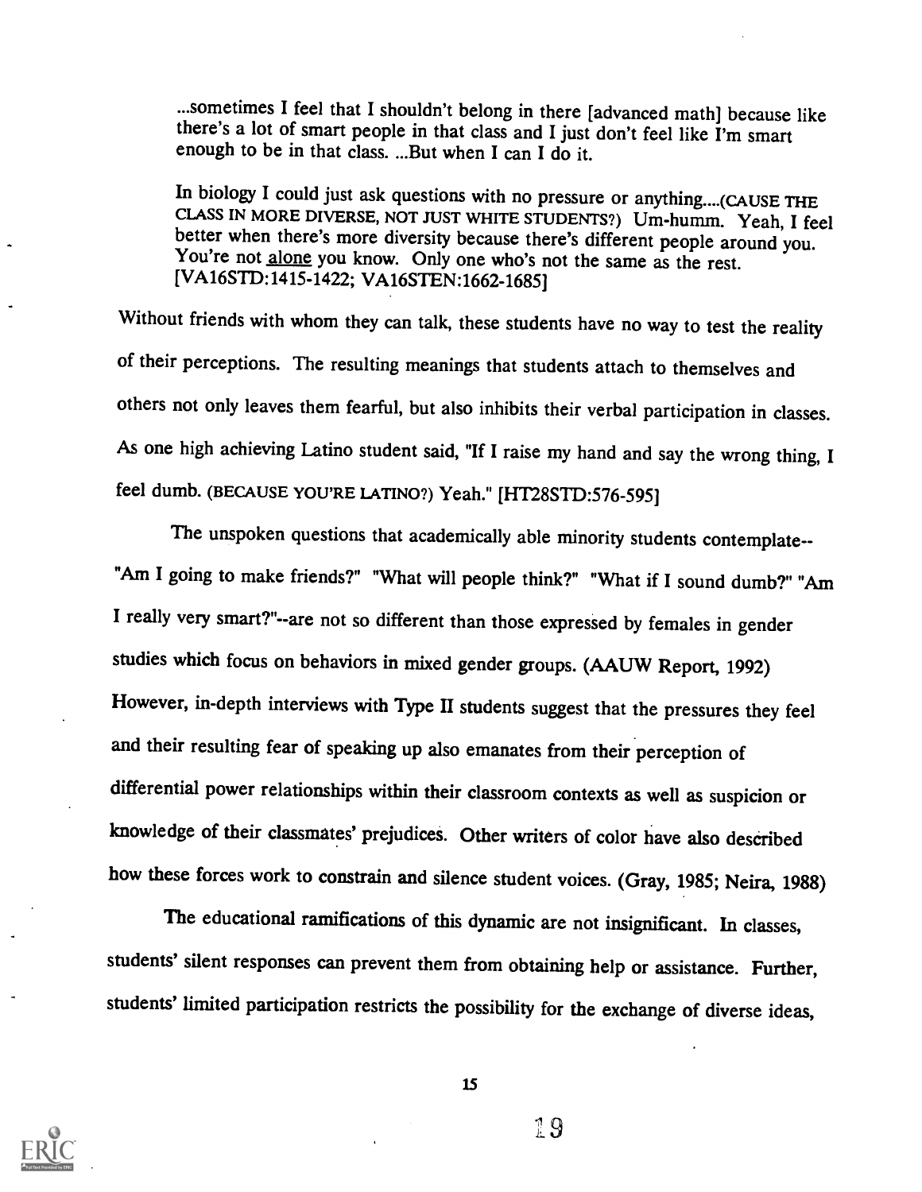...sometimes I feel that I shouldn't belong in there [advanced math] because like there's a lot of smart people in that class and I just don't feel like I'm smart enough to be in that class. ...But when I can I do it.

In biology I could just ask questions with no pressure or anything....(CAUSE THE CLASS IN MORE DIVERSE, NOT JUST WHITE STUDENTS?) Um-humm. Yeah, I feel better when there's more diversity because there's different people around you. You're not alone you know. Only one who's not the same as the rest. [VA16STD:1415-1422; VA16STEN:1662-1685]

Without friends with whom they can talk, these students have no way to test the reality of their perceptions. The resulting meanings that students attach to themselves and others not only leaves them fearful, but also inhibits their verbal participation in classes. As one high achieving Latino student said, "If I raise my hand and say the wrong thing, I feel dumb. (BECAUSE YOU'RE LATINO?) Yeah." [HT28STD:576-595]

The unspoken questions that academically able minority students contemplate-- "Am I going to make friends?" "What will people think?" "What if I sound dumb?" "Am I really very smart?"--are not so different than those expressed by females in gender studies which focus on behaviors in mixed gender groups. (AAUW Report, 1992) However, in-depth interviews with Type II students suggest that the pressures they feel and their resulting fear of speaking up also emanates from their perception of differential power relationships within their classroom contexts as well as suspicion or knowledge of their classmates' prejudices. Other writers of color have also described how these forces work to constrain and silence student voices. (Gray, 1985; Neira, 1988)

The educational ramifications of this dynamic are not insignificant. In classes, students' silent responses can prevent them from obtaining help or assistance. Further, students' limited participation restricts the possibility for the exchange of diverse ideas,



15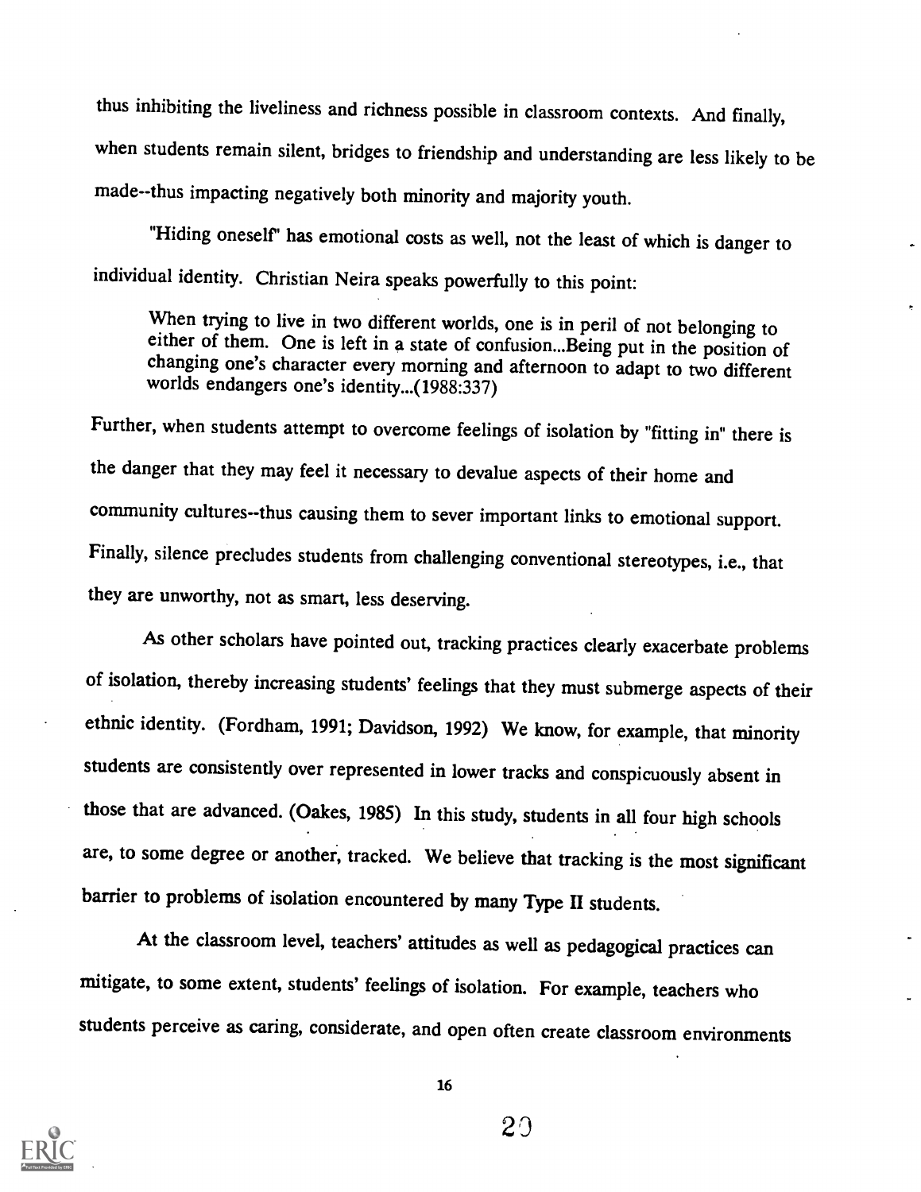thus inhibiting the liveliness and richness possible in classroom contexts. And finally, when students remain silent, bridges to friendship and understanding are less likely to be made--thus impacting negatively both minority and majority youth.

"Hiding oneself' has emotional costs as well, not the least of which is danger to individual identity. Christian Neira speaks powerfully to this point:

When trying to live in two different worlds, one is in peril of not belonging to either of them. One is left in a state of confusion...Being put in the position of changing one's character every morning and afternoon to ad worlds endangers one's identity...(1988:337)

Further, when students attempt to overcome feelings of isolation by "fitting in" there is the danger that they may feel it necessary to devalue aspects of their home and community cultures--thus causing them to sever important links to emotional support. Finally, silence precludes students from challenging conventional stereotypes, i.e., that they are unworthy, not as smart, less deserving.

As other scholars have pointed out, tracking practices clearly exacerbate problems of isolation, thereby increasing students' feelings that they must submerge aspects of their ethnic identity. (Fordham, 1991; Davidson, 1992) We know, for example, that minority students are consistently over represented in lower tracks and conspicuously absent in those that are advanced. (Oakes, 1985) In this study, students in all four high schools are, to some degree or another, tracked. We believe that tracking is the most significant barrier to problems of isolation encountered by many Type II students.

At the classroom level, teachers' attitudes as well as pedagogical practices can mitigate, to some extent, students' feelings of isolation. For example, teachers who students perceive as caring, considerate, and open often create classroom environments



16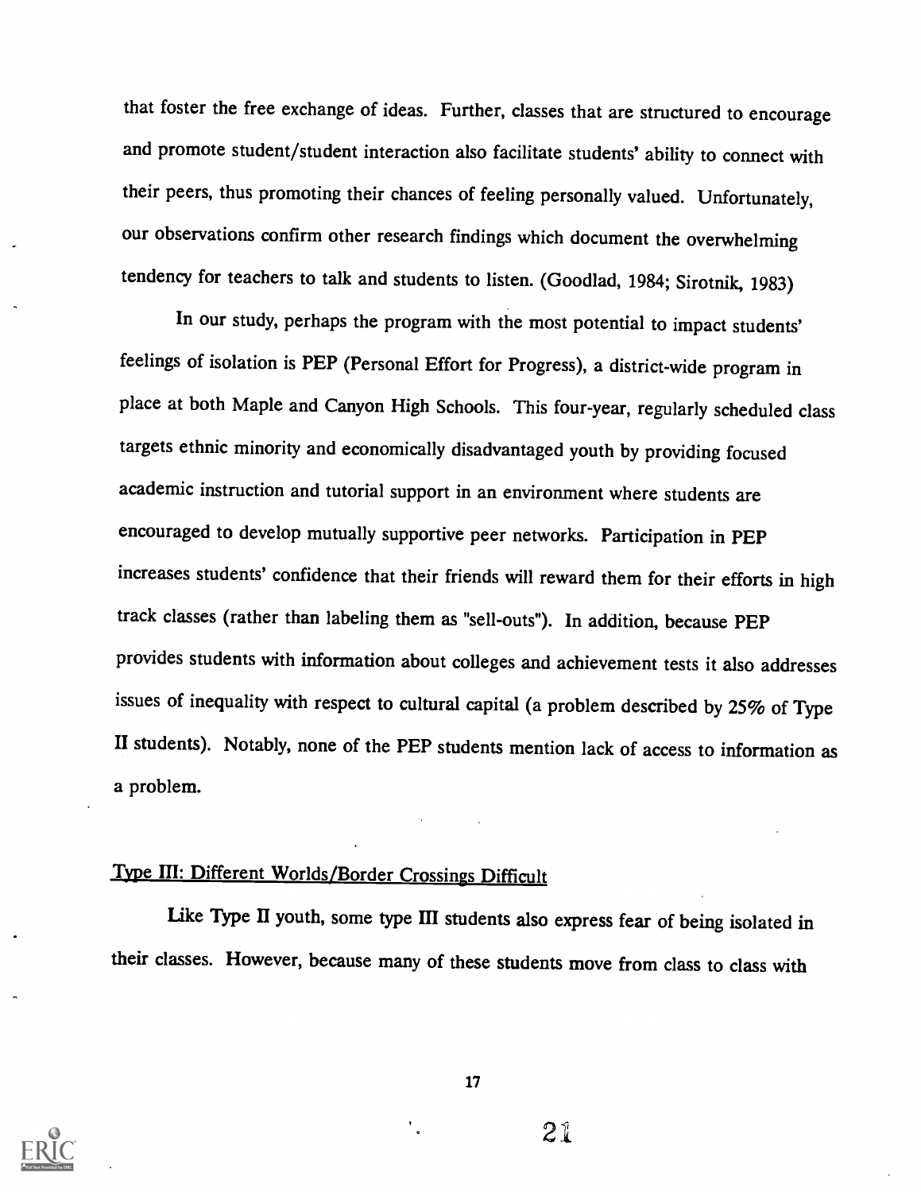that foster the free exchange of ideas. Further, classes that are structured to encourage and promote student/student interaction also facilitate students' ability to connect with their peers, thus promoting their chances of feeling personally valued. Unfortunately, our observations confirm other research findings which document the overwhelming tendency for teachers to talk and students to listen. (Goodlad, 1984; Sirotnik, 1983)

In our study, perhaps the program with the most potential to impact students' feelings of isolation is PEP (Personal Effort for Progress), a district-wide program in place at both Maple and Canyon High Schools. This four-year, regularly scheduled class targets ethnic minority and economically disadvantaged youth by providing focused academic instruction and tutorial support in an environment where students are encouraged to develop mutually supportive peer networks. Participation in PEP increases students' confidence that their friends will reward them for their efforts in high track classes (rather than labeling them as "sell-outs"). In addition, because PEP provides students with information about colleges and achievement tests it also addresses issues of inequality with respect to cultural capital (a problem described by 25% of Type H students). Notably, none of the PEP students mention lack of access to information as a problem.

# Type III: Different Worlds/Border Crossings Difficult

Like Type II youth, some type III students also express fear of being isolated in their classes. However, because many of these students move from class to class with

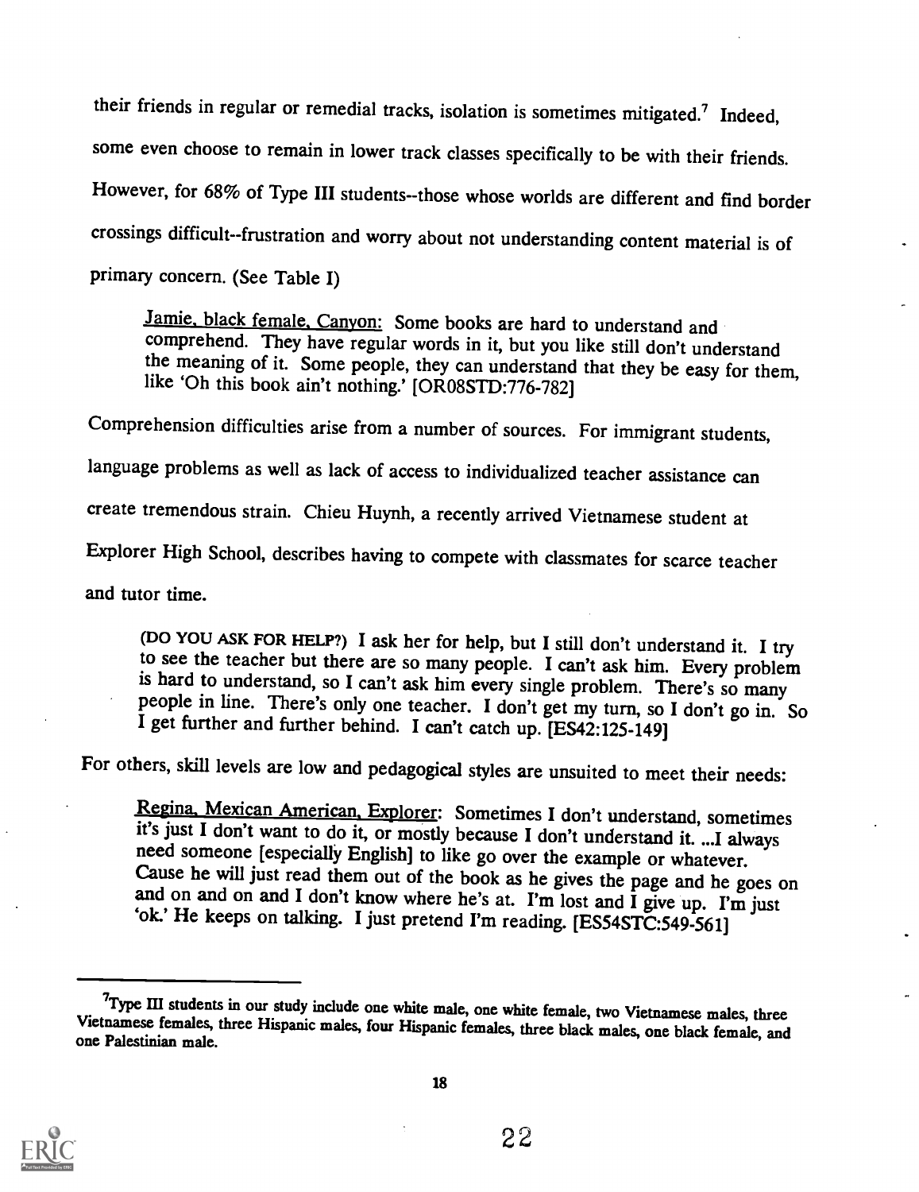their friends in regular or remedial tracks, isolation is sometimes mitigated.' Indeed, some even choose to remain in lower track classes specifically to be with their friends. However, for 68% of Type III students--those whose worlds are different and find border crossings difficult--frustration and worry about not understanding content material is of primary concern. (See Table I)

Jamie, black female, Canyon: Some books are hard to understand and comprehend. They have regular words in it, but you like still don't understand the meaning of it. Some people, they can understand that they be easy for them, like 'Oh this book ain't nothing.' [ORO8STD:776-782]

Comprehension difficulties arise from a number of sources. For immigrant students,

language problems as well as lack of access to individualized teacher assistance can

create tremendous strain. Chieu Huynh, a recently arrived Vietnamese student at

Explorer High School, describes having to compete with classmates for scarce teacher

and tutor time.

(DO YOU ASK FOR HELP?) I ask her for help, but I still don't understand it. I try to see the teacher but there are so many people. I can't ask him. Every problem is hard to understand, so I can't ask him every single probl people in line. There's only one teacher. I don't get my turn, so I don't go in. So I get further and further behind. I can't catch up. [ES42:125-149]

For others, skill levels are low and pedagogical styles are unsuited to meet their needs:

Regina. Mexican American. Explorer: Sometimes I don't understand, sometimes it's just I don't want to do it, or mostly because I don't understand it. ...I always need someone [especially English] to like go over the example or whatever.<br>Cause he will just read them out of the book as he gives the page and he goes on<br>and on and on and I don't know where he's at. I'm lost and I give



<sup>&</sup>lt;sup>7</sup>Type III students in our study include one white male, one white female, two Vietnamese males, three Vietnamese females, three Hispanic males, four Hispanic females, three black males, one black female, and one Palestin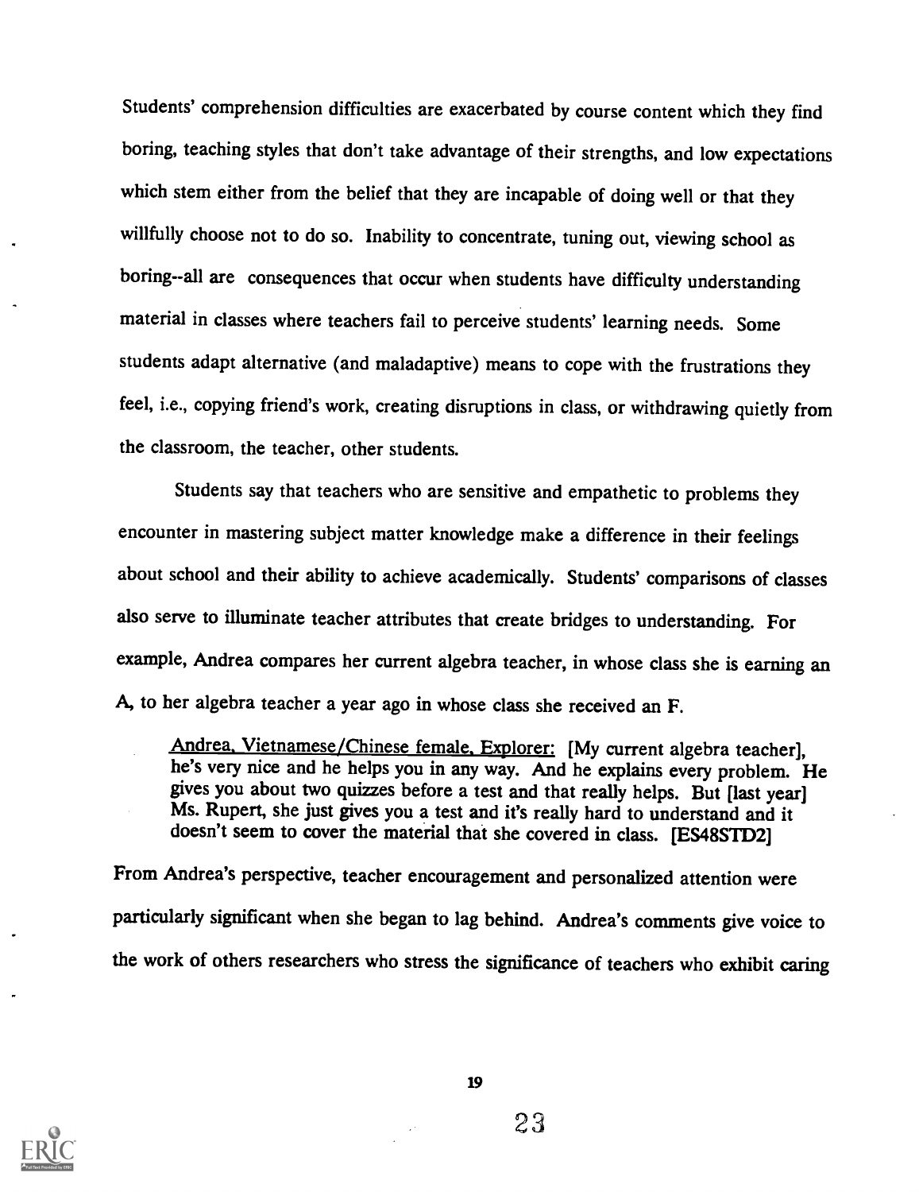Students' comprehension difficulties are exacerbated by course content which they find boring, teaching styles that don't take advantage of their strengths, and low expectations which stem either from the belief that they are incapable of doing well or that they willfully choose not to do so. Inability to concentrate, tuning out, viewing school as boring--all are consequences that occur when students have difficulty understanding material in classes where teachers fail to perceive students' learning needs. Some students adapt alternative (and maladaptive) means to cope with the frustrations they feel, i.e., copying friend's work, creating disruptions in class, or withdrawing quietly from the classroom, the teacher, other students.

Students say that teachers who are sensitive and empathetic to problems they encounter in mastering subject matter knowledge make a difference in their feelings about school and their ability to achieve academically. Students' comparisons of classes also serve to illuminate teacher attributes that create bridges to understanding. For example, Andrea compares her current algebra teacher, in whose class she is earning an A, to her algebra teacher a year ago in whose class she received an F.

Andrea. Vietnamese/Chinese female. Explorer: [My current algebra teacher], he's very nice and he helps you in any way. And he explains every problem. He gives you about two quizzes before a test and that really helps. But [last year] Ms. Rupert, she just gives you a test and it's really hard to understand and it doesn't seem to cover the material that she covered in class. [ES48STD2]

From Andrea's perspective, teacher encouragement and personalized attention were particularly significant when she began to lag behind. Andrea's comments give voice to the work of others researchers who stress the significance of teachers who exhibit caring



19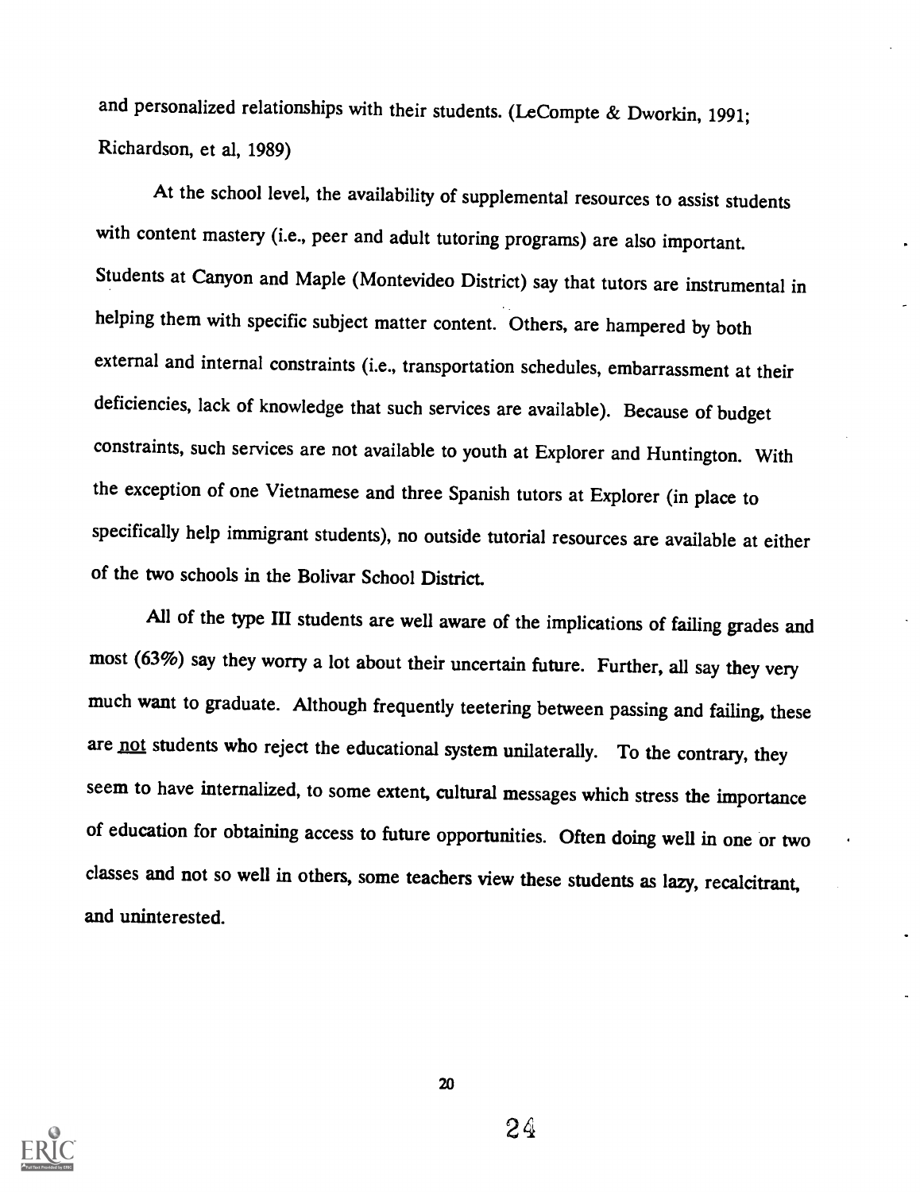and personalized relationships with their students. (LeCompte & Dworkin, 1991; Richardson, et al, 1989)

At the school level, the availability of supplemental resources to assist students with content mastery (i.e., peer and adult tutoring programs) are also important. Students at Canyon and Maple (Montevideo District) say that tutors are instrumental in helping them with specific subject matter content. Others, are hampered by both external and internal constraints (i.e., transportation schedules, embarrassment at their deficiencies, lack of knowledge that such services are available). Because of budget constraints, such services are not available to youth at Explorer and Huntington. With the exception of one Vietnamese and three Spanish tutors at Explorer (in place to specifically help immigrant students), no outside tutorial resources are available at either of the two schools in the Bolivar School District.

All of the type III students are well aware of the implications of failing grades and most (63%) say they worry a lot about their uncertain future. Further, all say they very much want to graduate. Although frequently teetering between passing and failing, these are not students who reject the educational system unilaterally. To the contrary, they seem to have internalized, to some extent, cultural messages which stress the importance of education for obtaining access to future opportunities. Often doing well in one or two classes and not so well in others, some teachers view these students as lazy, recalcitrant, and uninterested.

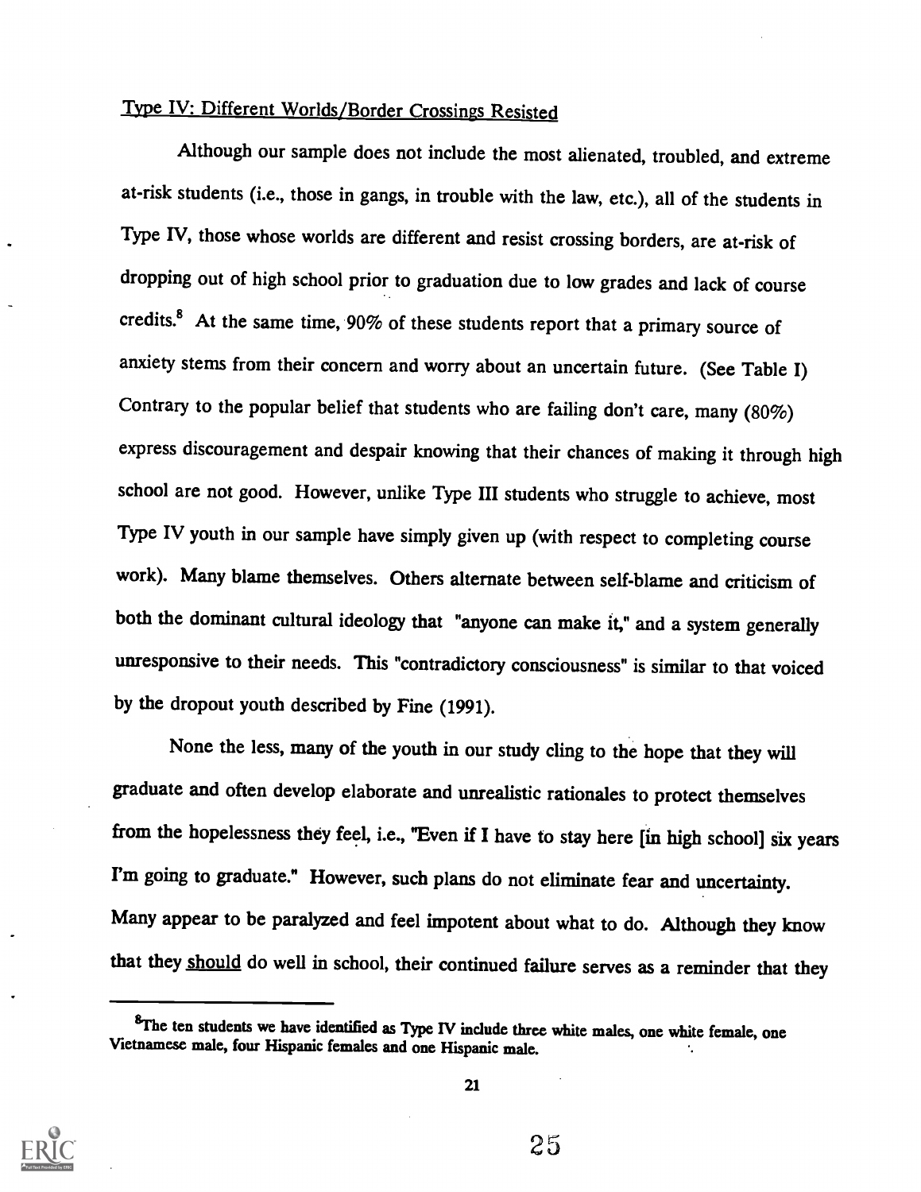# Type IV: Different Worlds/Border Crossings Resisted

Although our sample does not include the most alienated, troubled, and extreme at-risk students (i.e., those in gangs, in trouble with the law, etc.), all of the students in Type IV, those whose worlds are different and resist crossing borders, are at-risk of dropping out of high school prior to graduation due to low grades and lack of course credits.<sup>8</sup> At the same time,  $90\%$  of these students report that a primary source of anxiety stems from their concern and worry about an uncertain future. (See Table I) Contrary to the popular belief that students who are failing don't care, many (80%) express discouragement and despair knowing that their chances of making it through high school are not good. However, unlike Type III students who struggle to achieve, most Type IV youth in our sample have simply given up (with respect to completing course work). Many blame themselves. Others alternate between self-blame and criticism of both the dominant cultural ideology that "anyone can make it," and a system generally unresponsive to their needs. This "contradictory consciousness" is similar to that voiced by the dropout youth described by Fine (1991).

None the less, many of the youth in our study cling to the hope that they will graduate and often develop elaborate and unrealistic rationales to protect themselves from the hopelessness they feel, i.e., "Even if I have to stay here [in high school] six years Fm going to graduate." However, such plans do not eliminate fear and uncertainty. Many appear to be paralyzed and feel impotent about what to do. Although they know that they should do well in school, their continued failure serves as a reminder that they



<sup>&</sup>lt;sup>8</sup>The ten students we have identified as Type IV include three white males, one white female, one Vietnamese male, four Hispanic females and one Hispanic male.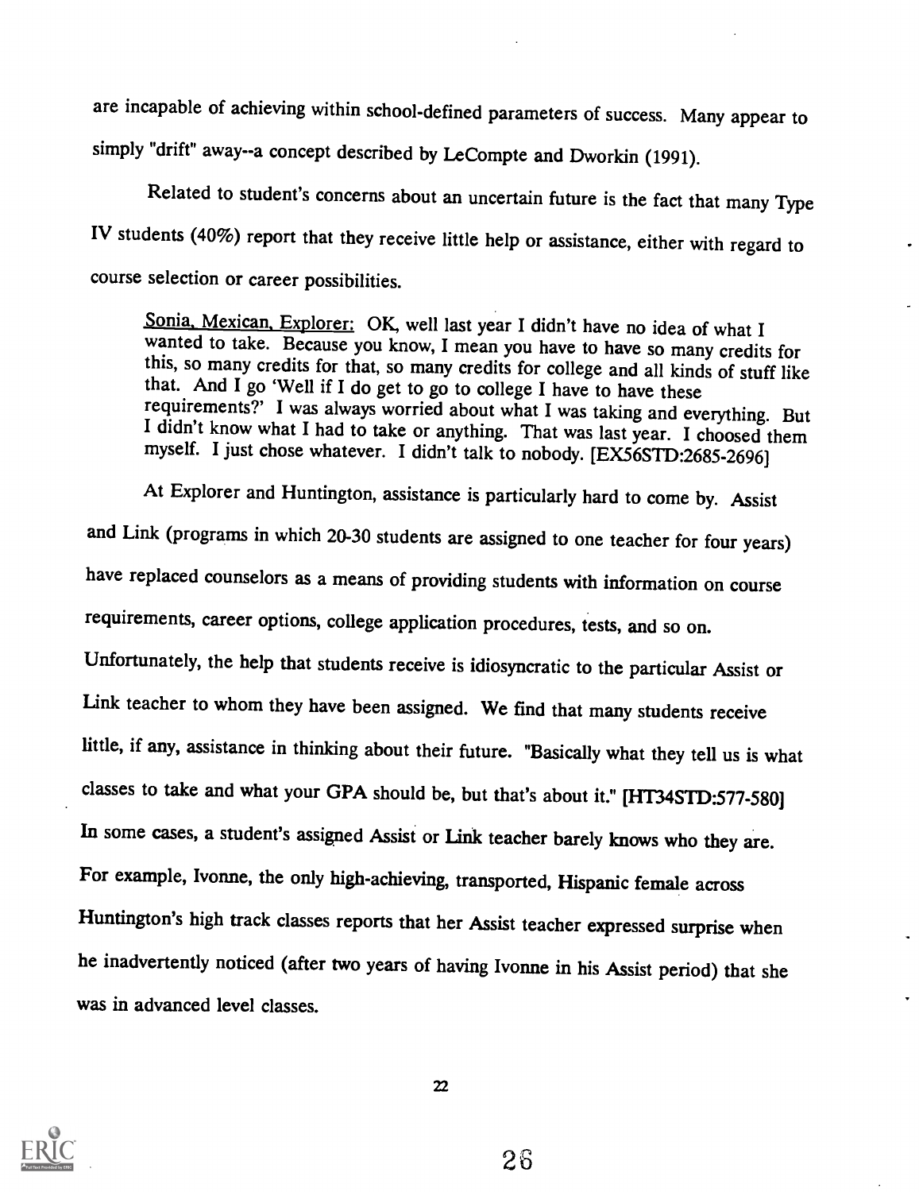are incapable of achieving within school-defined parameters of success. Many appear to simply "drift" away--a concept described by LeCompte and Dworkin (1991).

Related to student's concerns about an uncertain future is the fact that many Type IV students (40%) report that they receive little help or assistance, either with regard to course selection or career possibilities.

Sonia, Mexican, Explorer: OK, well last year I didn't have no idea of what I wanted to take. Because you know, I mean you have to have so many credits for this, so many credits for that, so many credits for college and all I didn't know what I had to take or anything. That was last year. I choosed them myself. I just chose whatever. I didn't talk to nobody. [EX56STD:2685 -2696]

At Explorer and Huntington, assistance is particularly hard to come by. Assist and Link (programs in which 20-30 students are assigned to one teacher for four years) have replaced counselors as a means of providing students with information on course requirements, career options, college application procedures, tests, and so on. Unfortunately, the help that students receive is idiosyncratic to the particular Assist or Link teacher to whom they have been assigned. We find that many students receive little, if any, assistance in thinking about their future. "Basically what they tell us is what classes to take and what your GPA should be, but that's about it." [HT34STD:577-580] In some cases, a student's assigned Assist or Link teacher barely knows who they are. For example, Ivonne, the only high-achieving, transported, Hispanic female across Huntington's high track classes reports that her Assist teacher expressed surprise when he inadvertently noticed (after two years of having Ivonne in his Assist period) that she was in advanced level classes.

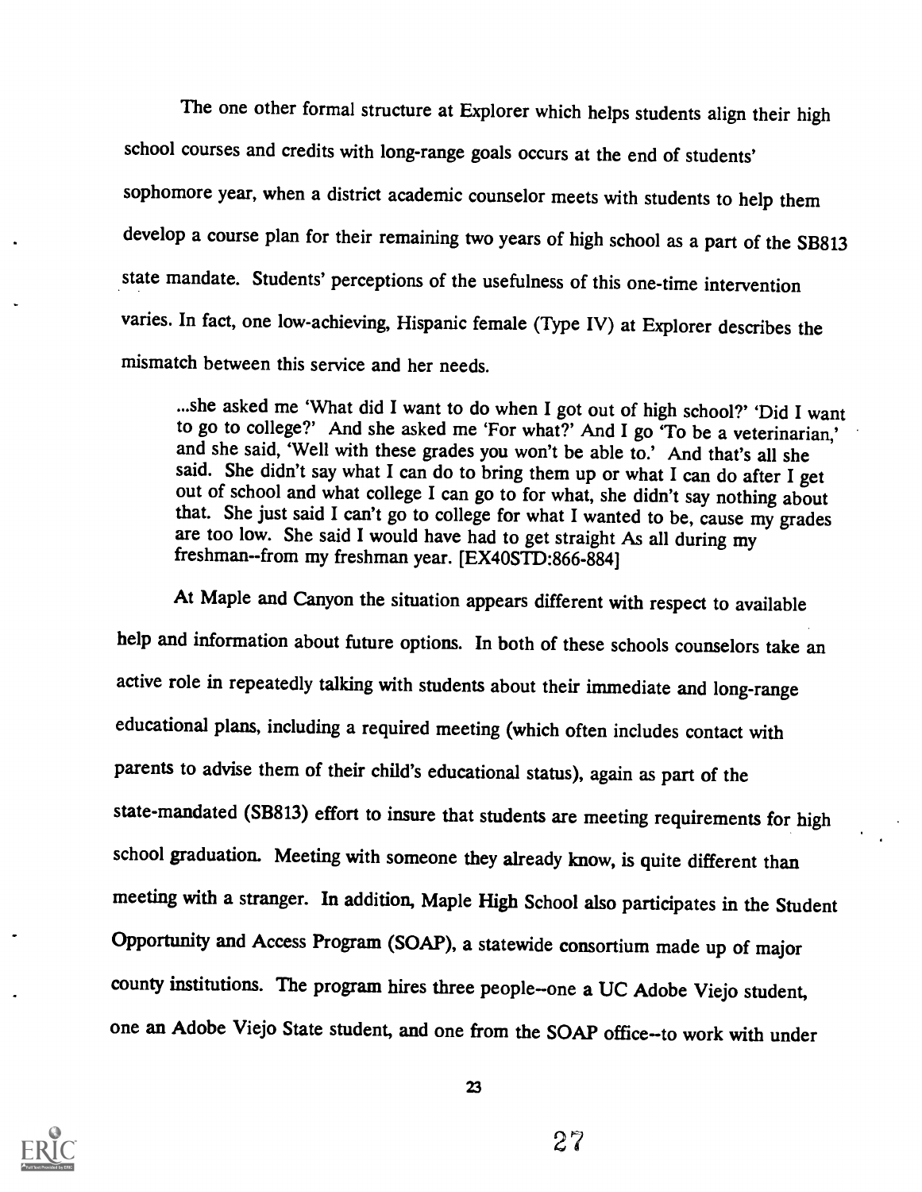The one other formal structure at Explorer which helps students align their high school courses and credits with long-range goals occurs at the end of students' sophomore year, when a district academic counselor meets with students to help them develop a course plan for their remaining two years of high school as a part of the SB813 state mandate. Students' perceptions of the usefulness of this one-time intervention varies. In fact, one low-achieving, Hispanic female (Type IV) at Explorer describes the mismatch between this service and her needs.

...she asked me 'What did I want to do when I got out of high school?' 'Did I want<br>to go to college?' And she asked me 'For what?' And I go 'To be a veterinarian,'<br>and she said, 'Well with these grades you won't be able to out of school and what college I can go to for what, she didn't say nothing about that. She just said I can't go to college for what I wanted to be, cause my grades are too low. She said I would have had to get straight As freshman--from my freshman year. [EX40STD:866-884]

At Maple and Canyon the situation appears different with respect to available help and information about future options. In both of these schools counselors take an active role in repeatedly talking with students about their immediate and long-range educational plans, including a required meeting (which often includes contact with parents to advise them of their child's educational status), again as part of the state-mandated (SB813) effort to insure that students are meeting requirements for high school graduation. Meeting with someone they already know, is quite different than meeting with a stranger. In addition, Maple High School also participates in the Student Opportunity and Access Program (SOAP), a statewide consortium made up of major county institutions. The program hires three people--one a UC Adobe Viejo student, one an Adobe Viejo State student, and one from the SOAP office--to work with under



2?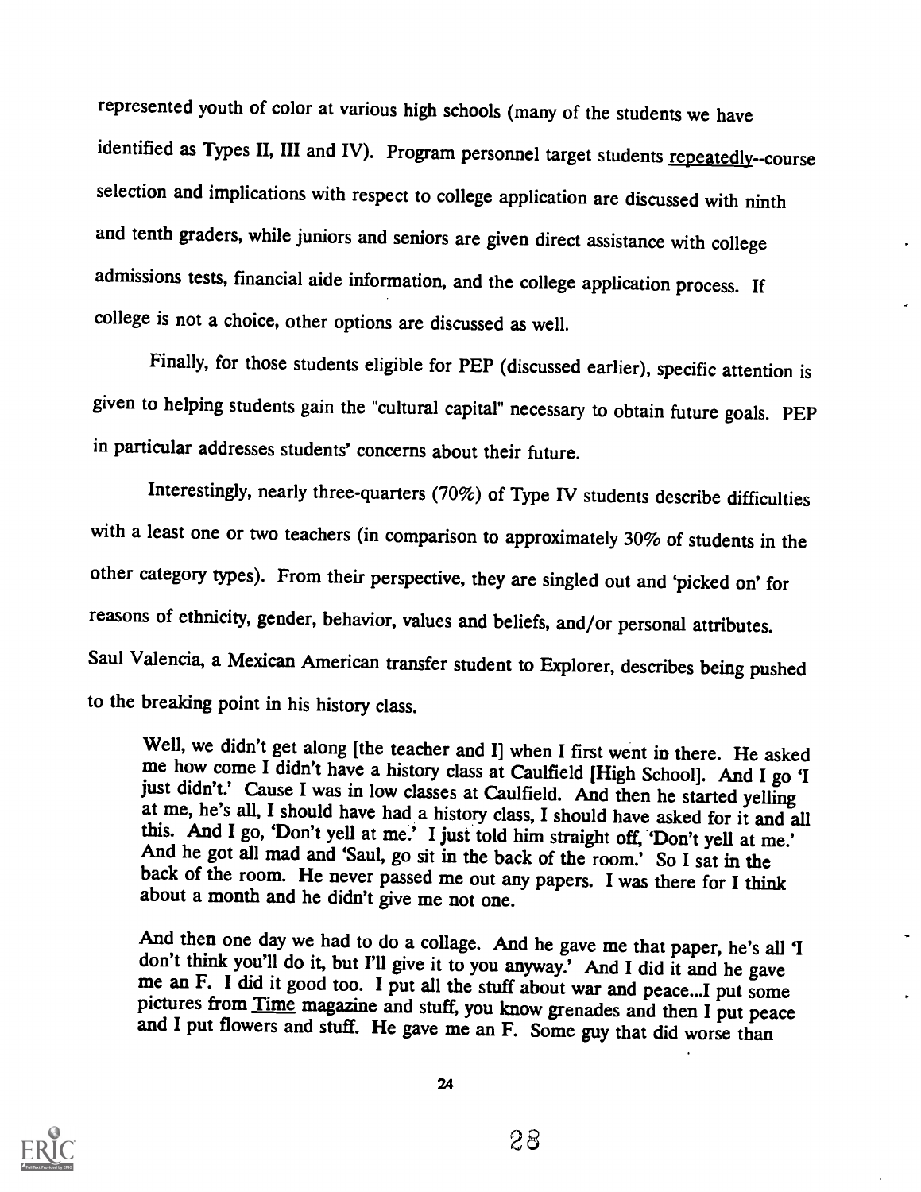represented youth of color at various high schools (many of the students we have identified as Types II, III and IV). Program personnel target students repeatedly--course selection and implications with respect to college application are discussed with ninth and tenth graders, while juniors and seniors are given direct assistance with college admissions tests, financial aide information, and the college application process. If college is not a choice, other options are discussed as well.

Finally, for those students eligible for PEP (discussed earlier), specific attention is given to helping students gain the "cultural capital" necessary to obtain future goals. PEP in particular addresses students' concerns about their future.

Interestingly, nearly three-quarters (70%) of Type IV students describe difficulties with a least one or two teachers (in comparison to approximately 30% of students in the other category types). From their perspective, they are singled out and 'picked on' for reasons of ethnicity, gender, behavior, values and beliefs, and/or personal attributes. Saul Valencia, a Mexican American transfer student to Explorer, describes being pushed to the breaking point in his history class.

Well, we didn't get along [the teacher and I] when I first went in there. He asked<br>me how come I didn't have a history class at Caulfield [High School]. And I go 'I<br>just didn't.' Cause I was in low classes at Caulfield. An about a month and he didn't give me not one.

And then one day we had to do a collage. And he gave me that paper, he's all 'I don't think you'll do it, but I'll give it to you anyway.' And I did it and he gave me an F. I did it good too. I put all the stuff about war

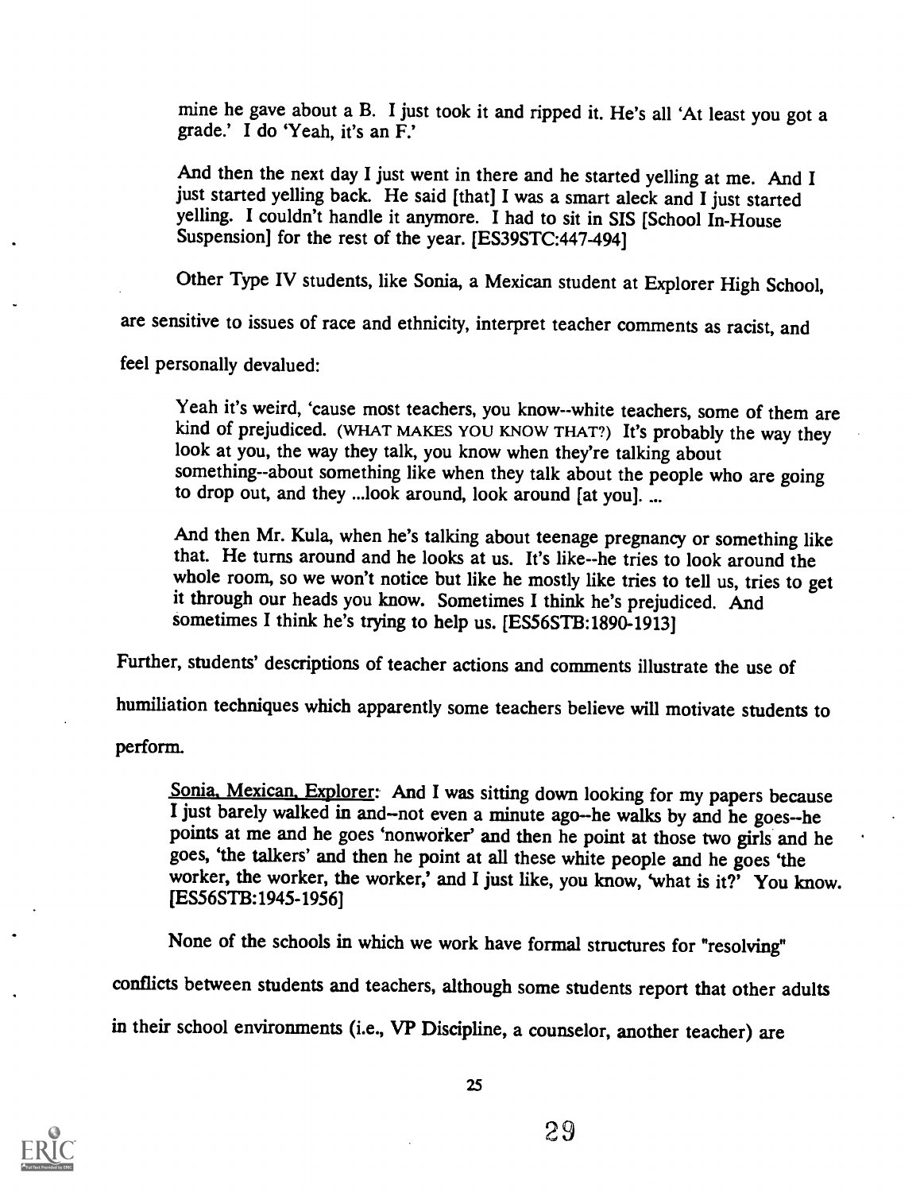mine he gave about a B. I just took it and ripped it. He's all 'At least you got a grade.' I do 'Yeah, it's an F.'

And then the next day I just went in there and he started yelling at me. And I just started yelling back. He said [that] I was a smart aleck and I just started yelling. I couldn't handle it anymore. I had to sit in SIS [School In-House Suspension] for the rest of the year. [ES39STC:447-494]

Other Type IV students, like Sonia, a Mexican student at Explorer High School,

are sensitive to issues of race and ethnicity, interpret teacher comments as racist, and

feel personally devalued:

Yeah it's weird, 'cause most teachers, you know--white teachers, some of them are kind of prejudiced. (WHAT MAKES YOU KNOW THAT?) It's probably the way they look at you, the way they talk, you know when they're talking about something--about something like when they talk about the people who are going to drop out, and they ...look around, look around [at you]. ...

And then Mr. Kula, when he's talking about teenage pregnancy or something like that. He turns around and he looks at us. It's like--he tries to look around the whole room, so we won't notice but like he mostly like tries to tell us, tries to get it through our heads you know. Sometimes I think he's prejudiced. And sometimes I think he's trying to help us. [ES56STB:1890-1913]

Further, students' descriptions of teacher actions and comments illustrate the use of

humiliation techniques which apparently some teachers believe will motivate students to

perform.

Sonia. Mexican. Explorer: And I was sitting down looking for my papers because I just barely walked in and--not even a minute ago--he walks by and he goes--he points at me and he goes 'nonworker' and then he point at those two girls and he goes, 'the talkers' and then he point at all these white people and he goes 'the worker, the worker, the worker,' and I just like, you know, 'what is it?' You know. [ES56STB:1945-1956]

None of the schools in which we work have formal structures for "resolving"

conflicts between students and teachers, although some students report that other adults

in their school environments (i.e., VP Discipline, a counselor, another teacher) are

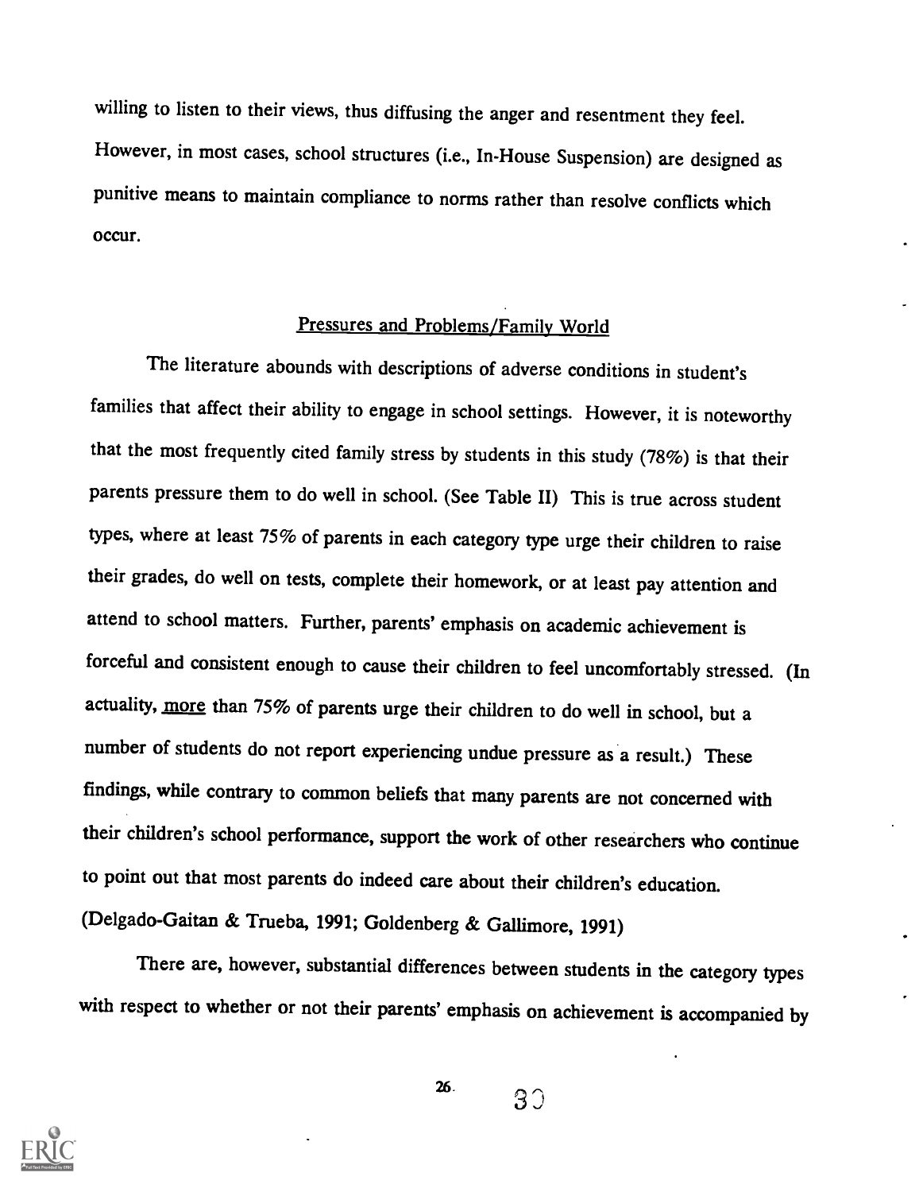willing to listen to their views, thus diffusing the anger and resentment they feel. However, in most cases, school structures (i.e., In-House Suspension) are designed as punitive means to maintain compliance to norms rather than resolve conflicts which occur.

# Pressures and Problems/Family World

The literature abounds with descriptions of adverse conditions in student's families that affect their ability to engage in school settings. However, it is noteworthy that the most frequently cited family stress by students in this study (78%) is that their parents pressure them to do well in school. (See Table II) This is true across student types, where at least 75% of parents in each category type urge their children to raise their grades, do well on tests, complete their homework, or at least pay attention and attend to school matters. Further, parents' emphasis on academic achievement is forceful and consistent enough to cause their children to feel uncomfortably stressed. (In actuality, more than 75% of parents urge their children to do well in school, but a number of students do not report experiencing undue pressure as a result.) These findings, while contrary to common beliefs that many parents are not concerned with their children's school performance, support the work of other researchers who continue to point out that most parents do indeed care about their children's education. (Delgado-Gaitan & Trueba, 1991; Goldenberg & Gallimore, 1991)

There are, however, substantial differences between students in the category types with respect to whether or not their parents' emphasis on achievement is accompanied by



 $26.$  3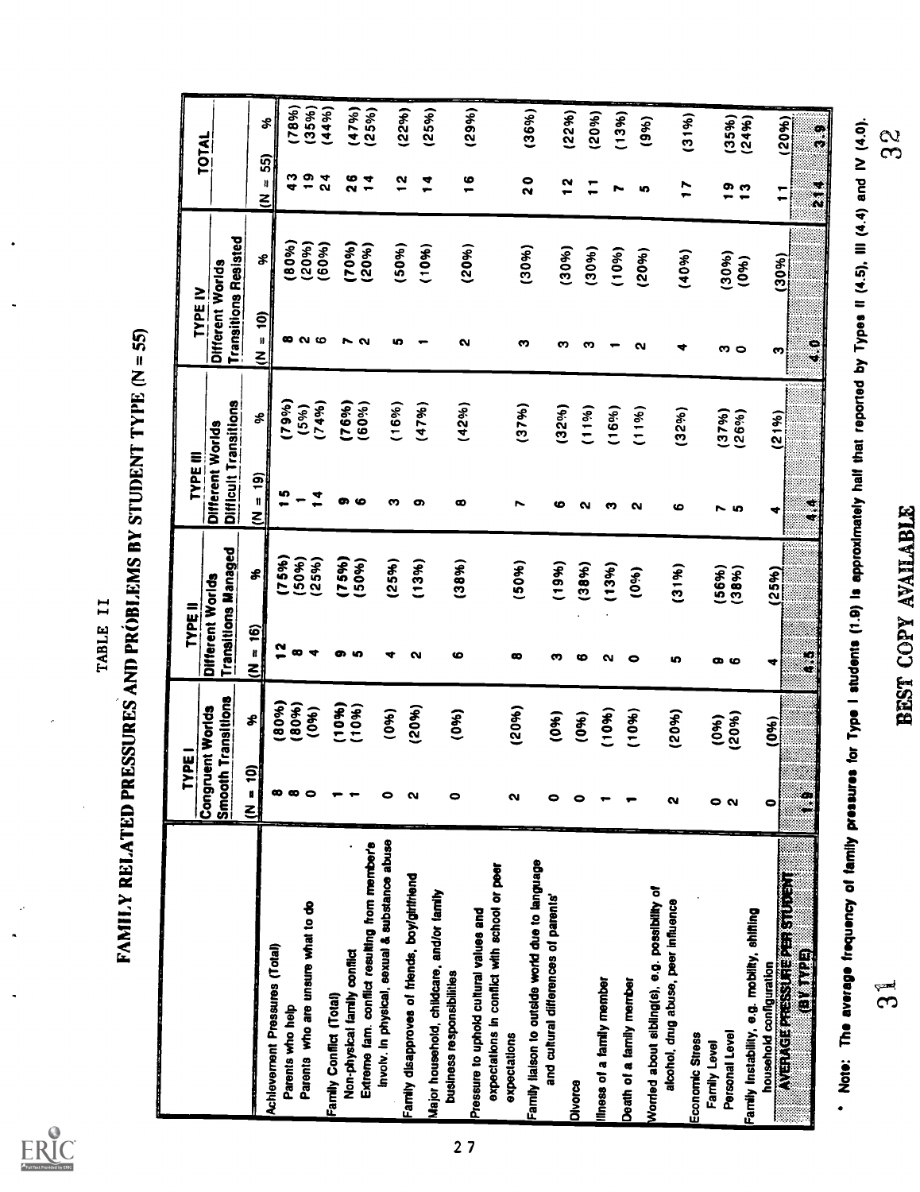| Different Worlds<br>$(4 - 16)$<br>$\mathbf{r}$<br>$\bullet$<br>₹<br>ຶ<br>ന<br>N<br>₩<br>ဖ<br><b>Smooth Transitions</b><br>(80%)<br>(80%)<br>(10%)<br>(10%)<br>(20%)<br>Congruent Worlds<br>(0, 6)<br>(0, 0)<br>(0, 0)<br>£<br>$\widehat{\mathbf{e}}$<br><u>,</u><br>르<br>œ<br>N<br>0<br>involv. In physical, sexual & substance abuse<br>Extreme fam. conflict resulting from member's<br>expectations in conflict with school or peer<br>Farrily disapproves of friends, boy/giritriend<br>Major household, childcare, and/or family<br>Parents who are unsure what to do<br>Pressure to uphold cultural values and<br><b>Achievernent Pressures (Total)</b><br>Non-physical family conflict<br>business responsibilities<br><b>Family Conflict (Total)</b><br>Parents who help |                     | TYPE (I                                         |                          | TYPE IV                                  |                               | TOTAL                      |
|----------------------------------------------------------------------------------------------------------------------------------------------------------------------------------------------------------------------------------------------------------------------------------------------------------------------------------------------------------------------------------------------------------------------------------------------------------------------------------------------------------------------------------------------------------------------------------------------------------------------------------------------------------------------------------------------------------------------------------------------------------------------------------|---------------------|-------------------------------------------------|--------------------------|------------------------------------------|-------------------------------|----------------------------|
|                                                                                                                                                                                                                                                                                                                                                                                                                                                                                                                                                                                                                                                                                                                                                                                  | Transitions Managed | Difficult Transitions<br>Different Worlds       |                          | Transitions Resisted<br>Different Worlds |                               |                            |
|                                                                                                                                                                                                                                                                                                                                                                                                                                                                                                                                                                                                                                                                                                                                                                                  | \$                  | \$<br>$\widehat{\mathbf{e}}$<br>ij<br>ξ         | Ŝ                        |                                          |                               |                            |
|                                                                                                                                                                                                                                                                                                                                                                                                                                                                                                                                                                                                                                                                                                                                                                                  | (75%)               |                                                 | $= 10$                   | ቆ                                        | 55)<br>Ħ<br>℥                 | $\boldsymbol{\mathcal{S}}$ |
|                                                                                                                                                                                                                                                                                                                                                                                                                                                                                                                                                                                                                                                                                                                                                                                  | (50%)               | (79%)<br><u> မှ</u><br>$\overline{\phantom{0}}$ | $\bullet$                | (80%)                                    | 43                            | (78%)                      |
|                                                                                                                                                                                                                                                                                                                                                                                                                                                                                                                                                                                                                                                                                                                                                                                  | 25%)                | (74%)<br>(5%)<br>$\frac{4}{1}$                  | ဖ<br>N                   | (20%)                                    | $\frac{9}{1}$                 | (35%)                      |
|                                                                                                                                                                                                                                                                                                                                                                                                                                                                                                                                                                                                                                                                                                                                                                                  |                     |                                                 |                          | (60%)                                    | ▼<br>Ń                        | (44%)                      |
|                                                                                                                                                                                                                                                                                                                                                                                                                                                                                                                                                                                                                                                                                                                                                                                  | (75%)<br>50%)       | (76%)<br><b>G</b><br>$\bullet$                  | $\sim$ $\alpha$          | (70%)                                    | ∞<br>N                        | (47%)                      |
|                                                                                                                                                                                                                                                                                                                                                                                                                                                                                                                                                                                                                                                                                                                                                                                  |                     | (60%)                                           |                          | (20%)                                    | ₹<br>$\overline{\phantom{0}}$ | (25%)                      |
|                                                                                                                                                                                                                                                                                                                                                                                                                                                                                                                                                                                                                                                                                                                                                                                  | (25%)               | (16%)<br>S                                      | U.                       | 50%)                                     | N<br>$\overline{\phantom{0}}$ | (22%)                      |
|                                                                                                                                                                                                                                                                                                                                                                                                                                                                                                                                                                                                                                                                                                                                                                                  | (13%)               | (47%)<br>ၜ                                      | ↽                        | (10%)                                    | ₹<br>⊷                        |                            |
|                                                                                                                                                                                                                                                                                                                                                                                                                                                                                                                                                                                                                                                                                                                                                                                  |                     |                                                 |                          |                                          |                               | (25%)                      |
|                                                                                                                                                                                                                                                                                                                                                                                                                                                                                                                                                                                                                                                                                                                                                                                  | (38%)               | (42%)<br>œ                                      | N                        | (20%)                                    | ဖ<br>$\overline{\phantom{0}}$ | (29%)                      |
|                                                                                                                                                                                                                                                                                                                                                                                                                                                                                                                                                                                                                                                                                                                                                                                  |                     |                                                 |                          |                                          |                               |                            |
| expectations                                                                                                                                                                                                                                                                                                                                                                                                                                                                                                                                                                                                                                                                                                                                                                     |                     |                                                 |                          |                                          |                               |                            |
| ∞<br>(20%)<br>$\boldsymbol{\alpha}$                                                                                                                                                                                                                                                                                                                                                                                                                                                                                                                                                                                                                                                                                                                                              | (50%)               | (37%)<br>$\overline{ }$                         | ო                        | (30%)                                    | $\frac{0}{2}$                 | (36%)                      |
| Family liaison to outside world due to language                                                                                                                                                                                                                                                                                                                                                                                                                                                                                                                                                                                                                                                                                                                                  |                     |                                                 |                          |                                          |                               |                            |
| ∞<br>(0, 0)<br>0<br>and cultural differences of parents'                                                                                                                                                                                                                                                                                                                                                                                                                                                                                                                                                                                                                                                                                                                         | (19%)               | (32%)<br>ဖ                                      | ო                        | (30%)                                    | $\frac{2}{1}$                 | (22%)                      |
| စ<br>(0, 6)<br>0<br>Divorce                                                                                                                                                                                                                                                                                                                                                                                                                                                                                                                                                                                                                                                                                                                                                      | (38%)               | (11%)<br>ຶ                                      | S                        | (30%)                                    | $\mathbf{r}$                  |                            |
| ົ<br>(10%)<br>liness of a family member                                                                                                                                                                                                                                                                                                                                                                                                                                                                                                                                                                                                                                                                                                                                          | (13%)               | (16%)<br>S                                      |                          |                                          |                               | (20%)                      |
| 0<br>(10%)<br>Death of a family member                                                                                                                                                                                                                                                                                                                                                                                                                                                                                                                                                                                                                                                                                                                                           |                     |                                                 | $\overline{\phantom{0}}$ | (10%)                                    | N                             | (13%)                      |
|                                                                                                                                                                                                                                                                                                                                                                                                                                                                                                                                                                                                                                                                                                                                                                                  | (0.6)               | (11%)<br>N                                      | N                        | (20%)                                    | <b>SC</b>                     | (9%)                       |
| S<br>(20%)<br>∾<br>Worned about sibling(s), e.g. possibility of<br>alcohol, drug abuse, peer influence                                                                                                                                                                                                                                                                                                                                                                                                                                                                                                                                                                                                                                                                           | (31%)               | (32%)<br>6                                      |                          |                                          |                               |                            |
| Economic Stress                                                                                                                                                                                                                                                                                                                                                                                                                                                                                                                                                                                                                                                                                                                                                                  |                     |                                                 | ◆                        | (40%)                                    | $\overline{\phantom{a}}$      | (3196)                     |
| œ<br>(0, 6)<br>Family Level                                                                                                                                                                                                                                                                                                                                                                                                                                                                                                                                                                                                                                                                                                                                                      | (56%)               | (37%)                                           |                          |                                          |                               |                            |
| ဖ<br>(20%)<br>$\circ$ $\circ$<br>Personal Level                                                                                                                                                                                                                                                                                                                                                                                                                                                                                                                                                                                                                                                                                                                                  | (38%)               | (26%)<br><b>75</b>                              | က ဝ                      | (30%)<br>(0, 6)                          | $\frac{6}{1}$<br>$\mathbf{r}$ | (35%)                      |
| Family Instability, e.g. mobilty, shifting                                                                                                                                                                                                                                                                                                                                                                                                                                                                                                                                                                                                                                                                                                                                       |                     |                                                 |                          |                                          |                               | (24%)                      |
| ₹<br>$\begin{bmatrix} 0 & 0 \\ 0 & 0 \end{bmatrix}$<br>0<br>AVERAGE PRESSURE PER STUDENT<br>household configuration                                                                                                                                                                                                                                                                                                                                                                                                                                                                                                                                                                                                                                                              | (25%)               | (21%)<br>◆                                      | ω                        | (30%)                                    | $\mathbf{r}$                  | (20%)                      |
| Š<br>Ë<br><b>EPITY</b>                                                                                                                                                                                                                                                                                                                                                                                                                                                                                                                                                                                                                                                                                                                                                           |                     | ۱Ť                                              | $\frac{1}{2}$            |                                          |                               |                            |
|                                                                                                                                                                                                                                                                                                                                                                                                                                                                                                                                                                                                                                                                                                                                                                                  |                     |                                                 |                          |                                          | ្ត                            | o<br>M                     |
| s for Type I students (1.9) is approximately half that reported by Types II (4.5), III (4.4) and IV (4.0).<br>Note: The average frequency of family pressure                                                                                                                                                                                                                                                                                                                                                                                                                                                                                                                                                                                                                     |                     |                                                 |                          |                                          |                               |                            |
| ွန                                                                                                                                                                                                                                                                                                                                                                                                                                                                                                                                                                                                                                                                                                                                                                               |                     |                                                 |                          |                                          |                               | 33                         |
| COPY<br>BEST                                                                                                                                                                                                                                                                                                                                                                                                                                                                                                                                                                                                                                                                                                                                                                     | AVAILABLE           |                                                 |                          |                                          |                               |                            |
|                                                                                                                                                                                                                                                                                                                                                                                                                                                                                                                                                                                                                                                                                                                                                                                  |                     |                                                 |                          |                                          |                               |                            |

TABLE II<br>D PRÒBI

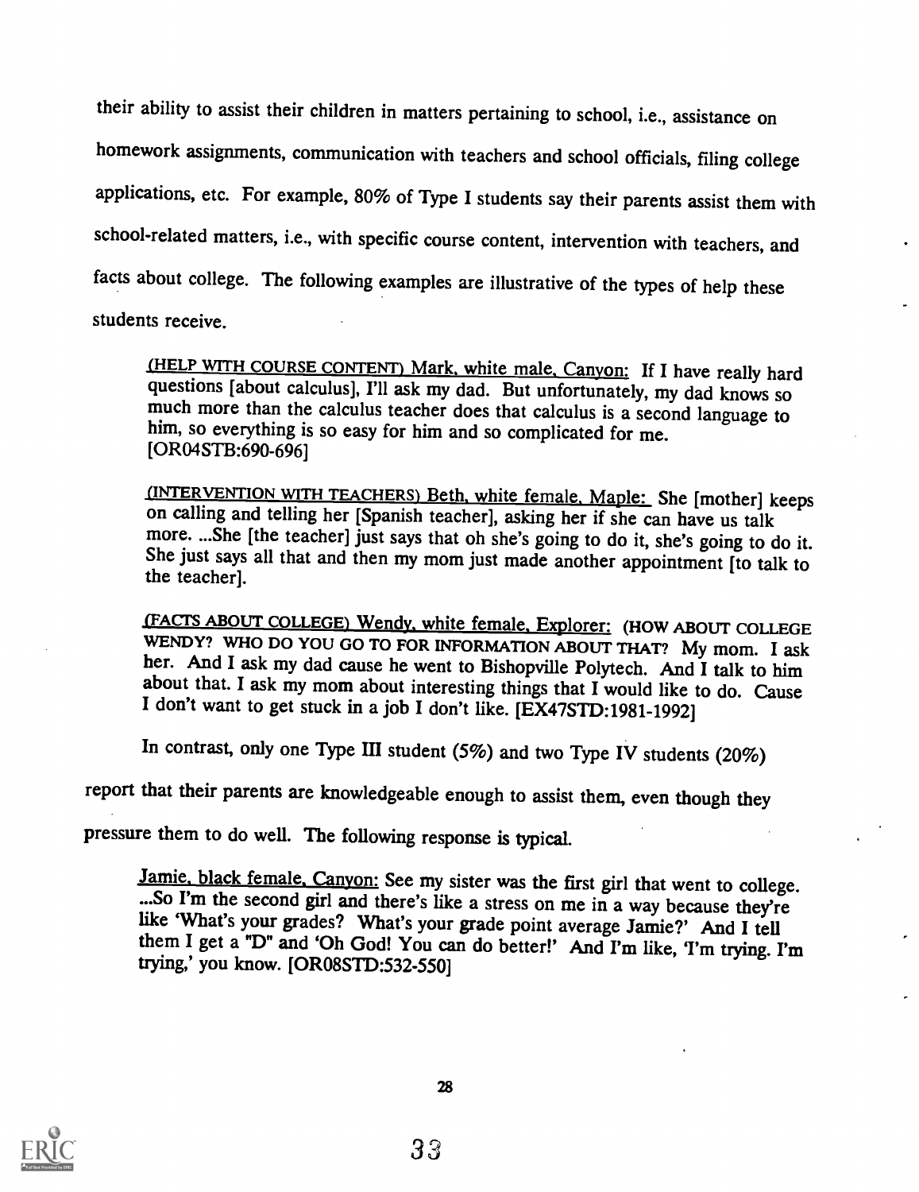their ability to assist their children in matters pertaining to school, i.e., assistance on homework assignments, communication with teachers and school officials, filing college applications, etc. For example, 80% of Type I students say their parents assist them with school-related matters, i.e., with specific course content, intervention with teachers, and facts about college. The following examples are illustrative of the types of help these students receive.

(HELP WITH COURSE CONTENT) Mark, white male, Canyon: If I have really hard questions [about calculus], I'll ask my dad. But unfortunately, my dad knows so much more than the calculus teacher does that calculus is a second language to him, so everything is so easy for him and so complicated for me. [ORO4STB:690-696]

(INTERVENTION WITH TEACHERS) Beth. white female, Maple: She [mother] keeps on calling and telling her [Spanish teacher], asking her if she can have us talk She just says all that and then my mom just made another appointment [to talk to the teacher].

.(FACTS ABOUT COLLEGE) Wendy. white female. Explorer: (HOW ABOUT COLLEGE her. And I ask my dad cause he went to Bishopville Polytech. And I talk to him about that. I ask my mom about interesting things that I would like to do. Cause I don't want to get stuck in a job I don't like. [EX47STD:1981-1992]

In contrast, only one Type III student (5%) and two Type IV students (20%)

report that their parents are knowledgeable enough to assist them, even though they

pressure them to do well. The following response is typical.

Jamie. black female. Canyon: See my sister was the first girl that went to college. ...So I'm the second girl and there's like a stress on me in a way because they're like 'What's your grades? What's your grade point average Jamie?' And I tell them I get a "D" and 'Oh God! You can do better!' And I'm like, 'I'm trying. I'm trying,' you know. [ORO8STD:532-550]

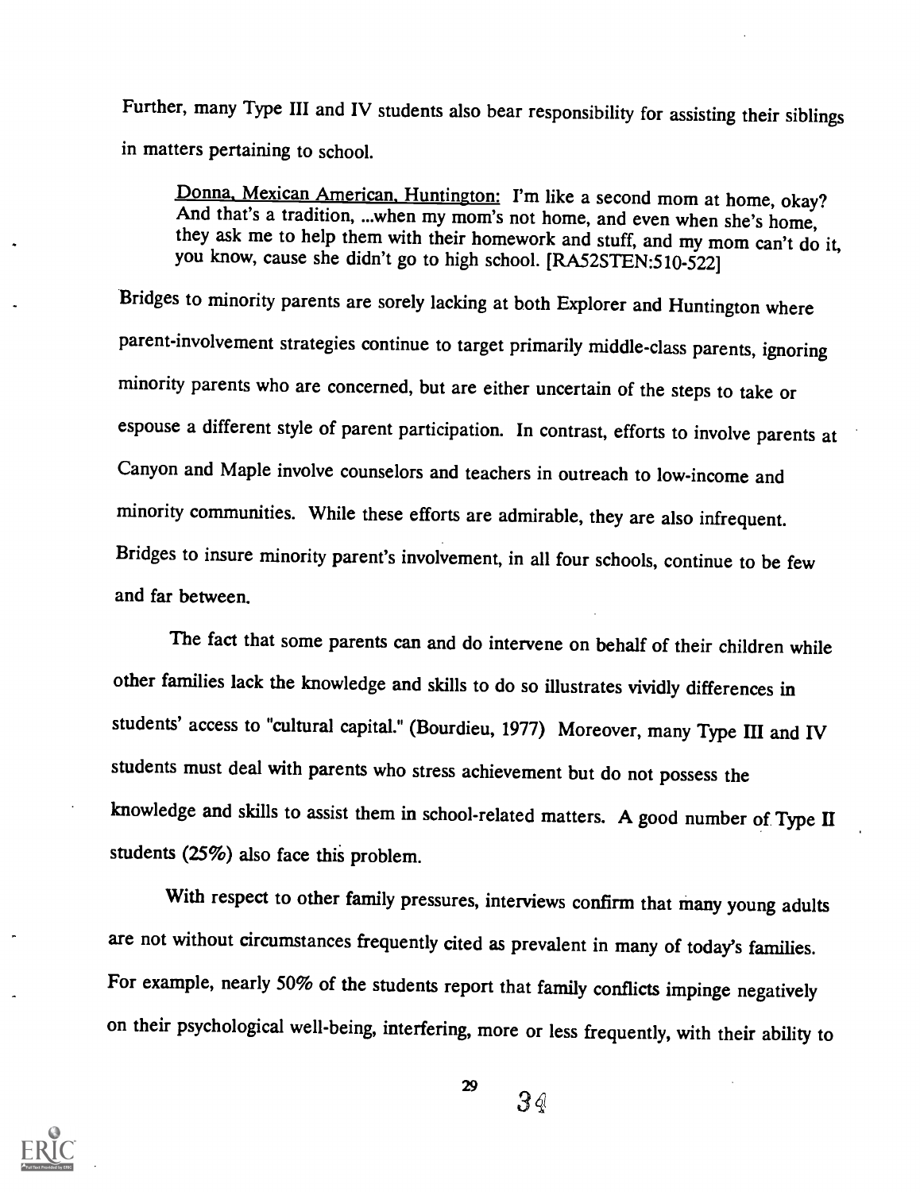Further, many Type III and IV students also bear responsibility for assisting their siblings in matters pertaining to school.

Donna, Mexican American, Huntington: I'm like a second mom at home, okay?<br>And that's a tradition, ...when my mom's not home, and even when she's home,<br>they ask me to help them with their homework and stuff, and my mom can'

Bridges to minority parents are sorely lacking at both Explorer and Huntington where parent-involvement strategies continue to target primarily middle-class parents, ignoring minority parents who are concerned, but are either uncertain of the steps to take or espouse a different style of parent participation. In contrast, efforts to involve parents at Canyon and Maple involve counselors and teachers in outreach to low-income and minority communities. While these efforts are admirable, they are also infrequent. Bridges to insure minority parent's involvement, in all four schools, continue to be few and far between.

The fact that some parents can and do intervene on behalf of their children while other families lack the knowledge and skills to do so illustrates vividly differences in students' access to "cultural capital." (Bourdieu, 1977) Moreover, many Type III and IV students must deal with parents who stress achievement but do not possess the knowledge and skills to assist them in school-related matters. A good number of.Type II students (25%) also face this problem.

With respect to other family pressures, interviews confirm that many young adults are not without circumstances frequently cited as prevalent in many of today's families. For example, nearly 50% of the students report that family conflicts impinge negatively on their psychological well-being, interfering, more or less frequently, with their ability to



29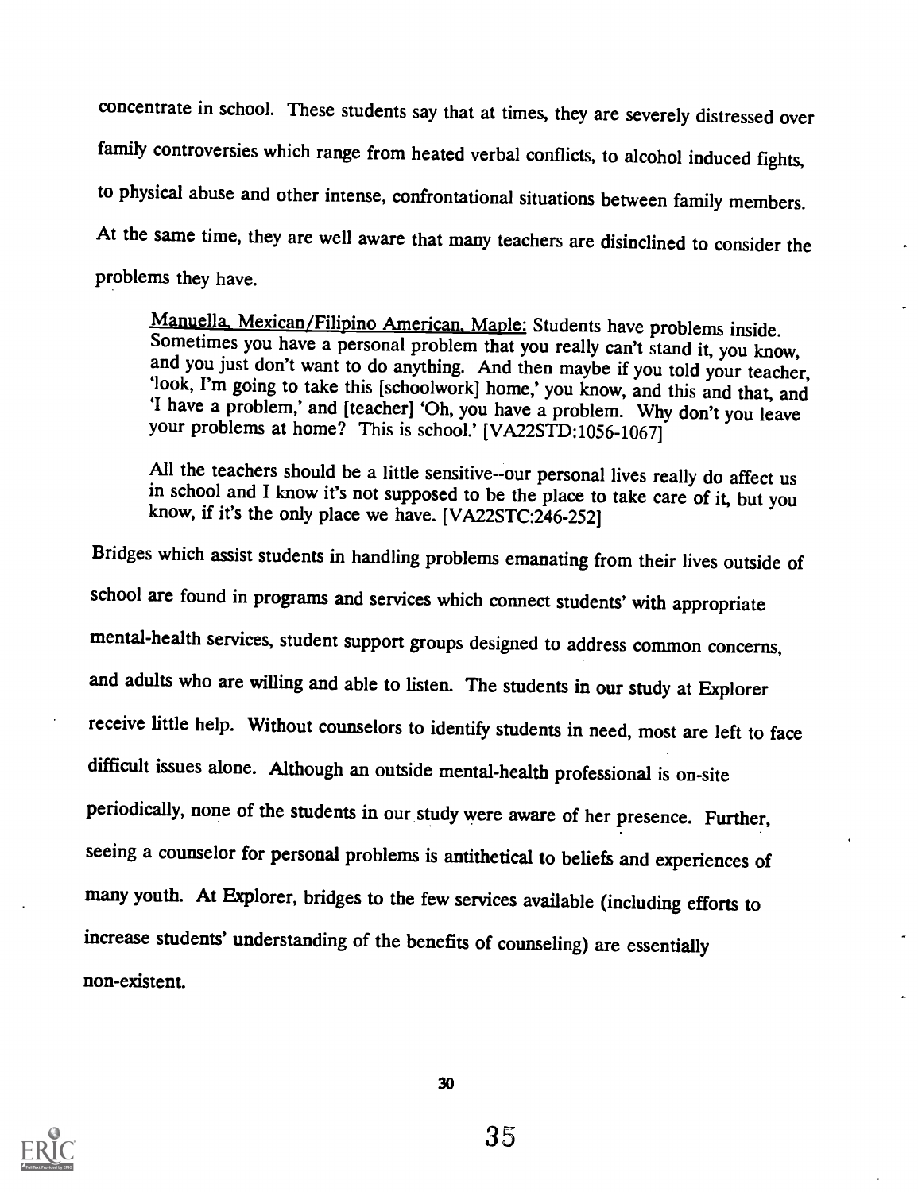concentrate in school. These students say that at times, they are severely distressed over family controversies which range from heated verbal conflicts, to alcohol induced fights, to physical abuse and other intense, confrontational situations between family members. At the same time, they are well aware that many teachers are disinclined to consider the problems they have.

Manuella, Mexican/Filipino American, Maple: Students have problems inside.<br>Sometimes you have a personal problem that you really can't stand it, you know, and you just don't want to do anything. And then maybe if you told

All the teachers should be a little sensitive--our personal lives really do affect us in school and I know it's not supposed to be the place to take care of it, but you know, if it's the only place we have. [VA22STC:246-252]

Bridges which assist students in handling problems emanating from their lives outside of school are found in programs and services which connect students' with appropriate mental-health services, student support groups designed to address common concerns, and adults who are willing and able to listen. The students in our study at Explorer receive little help. Without counselors to identify students in need, most are left to face difficult issues alone. Although an outside mental-health professional is on-site periodically, none of the students in our study were aware of her presence. Further, seeing a counselor for personal problems is antithetical to beliefs and experiences of many youth. At Explorer, bridges to the few services available (including efforts to increase students' understanding of the benefits of counseling) are essentially non-existent.

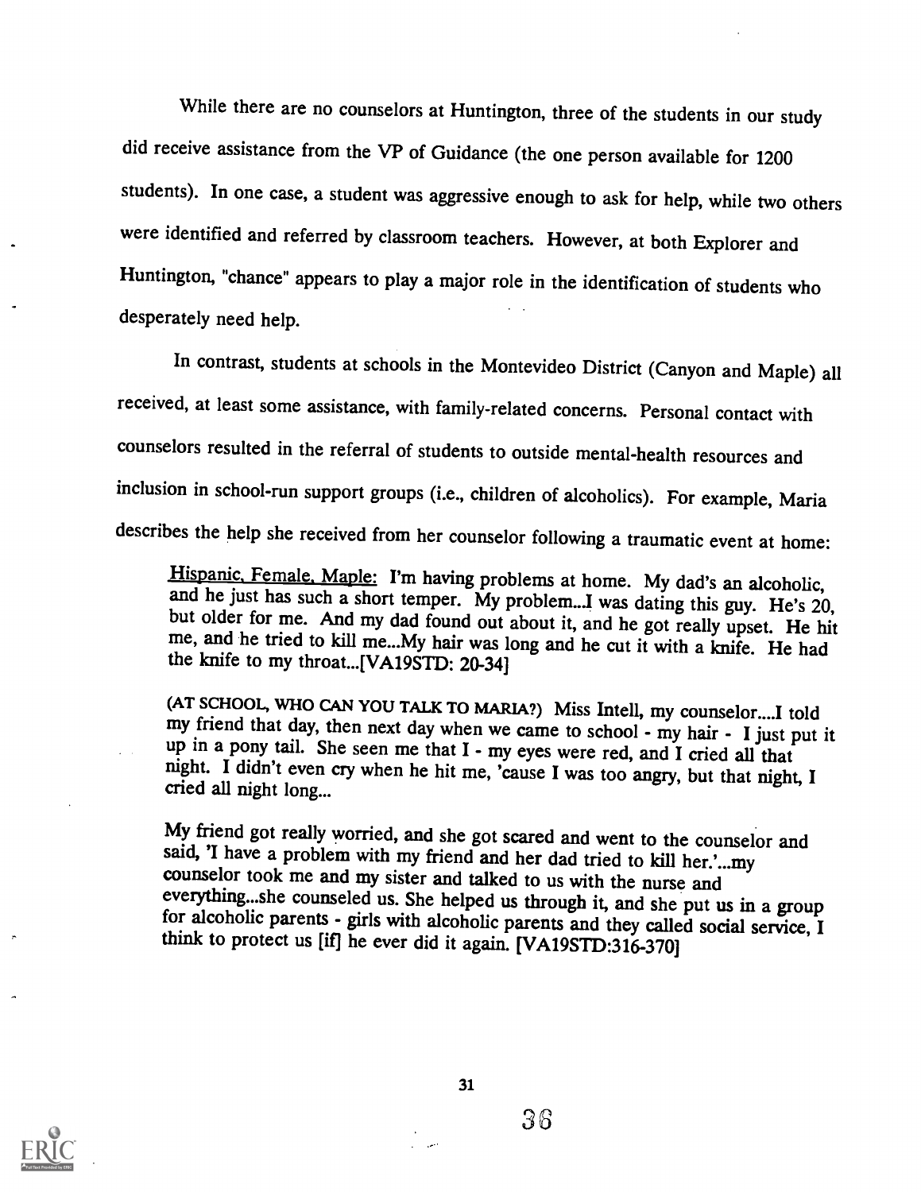While there are no counselors at Huntington, three of the students in our study did receive assistance from the VP of Guidance (the one person available for 1200 students). In one case, a student was aggressive enough to ask for help, while two others were identified and referred by classroom teachers. However, at both Explorer and Huntington, "chance" appears to play a major role in the identification of students who desperately need help.

In contrast, students at schools in the Montevideo District (Canyon and Maple) all received, at least some assistance, with family-related concerns. Personal contact with counselors resulted in the referral of students to outside mental-health resources and inclusion in school-run support groups (i.e., children of alcoholics). For example, Maria describes the help she received from her counselor following a traumatic event at home:

Hispanic, Female, Maple: I'm having problems at home. My dad's an alcoholic, and he just has such a short temper. My problem...I was dating this guy. He's 20, but older for me. And my dad found out about it, and he got rea the knife to my throat...[VA19STD: 20-34]

(AT SCHOOL, WHO CAN YOU TALK TO MARIA?) Miss Intell, my counselor....I told my friend that day, then next day when we came to school - my hair - I just put it up in a pony tail. She seen me that  $I$  - my eyes were red, an

My friend got really worried, and she got scared and went to the counselor and said, 'I have a problem with my friend and her dad tried to kill her.'...my counselor took me and my sister and talked to us with the nurse and everything...she counseled us. She helped us through it, and she put us in a group for alcoholic parents - girls with alcoholic parents and they called social service, I think to protect us [if] he ever did it again. [VA19STD:316-370]



31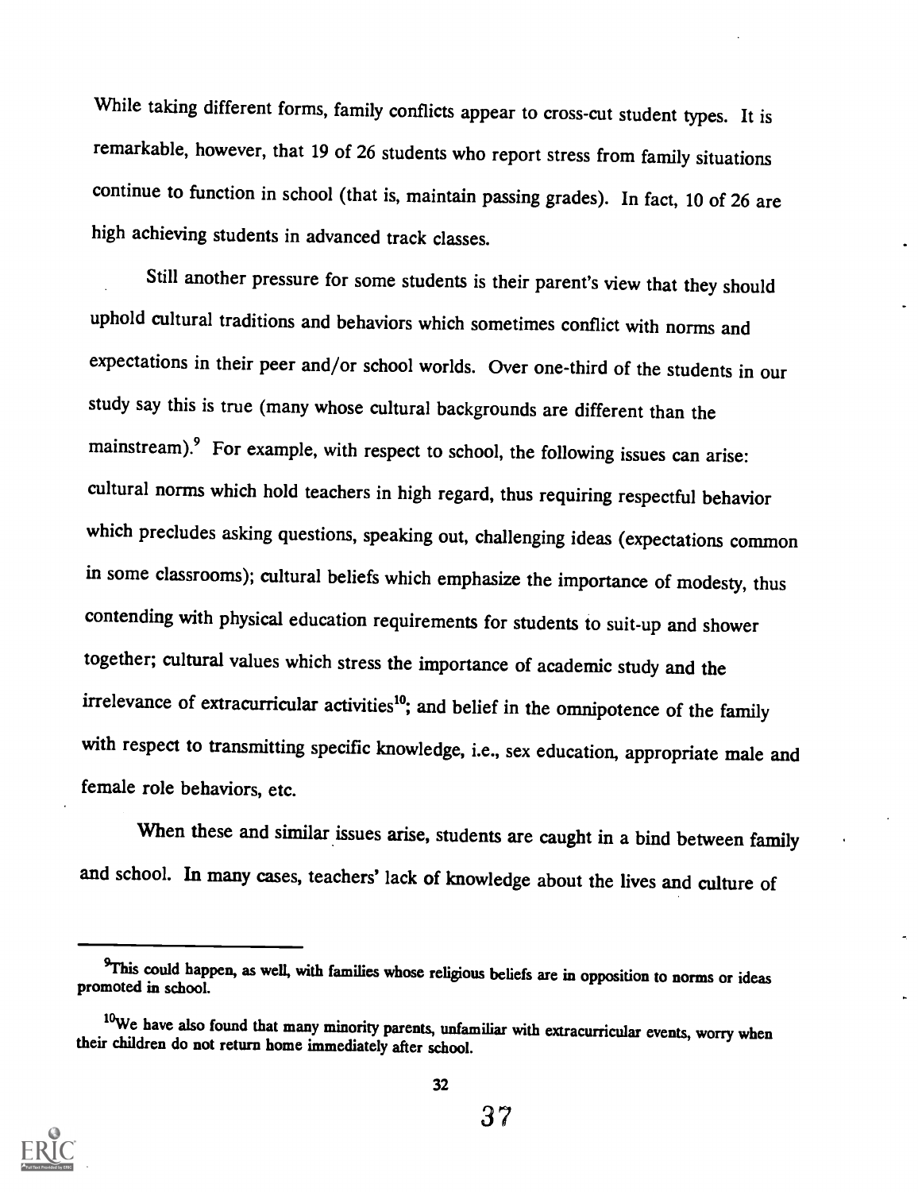While taking different forms, family conflicts appear to cross-cut student types. It is remarkable, however, that 19 of 26 students who report stress from family situations continue to function in school (that is, maintain passing grades). In fact, 10 of 26 are high achieving students in advanced track classes.

Still another pressure for some students is their parent's view that they should uphold cultural traditions and behaviors which sometimes conflict with norms and expectations in their peer and/or school worlds. Over one-third of the students in our study say this is true (many whose cultural backgrounds are different than the mainstream).<sup>9</sup> For example, with respect to school, the following issues can arise: cultural norms which hold teachers in high regard, thus requiring respectful behavior which precludes asking questions, speaking out, challenging ideas (expectations common in some classrooms); cultural beliefs which emphasize the importance of modesty, thus contending with physical education requirements for students to suit-up and shower together; cultural values which stress the importance of academic study and the irrelevance of extracurricular activities<sup>10</sup>; and belief in the omnipotence of the family with respect to transmitting specific knowledge, i.e., sex education, appropriate male and female role behaviors, etc.

When these and similar issues arise, students are caught in a bind between family and school. In many cases, teachers' lack of knowledge about the lives and culture of



<sup>&</sup>lt;sup>9</sup>This could happen, as well, with families whose religious beliefs are in opposition to norms or ideas promoted in school.

<sup>&</sup>lt;sup>10</sup>We have also found that many minority parents, unfamiliar with extracurricular events, worry when their children do not return home immediately after school.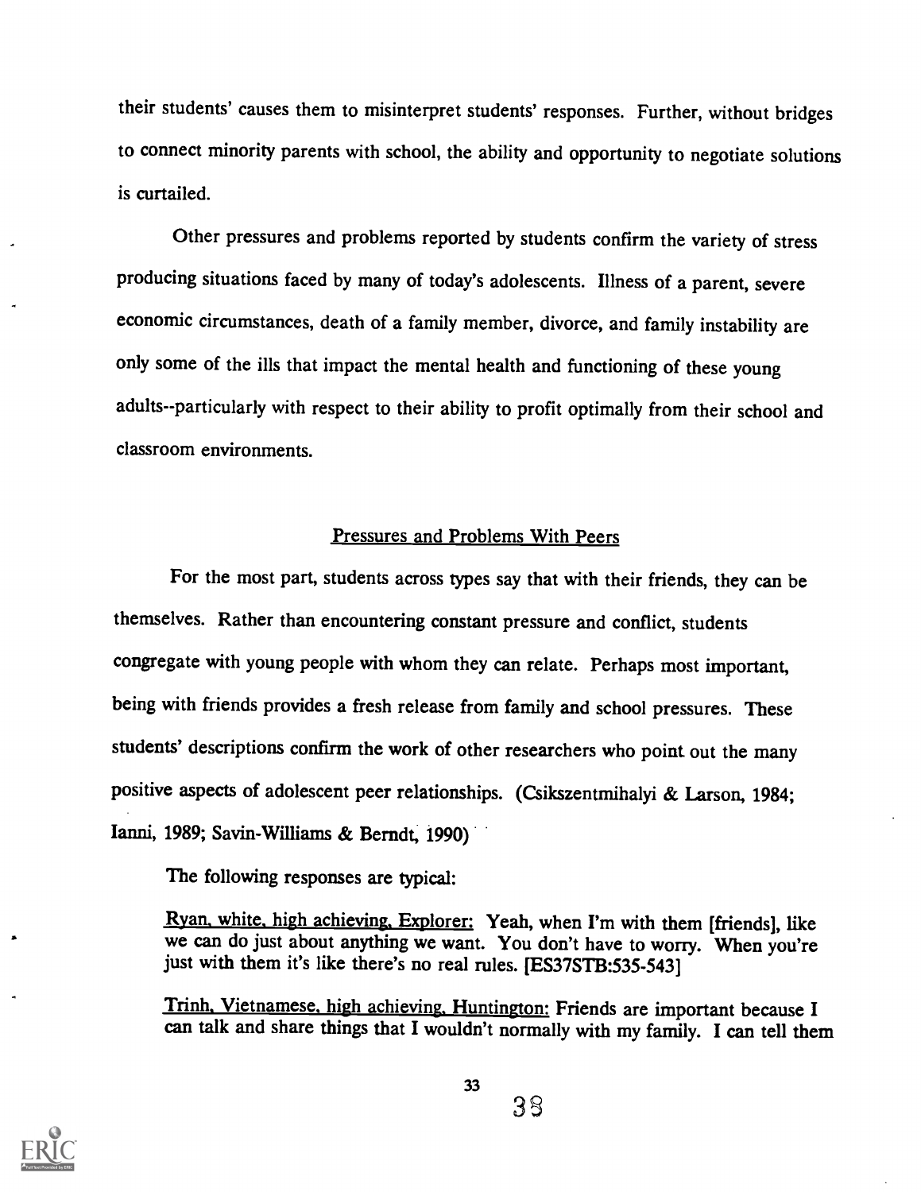their students' causes them to misinterpret students' responses. Further, without bridges to connect minority parents with school, the ability and opportunity to negotiate solutions is curtailed.

Other pressures and problems reported by students confirm the variety of stress producing situations faced by many of today's adolescents. Illness of a parent, severe economic circumstances, death of a family member, divorce, and family instability are only some of the ills that impact the mental health and functioning of these young adults--particularly with respect to their ability to profit optimally from their school and classroom environments.

## Pressures and Problems With Peers

For the most part, students across types say that with their friends, they can be themselves. Rather than encountering constant pressure and conflict, students congregate with young people with whom they can relate. Perhaps most important, being with friends provides a fresh release from family and school pressures. These students' descriptions confirm the work of other researchers who point out the many positive aspects of adolescent peer relationships. (Csikszentmihalyi & Larson, 1984; Ianni, 1989; Savin-Williams & Berndt, 1990)

The following responses are typical:

Ryan. white, high achieving. Explorer: Yeah, when I'm with them [friends], like we can do just about anything we want. You don't have to worry. When you're just with them it's like there's no real rules. [ES37STB:535-543]

Trinh. Vietnamese. high achieving. Huntington: Friends are important because I can talk and share things that I wouldn't normally with my family. I can tell them

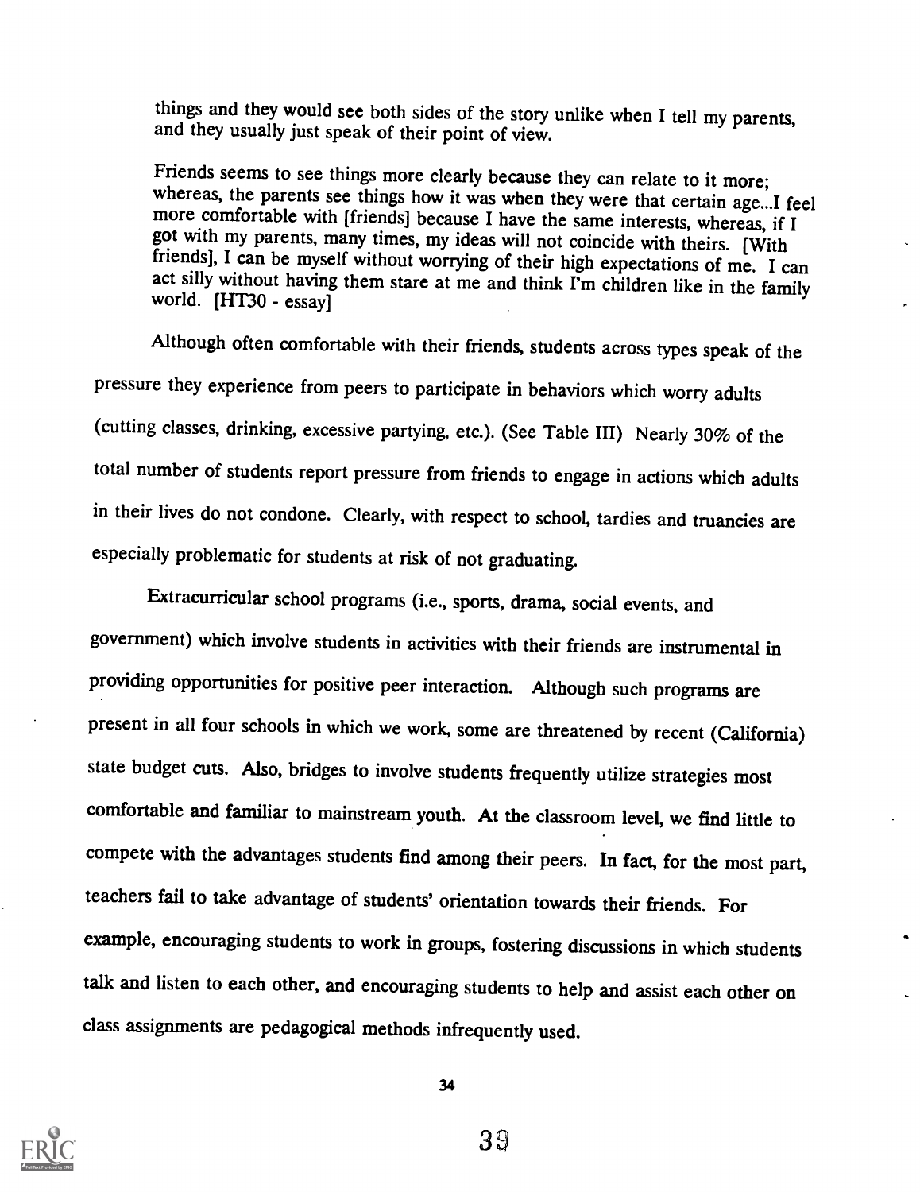things and they would see both sides of the story unlike when I tell my parents, and they usually just speak of their point of view.

Friends seems to see things more clearly because they can relate to it more; whereas, the parents see things how it was when they were that certain age...I feel more comfortable with [friends] because I have the same inter got with my parents, many times, my ideas will not coincide with theirs. [With friends], I can be myself without worrying of their high expectations of me. I can act silly without having them stare at me and think I'm children like in the family world. [HT30 - essay]

Although often comfortable with their friends, students across types speak of the pressure they experience from peers to participate in behaviors which worry adults (cutting classes, drinking, excessive partying, etc.). (See Table III) Nearly 30% of the total number of students report pressure from friends to engage in actions which adults in their lives do not condone. Clearly, with respect to school, tardies and truancies are especially problematic for students at risk of not graduating.

Extracurricular school programs (i.e., sports, drama, social events, and government) which involve students in activities with their friends are instrumental in providing opportunities for positive peer interaction. Although such programs are present in all four schools in which we work, some are threatened by recent (California) state budget cuts. Also, bridges to involve students frequently utilize strategies most comfortable and familiar to mainstream youth. At the classroom level, we find little to compete with the advantages students find among their peers. In fact, for the most part, teachers fail to take advantage of students' orientation towards their friends. For example, encouraging students to work in groups, fostering discussions in which students talk and listen to each other, and encouraging students to help and assist each other on class assignments are pedagogical methods infrequently used.



34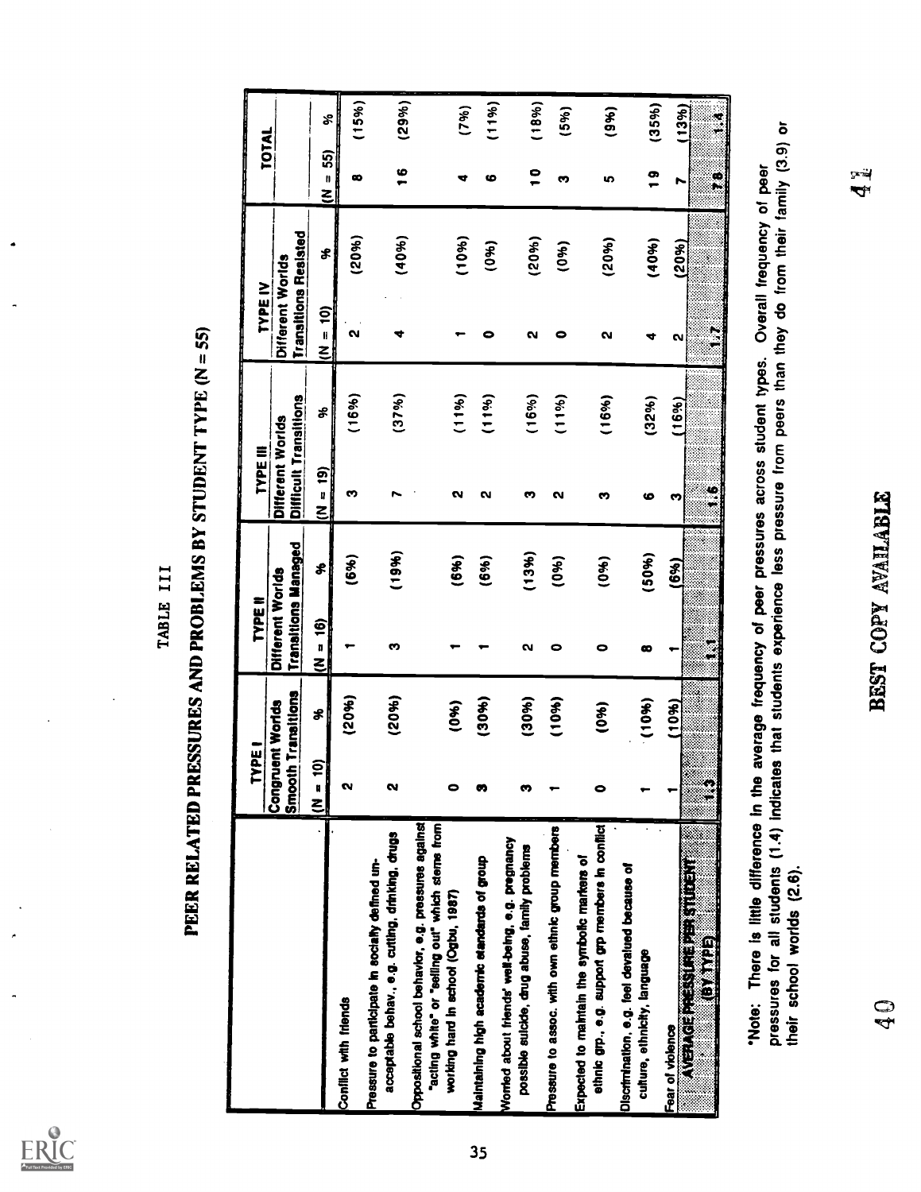ERIC

# $\begin{tabular}{ll} \bf{TABLE R ELATED PRESSURES AND PROBLEMS BY STUDENT TYPE (N = 55) } \end{tabular}$

| (29%)<br>(15%)<br>(11%)<br>(18%)<br>(13%)<br>(7%)<br>(5%)<br>(9%)<br>$\ddot{.}$<br>వి<br><b>TOTAL</b><br>$(N = 55)$<br><b>91</b><br>$\frac{1}{1}$<br>$\ddot{\bm{r}}$<br>$\frac{0}{1}$<br>œ<br>ဖ<br>₩<br>n<br>5<br>N<br><b>Transitions Resisted</b><br>(20%)<br>(40%)<br>(10%)<br>(20%)<br>(20%)<br>(40%)<br>(20%)<br>(0, 6)<br>(0, 0)<br>ቆ<br>Different Worlds<br>$= 10$<br>i i<br>N<br>ෑ<br>$\bullet$<br>N<br>0<br>u<br>↽<br>4<br>$\boldsymbol{\alpha}$<br>₹<br>(16%)<br>(37%)<br>(11%)<br>(1196)<br>(16%)<br>(11%)<br>Difficult Transitions<br>(16%)<br>(32%)<br>(1696)<br>\$<br>Different Worlds<br>$=$ 19)<br>$\ddot{\bullet}$<br>ო<br>r<br>N<br>N<br>m<br>໙<br>n<br>ဖ<br>က<br>⋷<br>Transitions Managed<br>(19%)<br>(13%)<br>(50%)<br>(6%)<br>(6%)<br>(6%)<br>(0%)<br>(0, 0)<br>(6%)<br>\$<br>Different Worlds<br>$\frac{1}{2}$ is $\frac{1}{2}$<br>w<br>N<br>$\bullet$<br>↽<br>$\bullet$<br>œ<br>↽<br>٠<br><b>Smooth Transitions</b><br>(20%)<br>(20%)<br>(30%)<br>(30%)<br>(10%)<br>(10%)<br>Congruent Worlds<br>(0, 6)<br>(10%<br>(0, 6)<br>\$<br>ë<br>$\mathcal{D}$<br>$\boldsymbol{\alpha}$<br>N<br>빌<br>$\bullet$<br>$\bullet$<br>m<br>ო<br>acting white" or "selling out" which sterns from<br>ethnic grp., e.g. support grp members in conflict<br>acceptable behav., e.g. cutting, drinking, drugs<br>possible suicide, drug abuse, family problems<br>Maintaining high academic standards of group<br><b>Manufactures (Manufacture)</b><br>working hard in school (Ogbu, 1987)<br><b>GYTYP</b><br>culture, ethnicity, language<br>Fear of violence | Oppositional school behavior, e.g. pressures against<br>Pressure to participate in socially defined un-<br>Conflict with friends |  | TYPE IV |            |       |
|------------------------------------------------------------------------------------------------------------------------------------------------------------------------------------------------------------------------------------------------------------------------------------------------------------------------------------------------------------------------------------------------------------------------------------------------------------------------------------------------------------------------------------------------------------------------------------------------------------------------------------------------------------------------------------------------------------------------------------------------------------------------------------------------------------------------------------------------------------------------------------------------------------------------------------------------------------------------------------------------------------------------------------------------------------------------------------------------------------------------------------------------------------------------------------------------------------------------------------------------------------------------------------------------------------------------------------------------------------------------------------------------------------------------------------------------------------------------------------------------------------------------------------------------------------------|----------------------------------------------------------------------------------------------------------------------------------|--|---------|------------|-------|
|                                                                                                                                                                                                                                                                                                                                                                                                                                                                                                                                                                                                                                                                                                                                                                                                                                                                                                                                                                                                                                                                                                                                                                                                                                                                                                                                                                                                                                                                                                                                                                  |                                                                                                                                  |  |         |            |       |
|                                                                                                                                                                                                                                                                                                                                                                                                                                                                                                                                                                                                                                                                                                                                                                                                                                                                                                                                                                                                                                                                                                                                                                                                                                                                                                                                                                                                                                                                                                                                                                  |                                                                                                                                  |  |         |            |       |
|                                                                                                                                                                                                                                                                                                                                                                                                                                                                                                                                                                                                                                                                                                                                                                                                                                                                                                                                                                                                                                                                                                                                                                                                                                                                                                                                                                                                                                                                                                                                                                  |                                                                                                                                  |  |         |            |       |
|                                                                                                                                                                                                                                                                                                                                                                                                                                                                                                                                                                                                                                                                                                                                                                                                                                                                                                                                                                                                                                                                                                                                                                                                                                                                                                                                                                                                                                                                                                                                                                  |                                                                                                                                  |  |         |            |       |
|                                                                                                                                                                                                                                                                                                                                                                                                                                                                                                                                                                                                                                                                                                                                                                                                                                                                                                                                                                                                                                                                                                                                                                                                                                                                                                                                                                                                                                                                                                                                                                  |                                                                                                                                  |  |         |            |       |
|                                                                                                                                                                                                                                                                                                                                                                                                                                                                                                                                                                                                                                                                                                                                                                                                                                                                                                                                                                                                                                                                                                                                                                                                                                                                                                                                                                                                                                                                                                                                                                  |                                                                                                                                  |  |         |            |       |
|                                                                                                                                                                                                                                                                                                                                                                                                                                                                                                                                                                                                                                                                                                                                                                                                                                                                                                                                                                                                                                                                                                                                                                                                                                                                                                                                                                                                                                                                                                                                                                  |                                                                                                                                  |  |         |            |       |
|                                                                                                                                                                                                                                                                                                                                                                                                                                                                                                                                                                                                                                                                                                                                                                                                                                                                                                                                                                                                                                                                                                                                                                                                                                                                                                                                                                                                                                                                                                                                                                  | Womed about friends' well-being, e.g. pregnancy                                                                                  |  |         |            |       |
|                                                                                                                                                                                                                                                                                                                                                                                                                                                                                                                                                                                                                                                                                                                                                                                                                                                                                                                                                                                                                                                                                                                                                                                                                                                                                                                                                                                                                                                                                                                                                                  | Pressure to assoc. with own ethnic group members                                                                                 |  |         |            |       |
|                                                                                                                                                                                                                                                                                                                                                                                                                                                                                                                                                                                                                                                                                                                                                                                                                                                                                                                                                                                                                                                                                                                                                                                                                                                                                                                                                                                                                                                                                                                                                                  | Expected to maintain the symbolic markers of                                                                                     |  |         |            |       |
|                                                                                                                                                                                                                                                                                                                                                                                                                                                                                                                                                                                                                                                                                                                                                                                                                                                                                                                                                                                                                                                                                                                                                                                                                                                                                                                                                                                                                                                                                                                                                                  | Discrimination, e.g. feel devalued because of                                                                                    |  |         |            |       |
|                                                                                                                                                                                                                                                                                                                                                                                                                                                                                                                                                                                                                                                                                                                                                                                                                                                                                                                                                                                                                                                                                                                                                                                                                                                                                                                                                                                                                                                                                                                                                                  |                                                                                                                                  |  |         |            | (35%) |
|                                                                                                                                                                                                                                                                                                                                                                                                                                                                                                                                                                                                                                                                                                                                                                                                                                                                                                                                                                                                                                                                                                                                                                                                                                                                                                                                                                                                                                                                                                                                                                  |                                                                                                                                  |  |         |            |       |
|                                                                                                                                                                                                                                                                                                                                                                                                                                                                                                                                                                                                                                                                                                                                                                                                                                                                                                                                                                                                                                                                                                                                                                                                                                                                                                                                                                                                                                                                                                                                                                  |                                                                                                                                  |  |         |            |       |
|                                                                                                                                                                                                                                                                                                                                                                                                                                                                                                                                                                                                                                                                                                                                                                                                                                                                                                                                                                                                                                                                                                                                                                                                                                                                                                                                                                                                                                                                                                                                                                  |                                                                                                                                  |  |         | أتعتز<br>Ą |       |
|                                                                                                                                                                                                                                                                                                                                                                                                                                                                                                                                                                                                                                                                                                                                                                                                                                                                                                                                                                                                                                                                                                                                                                                                                                                                                                                                                                                                                                                                                                                                                                  | BEST COPY AVAILABLE<br>Q<br>P                                                                                                    |  |         |            |       |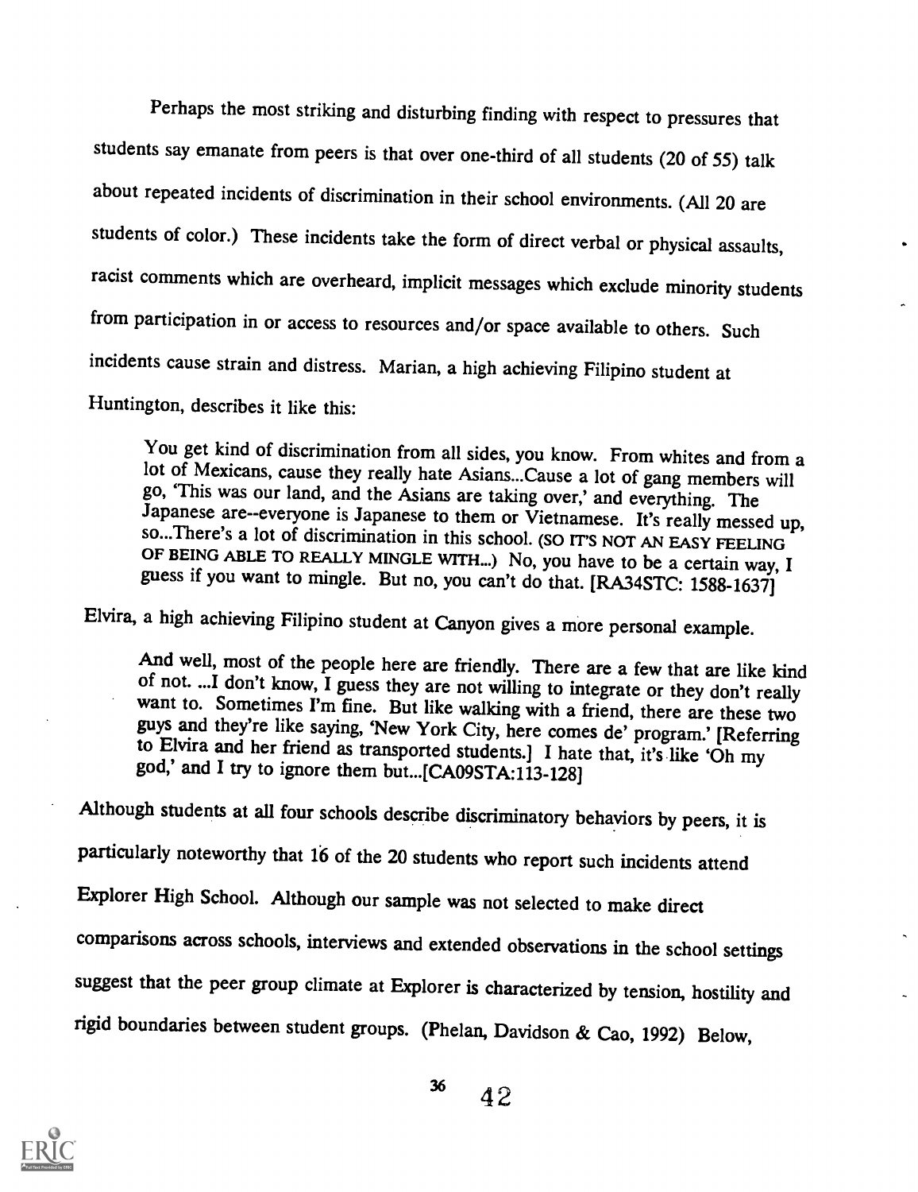Perhaps the most striking and disturbing finding with respect to pressures that students say emanate from peers is that over one-third of all students (20 of 55) talk about repeated incidents of discrimination in their school environments. (All 20 are students of color.) These incidents take the form of direct verbal or physical assaults, racist comments which are overheard, implicit messages which exclude minority students from participation in or access to resources and/or space available to others. Such incidents cause strain and distress. Marian, a high achieving Filipino student at Huntington, describes it like this:

You get kind of discrimination from all sides, you know. From whites and from a lot of Mexicans, cause they really hate Asians...Cause a lot of gang members will go, 'This was our land, and the Asians are taking over,' and so...There's a lot of discrimination in this school. (SO IT'S NOT AN EASY FEELING<br>OF BEING ABLE TO REALLY MINGLE WITH...) No, you have to be a certain way, I guess if you want to mingle. But no, you can't do that. [RA34STC: 1588-1637]

Elvira, a high achieving Filipino student at Canyon gives a more personal example.

And well, most of the people here are friendly. There are a few that are like kind of not. ...I don't know, I guess they are not willing to integrate or they don't really want to. Sometimes I'm fine. But like walking with

Although students at all four schools describe discriminatory behaviors by peers, it is particularly noteworthy that 16 of the 20 students who report such incidents attend Explorer High School. Although our sample was not selected to make direct comparisons across schools, interviews and extended observations in the school settings suggest that the peer group climate at Explorer is characterized by tension, hostility and rigid boundaries between student groups. (Phelan, Davidson & Cao, 1992) Below,

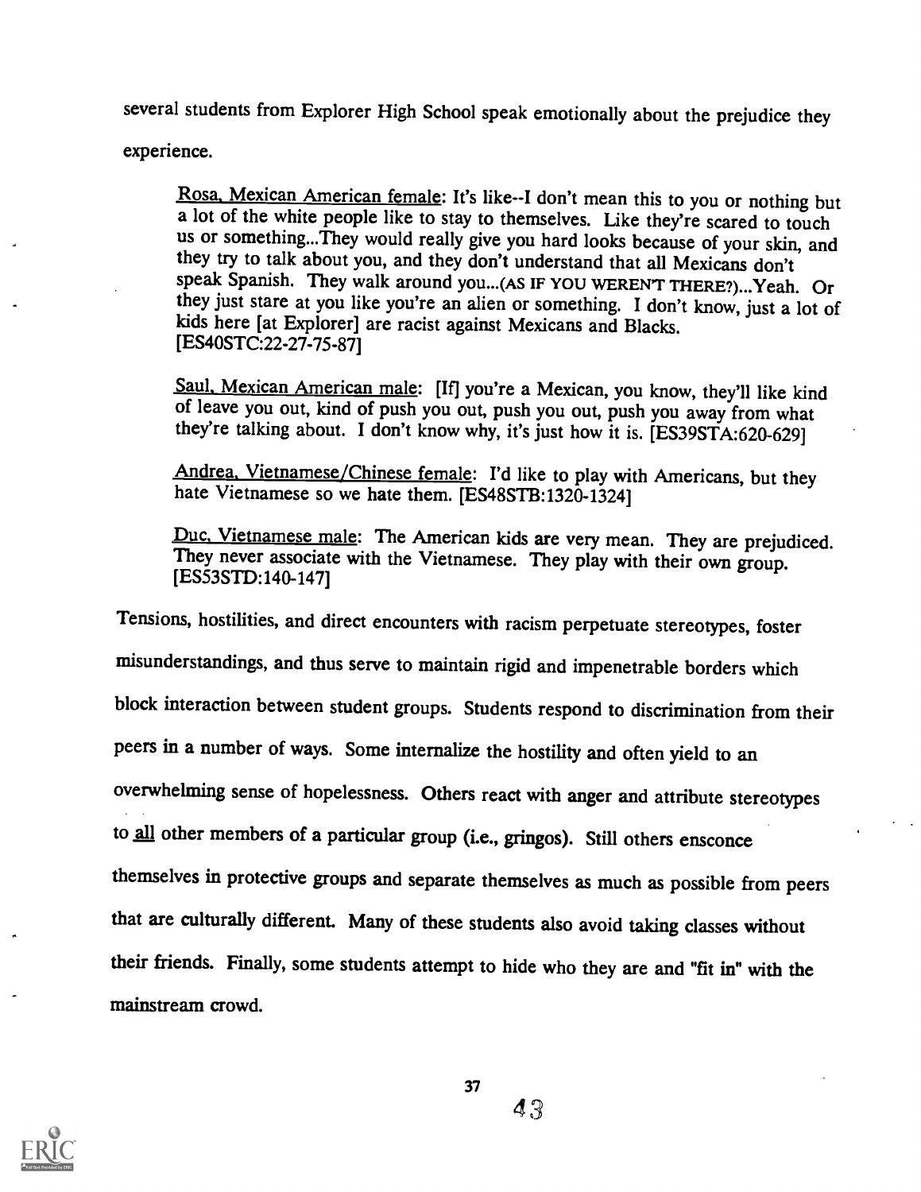several students from Explorer High School speak emotionally about the prejudice they

experience.

Rosa. Mexican American female: It's like--I don't mean this to you or nothing but a lot of the white people like to stay to themselves. Like they're scared to touch us or something... They would really give you hard looks they try to talk about you, and they don't understand that all Mexicans don't speak Spanish. They walk around you...(AS IF YOU WEREN'T THERE?)...Yeah. Or they just stare at you like you're an alien or something. I don't know, just a lot of kids here [at Explorer] are racist against Mexicans and Blacks. [ES4OSTC:22-27-75-87]

Saul. Mexican American male: [If] you're a Mexican, you know, they'll like kind of leave you out, kind of push you out, push you out, push you away from what they're talking about. I don't know why, it's just how it is. [ES39STA:620-629]

Andrea. Vietnamese/Chinese female: I'd like to play with Americans, but they hate Vietnamese so we hate them. [ES48STB:1320-1324]

Duc. Vietnamese male: The American kids are very mean. They are prejudiced.<br>They never associate with the Vietnamese. They play with their own group. [ES53STD:140-147]

Tensions, hostilities, and direct encounters with racism perpetuate stereotypes, foster misunderstandings, and thus serve to maintain rigid and impenetrable borders which block interaction between student groups. Students respond to discrimination from their peers in a number of ways. Some internalize the hostility and often yield to an overwhelming sense of hopelessness. Others react with anger and attribute stereotypes to all other members of a particular group (i.e., gringos). Still others ensconce themselves in protective groups and separate themselves as much as possible from peers that are culturally different. Many of these students also avoid taking classes without their friends. Finally, some students attempt to hide who they are and "fit in" with the mainstream crowd.

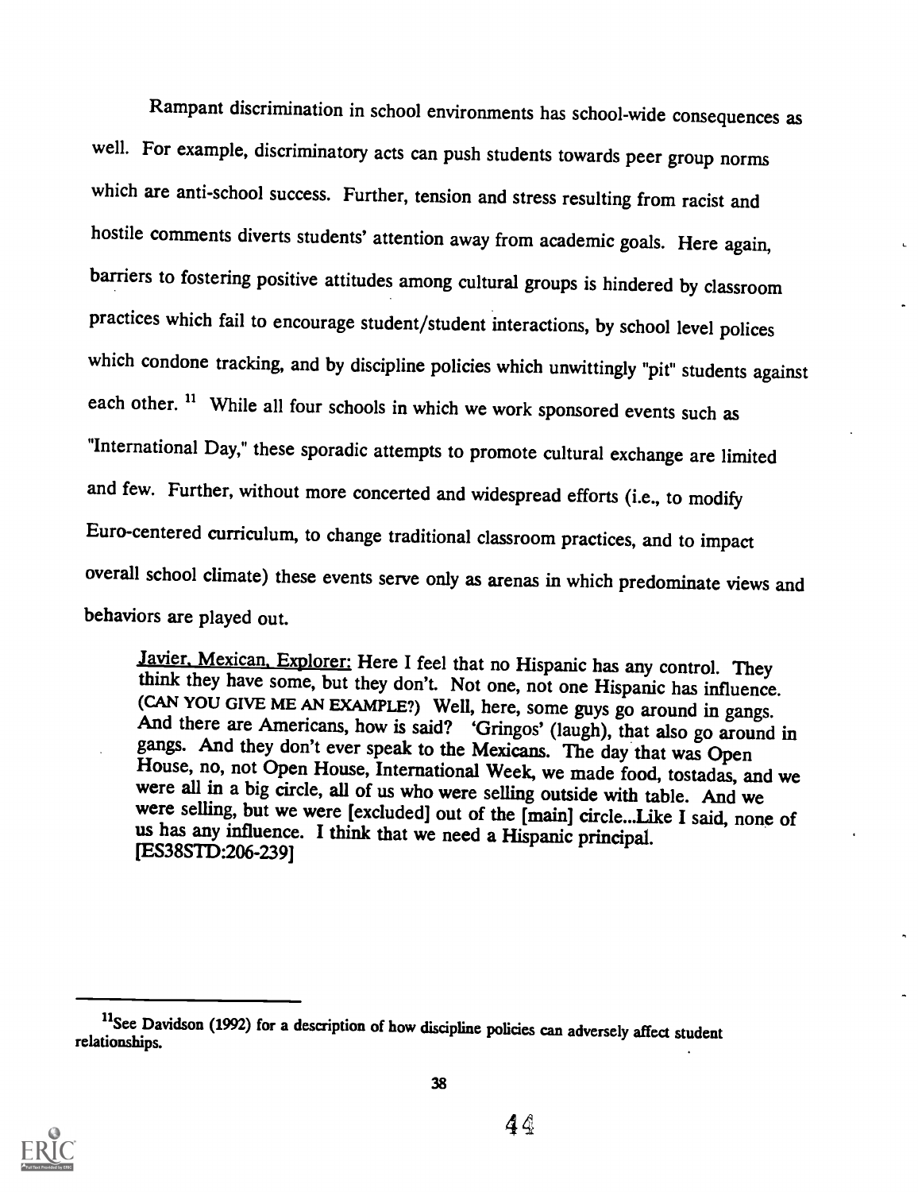Rampant discrimination in school environments has school-wide consequences as well. For example, discriminatory acts can push students towards peer group norms which are anti-school success. Further, tension and stress resulting from racist and hostile comments diverts students' attention away from academic goals. Here again, barriers to fostering positive attitudes among cultural groups is hindered by classroom practices which fail to encourage student/student interactions, by school level polices which condone tracking, and by discipline policies which unwittingly "pit" students against each other.<sup>11</sup> While all four schools in which we work sponsored events such as "International Day," these sporadic attempts to promote cultural exchange are limited and few. Further, without more concerted and widespread efforts (i.e., to modify Euro-centered curriculum, to change traditional classroom practices, and to impact overall school climate) these events serve only as arenas in which predominate views and behaviors are played out.

Javier, Mexican, Explorer: Here I feel that no Hispanic has any control. They<br>think they have some, but they don't. Not one, not one Hispanic has influence.<br>(CAN YOU GIVE ME AN EXAMPLE?) Well, here, some guys go around in [ES38STD:206-239]



<sup>&</sup>lt;sup>11</sup>See Davidson (1992) for a description of how discipline policies can adversely affect student relationships.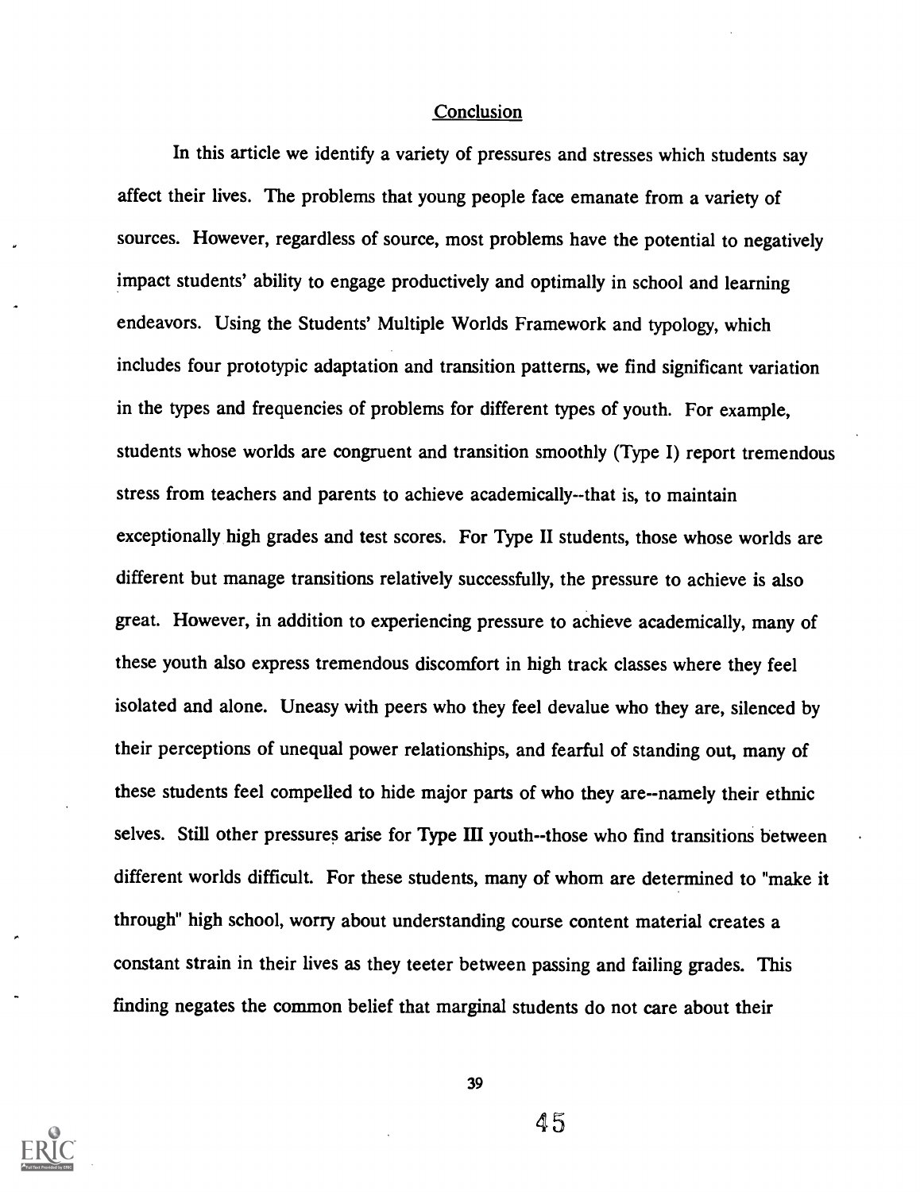### **Conclusion**

In this article we identify a variety of pressures and stresses which students say affect their lives. The problems that young people face emanate from a variety of sources. However, regardless of source, most problems have the potential to negatively impact students' ability to engage productively and optimally in school and learning endeavors. Using the Students' Multiple Worlds Framework and typology, which includes four prototypic adaptation and transition patterns, we find significant variation in the types and frequencies of problems for different types of youth. For example, students whose worlds are congruent and transition smoothly (Type I) report tremendous stress from teachers and parents to achieve academically--that is, to maintain exceptionally high grades and test scores. For Type II students, those whose worlds are different but manage transitions relatively successfully, the pressure to achieve is also great. However, in addition to experiencing pressure to achieve academically, many of these youth also express tremendous discomfort in high track classes where they feel isolated and alone. Uneasy with peers who they feel devalue who they are, silenced by their perceptions of unequal power relationships, and fearful of standing out, many of these students feel compelled to hide major parts of who they are--namely their ethnic selves. Still other pressures arise for Type 111 youth--those who find transitions between different worlds difficult. For these students, many of whom are determined to "make it through" high school, worry about understanding course content material creates a constant strain in their lives as they teeter between passing and failing grades. This finding negates the common belief that marginal students do not care about their



39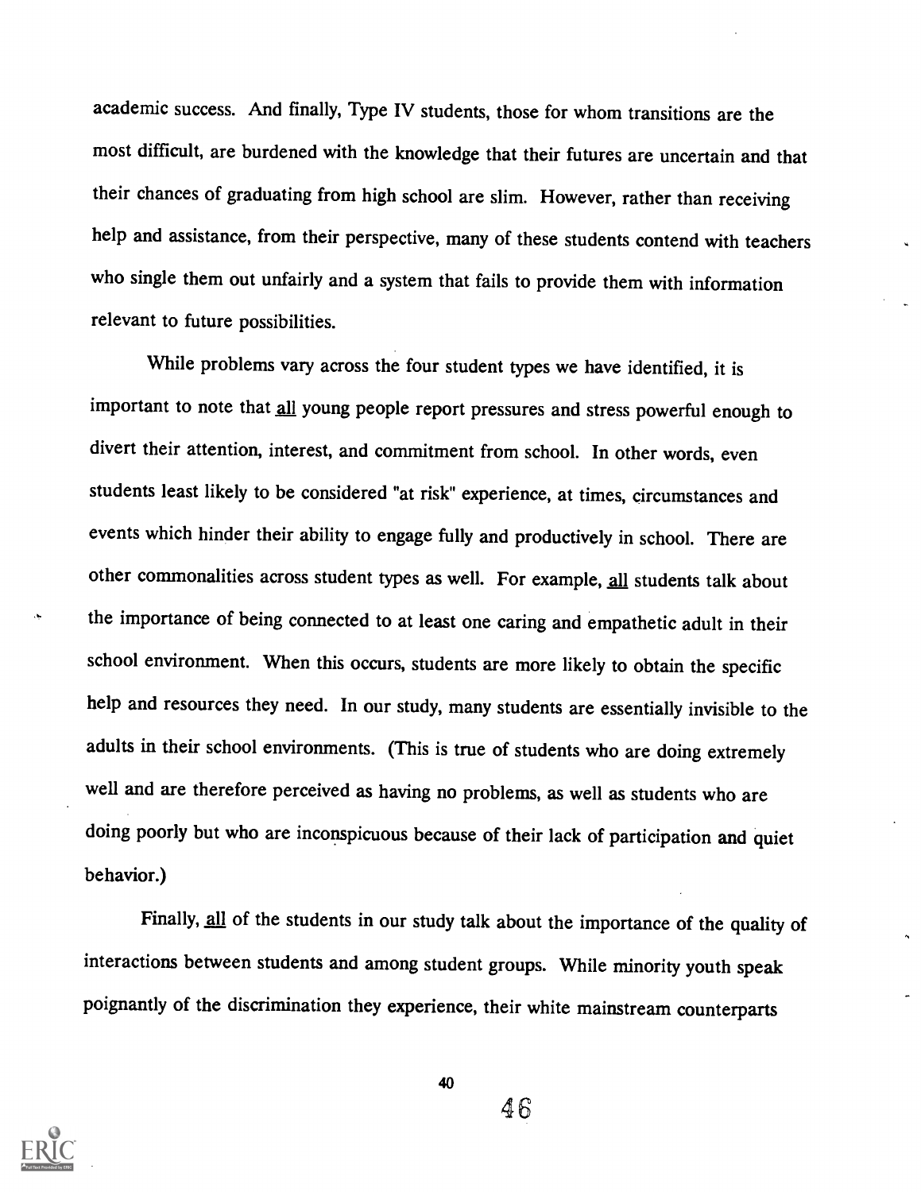academic success. And finally, Type IV students, those for whom transitions are the most difficult, are burdened with the knowledge that their futures are uncertain and that their chances of graduating from high school are slim. However, rather than receiving help and assistance, from their perspective, many of these students contend with teachers who single them out unfairly and a system that fails to provide them with information relevant to future possibilities.

While problems vary across the four student types we have identified, it is important to note that all young people report pressures and stress powerful enough to divert their attention, interest, and commitment from school. In other words, even students least likely to be considered "at risk" experience, at times, circumstances and events which hinder their ability to engage fully and productively in school. There are other commonalities across student types as well. For example, all students talk about the importance of being connected to at least one caring and empathetic adult in their school environment. When this occurs, students are more likely to obtain the specific help and resources they need. In our study, many students are essentially invisible to the adults in their school environments. (This is true of students who are doing extremely well and are therefore perceived as having no problems, as well as students who are doing poorly but who are inconspicuous because of their lack of participation and quiet behavior.)

Finally, all of the students in our study talk about the importance of the quality of interactions between students and among student groups. While minority youth speak poignantly of the discrimination they experience, their white mainstream counterparts



40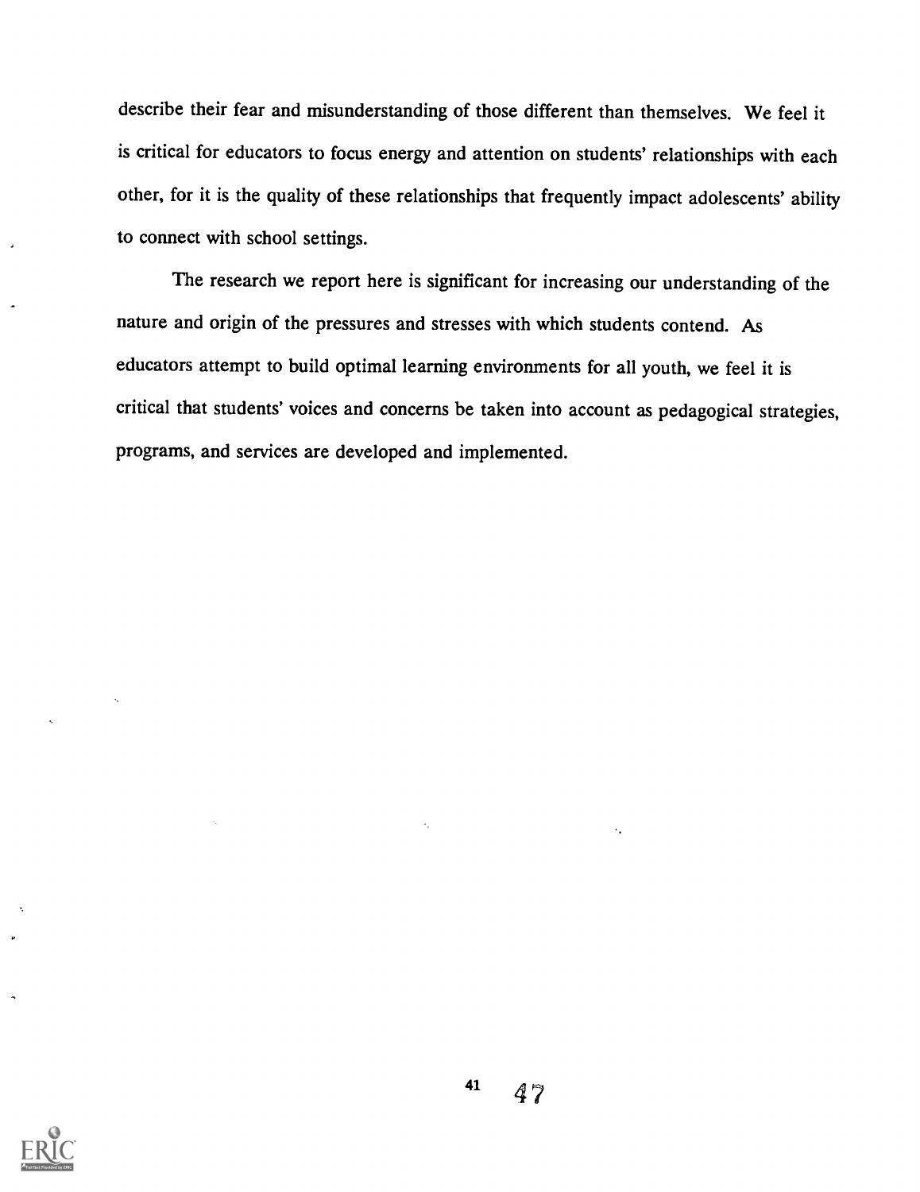describe their fear and misunderstanding of those different than themselves. We feel it is critical for educators to focus energy and attention on students' relationships with each other, for it is the quality of these relationships that frequently impact adolescents' ability to connect with school settings.

The research we report here is significant for increasing our understanding of the nature and origin of the pressures and stresses with which students contend. As educators attempt to build optimal learning environments for all youth, we feel it is critical that students' voices and concerns be taken into account as pedagogical strategies, programs, and services are developed and implemented.

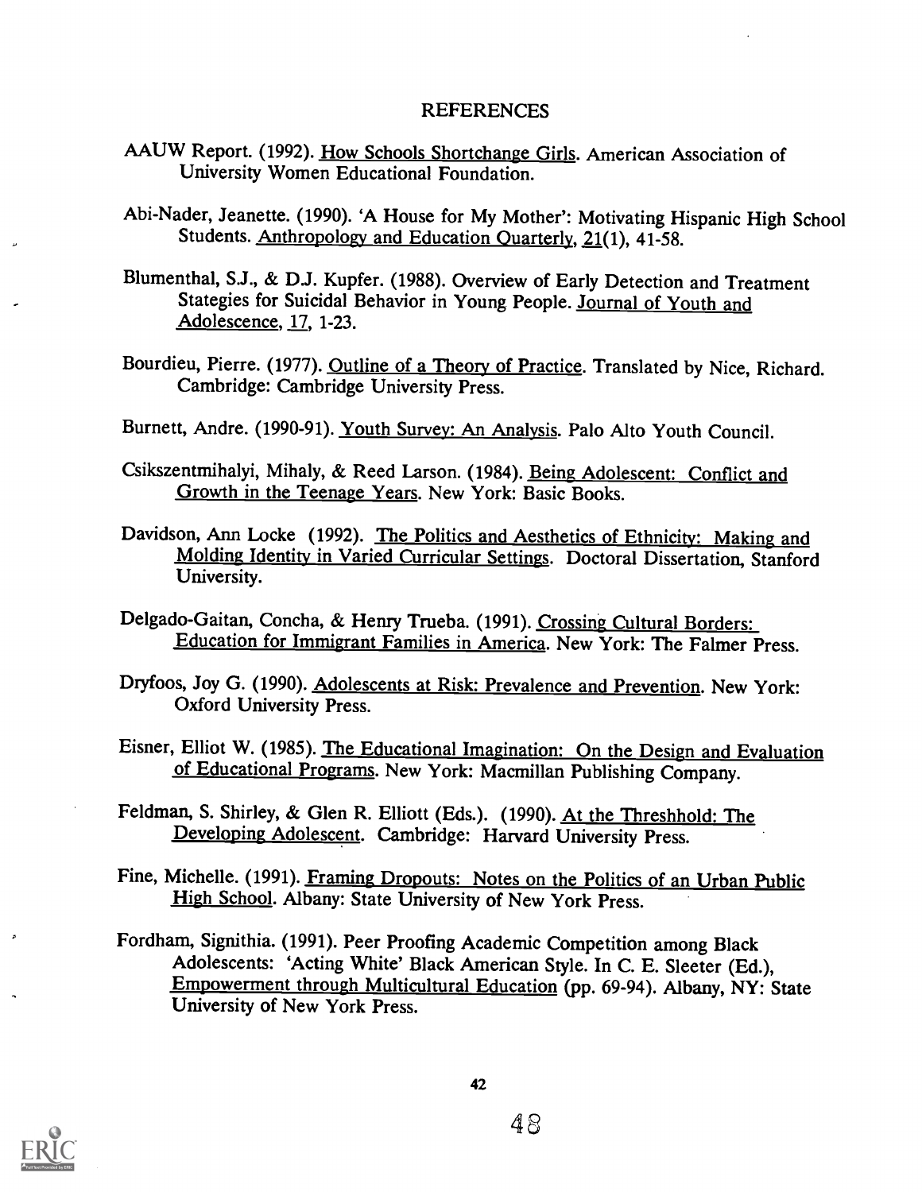# REFERENCES

- AAUW Report. (1992). How Schools Shortchange Girls. American Association of University Women Educational Foundation.
- Abi-Nader, Jeanette. (1990). 'A House for My Mother': Motivating Hispanic High School Students. Anthropology and Education Quarterly, 21(1), 41-58.
- Blumenthal, S.J., & D.J. Kupfer. (1988). Overview of Early Detection and Treatment Stategies for Suicidal Behavior in Young People. Journal of Youth and Adolescence, 17, 1-23.
- Bourdieu, Pierre. (1977). Outline of a Theory of Practice. Translated by Nice, Richard. Cambridge: Cambridge University Press.
- Burnett, Andre. (1990-91). Youth Survey: An Analysis. Palo Alto Youth Council.
- Csikszentmihalyi, Mihaly, & Reed Larson. (1984). Being Adolescent: Conflict and Growth in the Teenage Years. New York: Basic Books.
- Davidson, Ann Locke (1992). The Politics and Aesthetics of Ethnicity: Making and Molding Identity in Varied Curricular Settings. Doctoral Dissertation, Stanford University.
- Delgado-Gaitan, Concha, & Henry Trueba. (1991). Crossing Cultural Borders: Education for Immigrant Families in America. New York: The Falmer Press.
- Dryfoos, Joy G. (1990). Adolescents at Risk: Prevalence and Prevention. New York: Oxford University Press.
- Eisner, Elliot W. (1985). The Educational Imagination: On the Design and Evaluation of Educational Programs. New York: Macmillan Publishing Company.
- Feldman, S. Shirley, & Glen R. Elliott (Eds.). (1990). At the Threshhold: The Developing Adolescent. Cambridge: Harvard University Press.
- Fine, Michelle. (1991). Framing Dropouts: Notes on the Politics of an Urban Public High School. Albany: State University of New York Press.
- Fordham, Signithia. (1991). Peer Proofing Academic Competition among Black Adolescents: 'Acting White' Black American Style. In C. E. Sleeter (Ed.), Empowerment through Multicultural Education (pp. 69-94). Albany, NY: State University of New York Press.

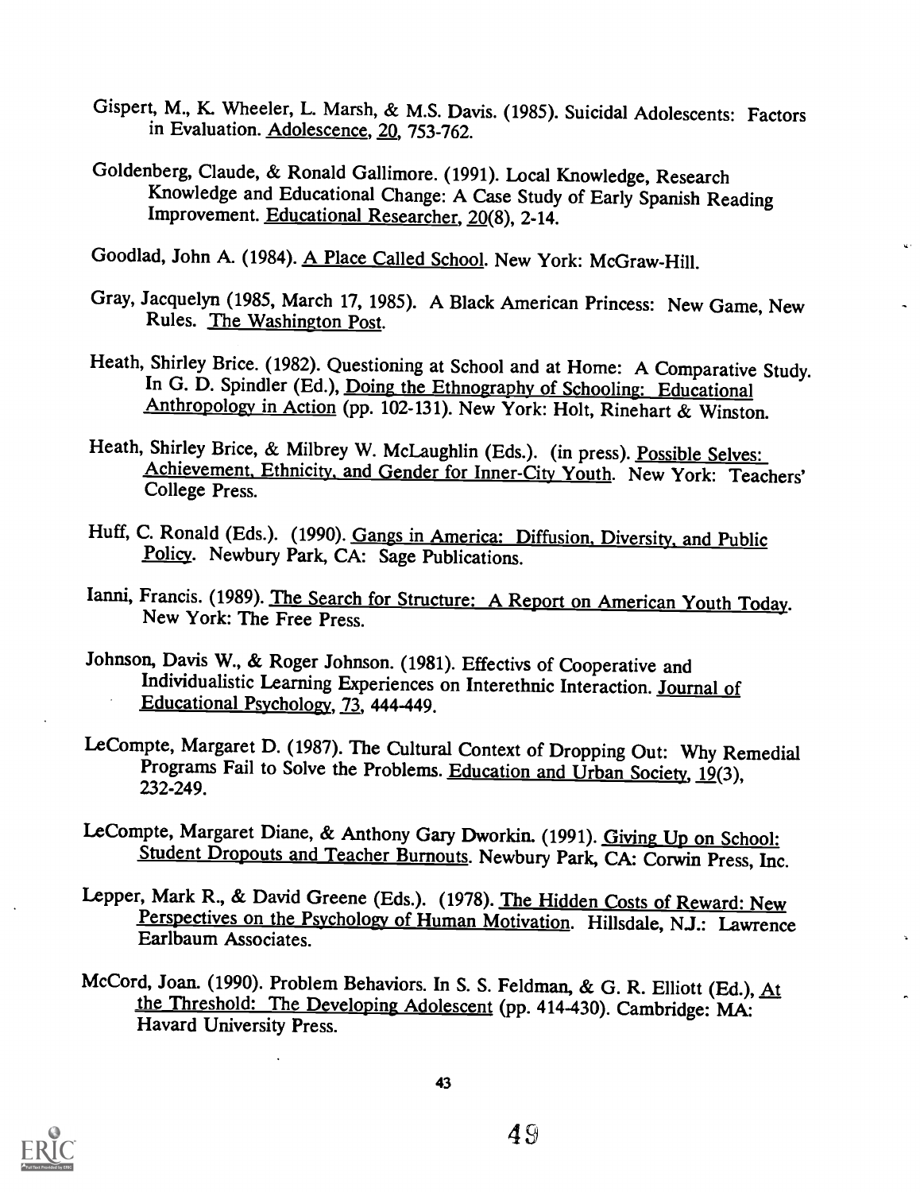- Gispert, M., K. Wheeler, L. Marsh, & M.S. Davis. (1985). Suicidal Adolescents: Factors in Evaluation. Adolescence, 20, 753-762.
- Goldenberg, Claude, & Ronald Gallimore. (1991). Local Knowledge, Research Knowledge and Educational Change: A Case Study of Early Spanish Reading Improvement. Educational Researcher, 20(8), 2-14.
- Goodlad, John A. (1984). A Place Called School. New York: McGraw-Hill.
- Gray, Jacquelyn (1985, March 17, 1985). A Black American Princess: New Game, New Rules. The Washington Post.
- Heath, Shirley Brice. (1982). Questioning at School and at Home: A Comparative Study. In G. D. Spindler (Ed.), Doing the Ethnography of Schooling: Educational Anthropology in Action (pp. 102-131). New York: Holt, Rinehart & Winston.
- Heath, Shirley Brice, & Milbrey W. McLaughlin (Eds.). (in press). Possible Selves: Achievement. Ethnicity. and Gender for Inner-City Youth. New York: Teachers' College Press.
- Huff, C. Ronald (Eds.). (1990). Gangs in America: Diffusion, Diversity, and Public Policy. Newbury Park, CA: Sage Publications.
- Ianni, Francis. (1989). The Search for Structure: A Report on American Youth Today. New York: The Free Press.
- Johnson, Davis W., & Roger Johnson. (1981). Effectivs of Cooperative and Individualistic Learning Experiences on Interethnic Interaction. Journal of Educational Psychology, 73, 444-449.
- LeCompte, Margaret D. (1987). The Cultural Context of Dropping Out: Why Remedial Programs Fail to Solve the Problems. Education and Urban Society, 19(3), 232-249.
- LeCompte, Margaret Diane, & Anthony Gary Dworkin. (1991). Giving Up on School: Student Dropouts and Teacher Burnouts. Newbury Park, CA: Corwin Press, Inc.
- Lepper, Mark R., & David Greene (Eds.). (1978). The Hidden Costs of Reward: New Perspectives on the Psychology of Human Motivation. Hillsdale, N.J.: Lawrence<br>Earlbaum Associates.
- McCord, Joan. (1990). Problem Behaviors. In S. S. Feldman, & G. R. Elliott (Ed.), At the Threshold: The Developing Adolescent (pp. 414-430). Cambridge: MA: Havard University Press.

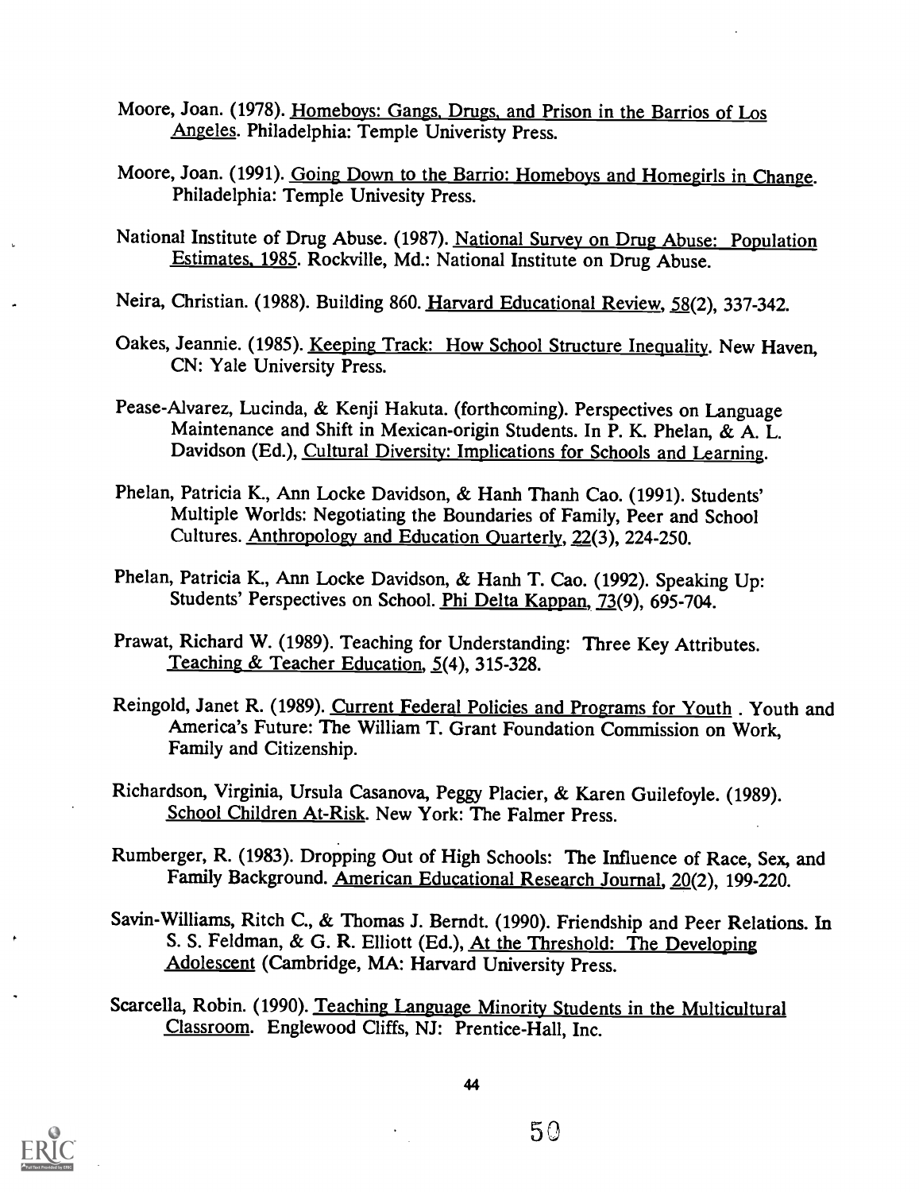- Moore, Joan. (1978). Homeboys: Gangs. Drugs, and Prison in the Barrios of Los Angeles. Philadelphia: Temple Univeristy Press.
- Moore, Joan. (1991). Going Down to the Barrio: Homebovs and Homegirls in Change. Philadelphia: Temple Univesity Press.
- National Institute of Drug Abuse. (1987). National Survey on Drug Abuse: Population Estimates. 1985. Rockville, Md.: National Institute on Drug Abuse.
- Neira, Christian. (1988). Building 860. Harvard Educational Review, 58(2), 337-342.
- Oakes, Jeannie. (1985). Keeping Track: How School Structure Inequality. New Haven, CN: Yale University Press.
- Pease-Alvarez, Lucinda, & Kenji Hakuta. (forthcoming). Perspectives on Language Maintenance and Shift in Mexican-origin Students. In P. K. Phelan, & A. L. Davidson (Ed.), Cultural Diversity: Implications for Schools and Learning.
- Phelan, Patricia K., Ann Locke Davidson, & Hanh Thanh Cao. (1991). Students' Multiple Worlds: Negotiating the Boundaries of Family, Peer and School Cultures. Anthropology and Education Quarterly, 22(3), 224-250.
- Phelan, Patricia K., Ann Locke Davidson, & Hanh T. Cao. (1992). Speaking Up: Students' Perspectives on School. Phi Delta Kappan, 73(9), 695-704.
- Prawat, Richard W. (1989). Teaching for Understanding: Three Key Attributes. Teaching & Teacher Education, 5(4), 315-328.
- Reingold, Janet R. (1989). Current Federal Policies and Programs for Youth . Youth and America's Future: The William T. Grant Foundation Commission on Work, Family and Citizenship.
- Richardson, Virginia, Ursula Casanova, Peggy Placier, & Karen Guilefoyle. (1989). School Children At-Risk. New York: The Falmer Press.
- Rumberger, R. (1983). Dropping Out of High Schools: The Influence of Race, Sex, and Family Background. American Educational Research Journal, 20(2), 199-220.
- Savin-Williams, Ritch C., & Thomas J. Berndt. (1990). Friendship and Peer Relations. In S. S. Feldman, & G. R. Elliott (Ed.), At the Threshold: The Developing Adolescent (Cambridge, MA: Harvard University Press.
- Scarcella, Robin. (1990). Teaching Language Minority Students in the Multicultural Classroom. Englewood Cliffs, NJ: Prentice-Hall, Inc.

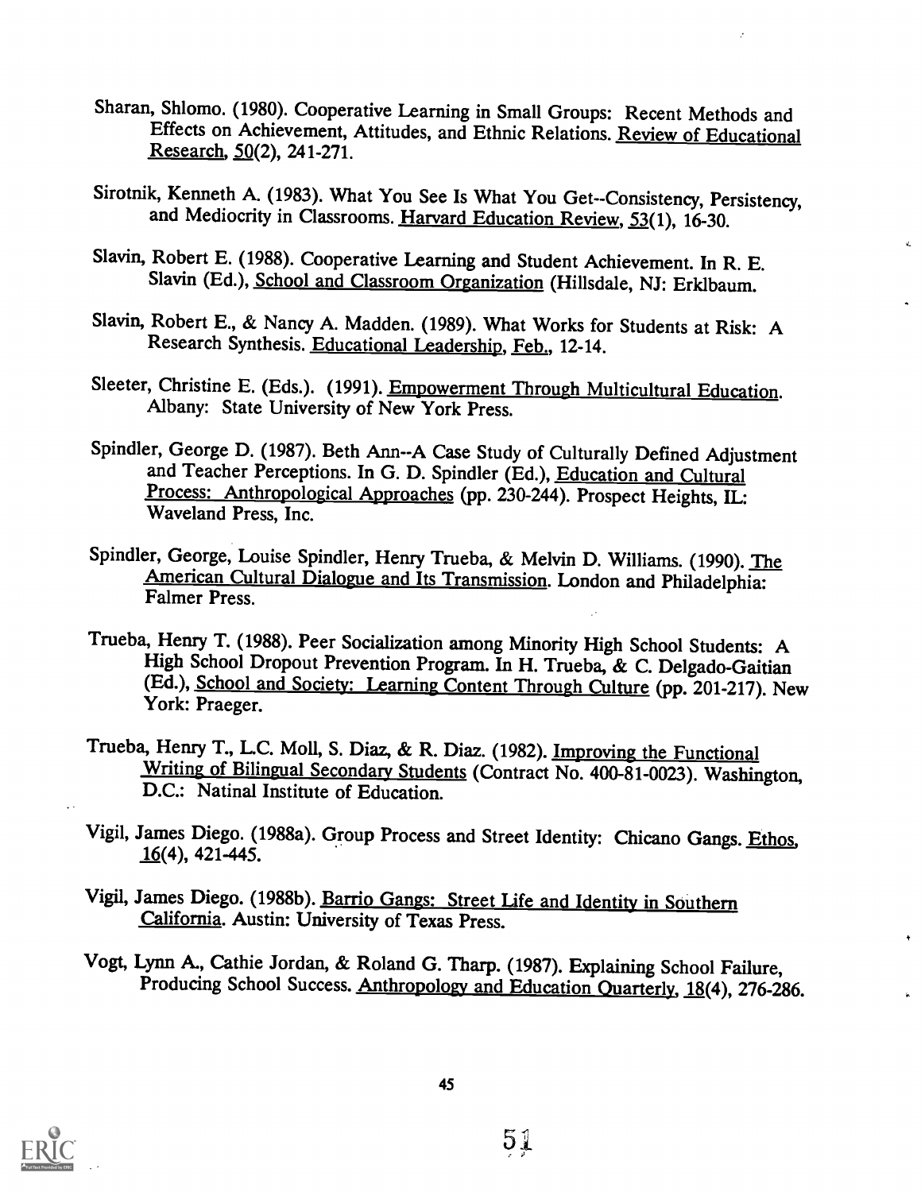- Sharan, Shlomo. (1980). Cooperative Learning in Small Groups: Recent Methods and Effects on Achievement, Attitudes, and Ethnic Relations. Review of Educational Research, 50(2), 241-271.
- Sirotnik, Kenneth A. (1983). What You See Is What You Get--Consistency, Persistency, and Mediocrity in Classrooms. Harvard Education Review, 53(1), 16-30.
- Slavin, Robert E. (1988). Cooperative Learning and Student Achievement. In R. E. Slavin (Ed.), School and Classroom Organization (Hillsdale, NJ: Erklbaum.
- Slavin, Robert E., & Nancy A. Madden. (1989). What Works for Students at Risk: A Research Synthesis. Educational Leadership, Feb., 12-14.
- Sleeter, Christine E. (Eds.). (1991). Empowerment Through Multicultural Education. Albany: State University of New York Press.
- Spindler, George D. (1987). Beth Ann--A Case Study of Culturally Defined Adjustment and Teacher Perceptions. In G. D. Spindler (Ed.), Education and Cultural Process: Anthropological Approaches (pp. 230-244). Prospect Heights, IL: Waveland Press, Inc.
- Spindler, George, Louise Spindler, Henry Trueba, & Melvin D. Williams. (1990). The American Cultural Dialogue and Its Transmission. London and Philadelphia: Falmer Press.
- Trueba, Henry T. (1988). Peer Socialization among Minority High School Students: A High School Dropout Prevention Program. In H. Trueba, & C. Delgado-Gaitian (Ed.), School and Society: Learning Content Through Culture (pp. 201-217). New York: Praeger.
- Trueba, Henry T., L.C. Moll, S. Diaz, & R. Diaz. (1982). <u>Improving the Functional Writing of Bilingual Secondary Students</u> (Contract No. 400-81-0023). Washington, D.C.: Natinal Institute of Education.
- Vigil, James Diego. (1988a). Group Process and Street Identity: Chicano Gangs. Ethos, 16(4), 421-445.
- Vigil, James Diego. (1988b). Barrio Gangs: Street Life and Identity in Southern California. Austin: University of Texas Press.
- Vogt, Lynn A., Cathie Jordan, & Roland G. Tharp. (1987). Explaining School Failure, Producing School Success. Anthropology and Education Quarterly, 18(4), 276-286.

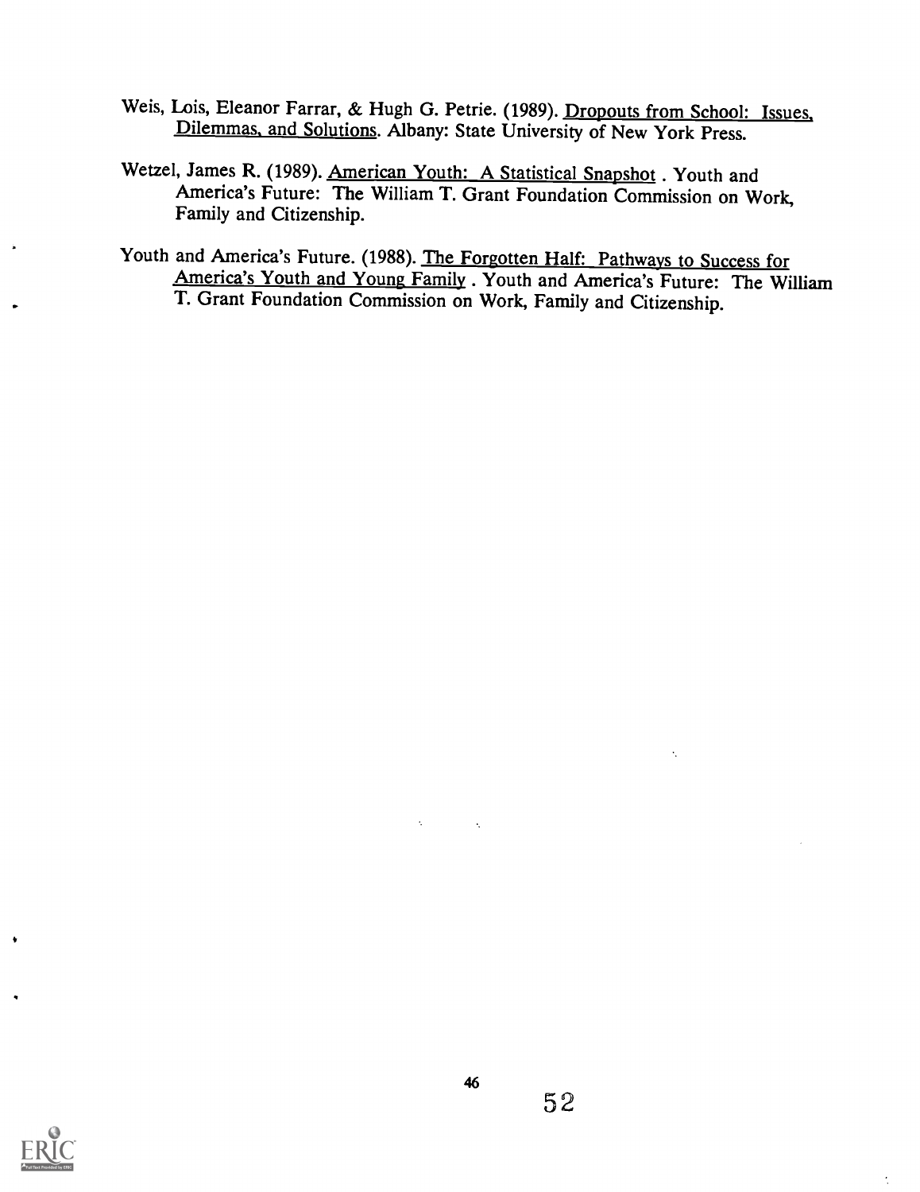- Weis, Lois, Eleanor Farrar, & Hugh G. Petrie. (1989). Dropouts from School: Issues, Dilemmas, and Solutions. Albany: State University of New York Press.
- Wetzel, James R. (1989). American Youth: A Statistical Snapshot. Youth and America's Future: The William T. Grant Foundation Commission on Work, Family and Citizenship.
- Youth and America's Future. (1988). The Forgotten Half: Pathways to Success for America's Youth and Young Family . Youth and America's Future: The William T. Grant Foundation Commission on Work, Family and Citizenship.



 $\mathcal{L}$ 

 $\hat{\mathbf{y}}$ 

 $\epsilon_{\rm c}$